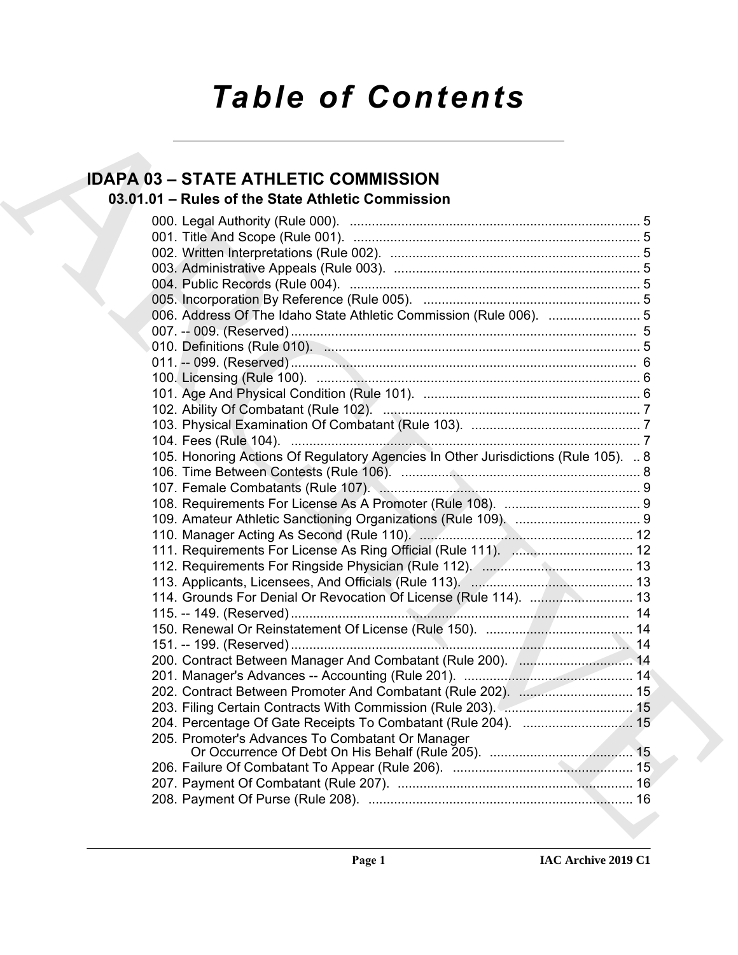# *Table of Contents*

# **IDAPA 03 – STATE ATHLETIC COMMISSION**

## **03.01.01 – Rules of the State Athletic Commission**

| <b>IDAPA 03 - STATE ATHLETIC COMMISSION</b>                                        |  |
|------------------------------------------------------------------------------------|--|
| 03.01.01 - Rules of the State Athletic Commission                                  |  |
|                                                                                    |  |
|                                                                                    |  |
|                                                                                    |  |
|                                                                                    |  |
|                                                                                    |  |
|                                                                                    |  |
|                                                                                    |  |
| 006. Address Of The Idaho State Athletic Commission (Rule 006).  5                 |  |
|                                                                                    |  |
|                                                                                    |  |
|                                                                                    |  |
|                                                                                    |  |
|                                                                                    |  |
|                                                                                    |  |
|                                                                                    |  |
|                                                                                    |  |
| 105. Honoring Actions Of Regulatory Agencies In Other Jurisdictions (Rule 105).  8 |  |
|                                                                                    |  |
|                                                                                    |  |
|                                                                                    |  |
|                                                                                    |  |
|                                                                                    |  |
|                                                                                    |  |
|                                                                                    |  |
|                                                                                    |  |
| 114. Grounds For Denial Or Revocation Of License (Rule 114).  13                   |  |
|                                                                                    |  |
|                                                                                    |  |
|                                                                                    |  |
| 200. Contract Between Manager And Combatant (Rule 200). [ 14                       |  |
|                                                                                    |  |
| 202. Contract Between Promoter And Combatant (Rule 202).  15                       |  |
|                                                                                    |  |
| 204. Percentage Of Gate Receipts To Combatant (Rule 204).  15                      |  |
| 205. Promoter's Advances To Combatant Or Manager                                   |  |
|                                                                                    |  |
|                                                                                    |  |
|                                                                                    |  |
|                                                                                    |  |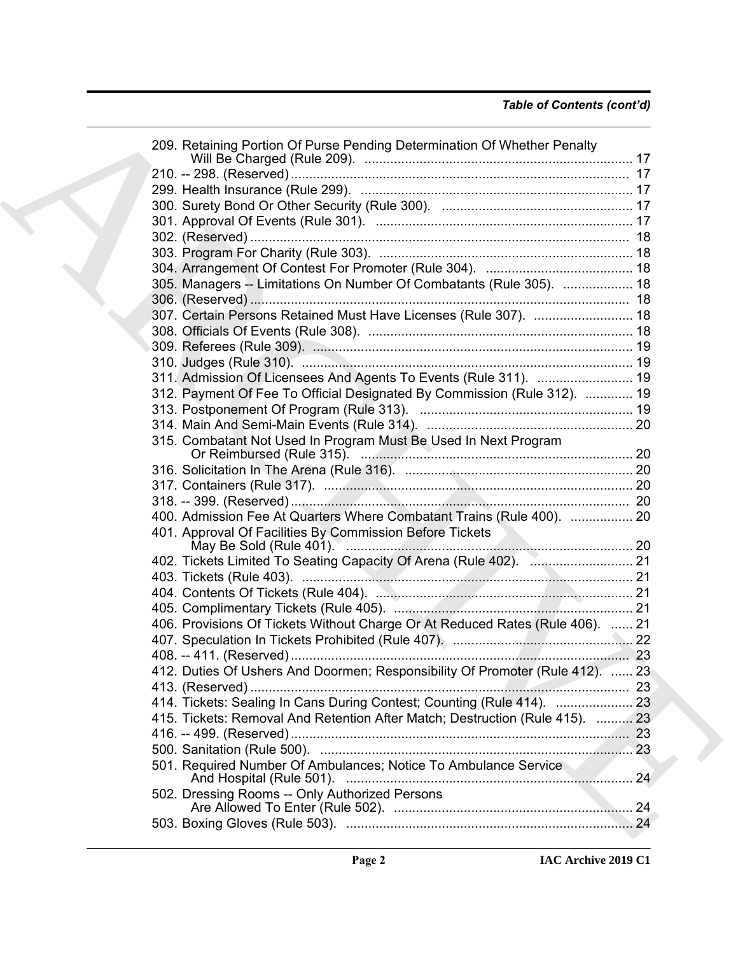| 209. Retaining Portion Of Purse Pending Determination Of Whether Penalty      |     |
|-------------------------------------------------------------------------------|-----|
|                                                                               |     |
|                                                                               |     |
|                                                                               |     |
|                                                                               |     |
|                                                                               |     |
|                                                                               |     |
|                                                                               |     |
| 305. Managers -- Limitations On Number Of Combatants (Rule 305).  18          |     |
|                                                                               |     |
| 307. Certain Persons Retained Must Have Licenses (Rule 307).  18              |     |
|                                                                               |     |
|                                                                               |     |
|                                                                               |     |
| 311. Admission Of Licensees And Agents To Events (Rule 311).  19              |     |
| 312. Payment Of Fee To Official Designated By Commission (Rule 312).  19      |     |
|                                                                               |     |
|                                                                               |     |
| 315. Combatant Not Used In Program Must Be Used In Next Program               |     |
|                                                                               |     |
|                                                                               |     |
|                                                                               |     |
|                                                                               |     |
|                                                                               |     |
| 400. Admission Fee At Quarters Where Combatant Trains (Rule 400).  20         |     |
| 401. Approval Of Facilities By Commission Before Tickets                      |     |
|                                                                               |     |
|                                                                               |     |
|                                                                               |     |
|                                                                               |     |
| 406. Provisions Of Tickets Without Charge Or At Reduced Rates (Rule 406).  21 |     |
|                                                                               |     |
|                                                                               | -23 |
| 412. Duties Of Ushers And Doormen; Responsibility Of Promoter (Rule 412).  23 |     |
|                                                                               |     |
| 414. Tickets: Sealing In Cans During Contest; Counting (Rule 414).  23        |     |
| 415. Tickets: Removal And Retention After Match; Destruction (Rule 415).  23  |     |
|                                                                               |     |
|                                                                               |     |
| 501. Required Number Of Ambulances; Notice To Ambulance Service               |     |
|                                                                               |     |
| 502. Dressing Rooms -- Only Authorized Persons                                |     |
|                                                                               |     |
|                                                                               |     |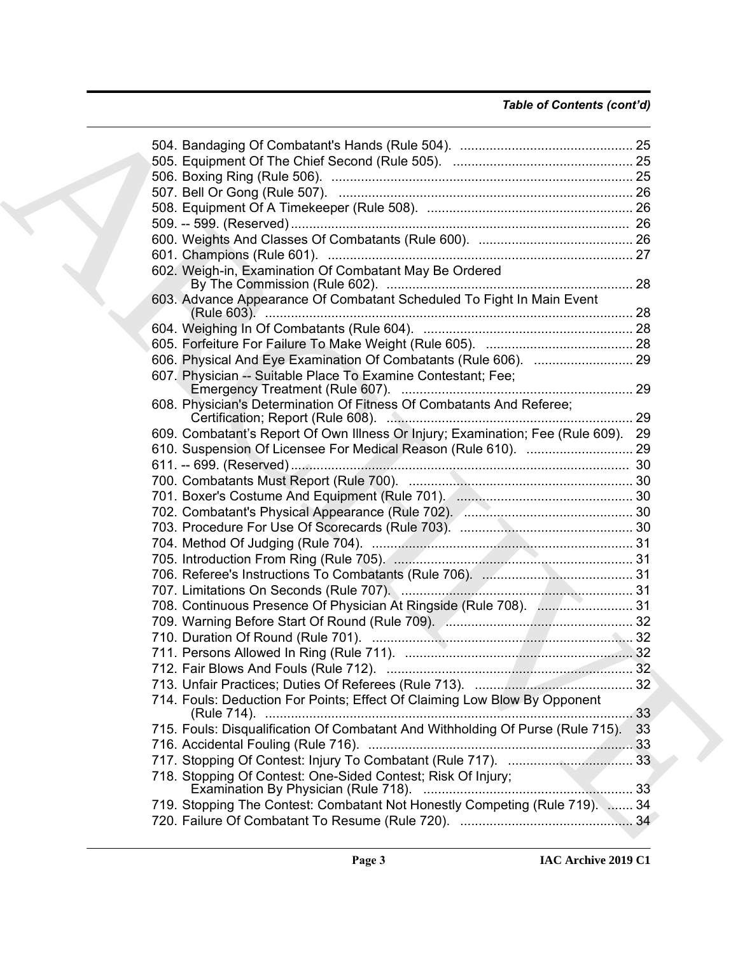| 602. Weigh-in, Examination Of Combatant May Be Ordered                            |    |
|-----------------------------------------------------------------------------------|----|
| 603. Advance Appearance Of Combatant Scheduled To Fight In Main Event             |    |
|                                                                                   |    |
|                                                                                   |    |
|                                                                                   |    |
| 607. Physician -- Suitable Place To Examine Contestant; Fee;                      |    |
| 608. Physician's Determination Of Fitness Of Combatants And Referee;              |    |
| 609. Combatant's Report Of Own Illness Or Injury; Examination; Fee (Rule 609). 29 |    |
|                                                                                   |    |
|                                                                                   |    |
|                                                                                   |    |
|                                                                                   |    |
|                                                                                   |    |
|                                                                                   |    |
|                                                                                   |    |
|                                                                                   |    |
|                                                                                   |    |
|                                                                                   |    |
| 708. Continuous Presence Of Physician At Ringside (Rule 708).  31                 |    |
|                                                                                   |    |
|                                                                                   |    |
|                                                                                   |    |
|                                                                                   |    |
|                                                                                   |    |
| 714. Fouls: Deduction For Points; Effect Of Claiming Low Blow By Opponent         | 33 |
| 715. Fouls: Disqualification Of Combatant And Withholding Of Purse (Rule 715).    | 33 |
|                                                                                   |    |
|                                                                                   |    |
| 718. Stopping Of Contest: One-Sided Contest; Risk Of Injury;                      | 33 |
| 719. Stopping The Contest: Combatant Not Honestly Competing (Rule 719).  34       |    |
|                                                                                   |    |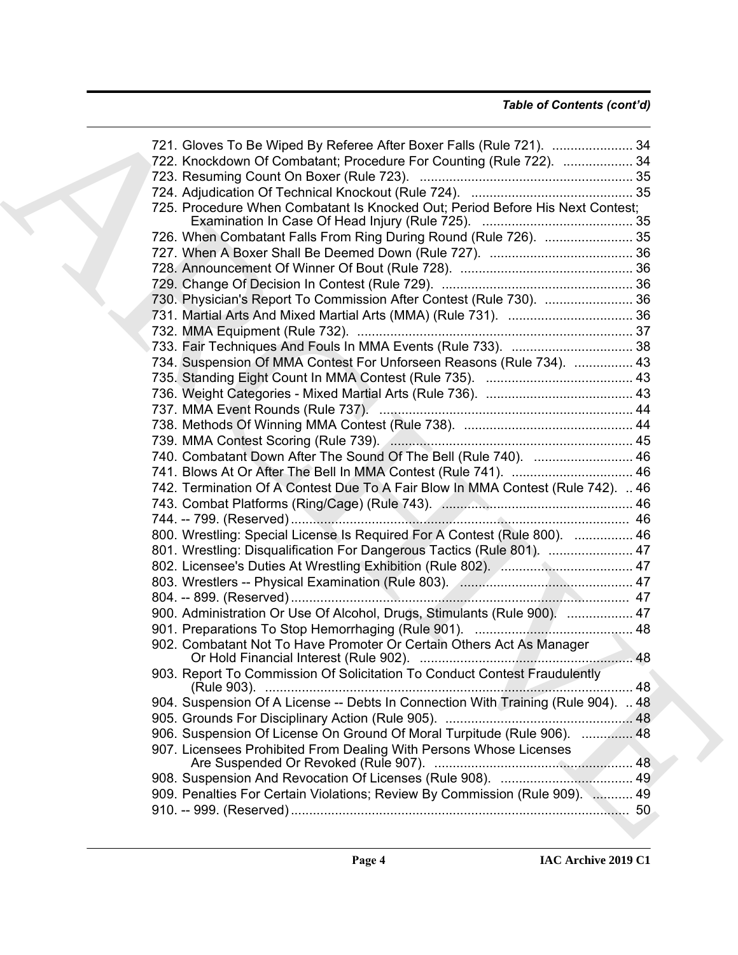### *Table of Contents (cont'd)*

| 721. Gloves To Be Wiped By Referee After Boxer Falls (Rule 721).  34              |  |
|-----------------------------------------------------------------------------------|--|
| 722. Knockdown Of Combatant; Procedure For Counting (Rule 722).  34               |  |
|                                                                                   |  |
|                                                                                   |  |
| 725. Procedure When Combatant Is Knocked Out; Period Before His Next Contest;     |  |
|                                                                                   |  |
| 726. When Combatant Falls From Ring During Round (Rule 726).  35                  |  |
|                                                                                   |  |
|                                                                                   |  |
|                                                                                   |  |
| 730. Physician's Report To Commission After Contest (Rule 730).  36               |  |
|                                                                                   |  |
|                                                                                   |  |
|                                                                                   |  |
| 734. Suspension Of MMA Contest For Unforseen Reasons (Rule 734).  43              |  |
|                                                                                   |  |
|                                                                                   |  |
|                                                                                   |  |
|                                                                                   |  |
|                                                                                   |  |
| 740. Combatant Down After The Sound Of The Bell (Rule 740).  46                   |  |
| 741. Blows At Or After The Bell In MMA Contest (Rule 741).  46                    |  |
| 742. Termination Of A Contest Due To A Fair Blow In MMA Contest (Rule 742).  46   |  |
|                                                                                   |  |
|                                                                                   |  |
| 800. Wrestling: Special License Is Required For A Contest (Rule 800).  46         |  |
| 801. Wrestling: Disqualification For Dangerous Tactics (Rule 801).  47            |  |
|                                                                                   |  |
|                                                                                   |  |
|                                                                                   |  |
| 900. Administration Or Use Of Alcohol, Drugs, Stimulants (Rule 900).  47          |  |
|                                                                                   |  |
| 902. Combatant Not To Have Promoter Or Certain Others Act As Manager              |  |
|                                                                                   |  |
| 903. Report To Commission Of Solicitation To Conduct Contest Fraudulently         |  |
| 904. Suspension Of A License -- Debts In Connection With Training (Rule 904).  48 |  |
|                                                                                   |  |
| 906. Suspension Of License On Ground Of Moral Turpitude (Rule 906).  48           |  |
| 907. Licensees Prohibited From Dealing With Persons Whose Licenses                |  |
|                                                                                   |  |
| 909. Penalties For Certain Violations; Review By Commission (Rule 909).  49       |  |
|                                                                                   |  |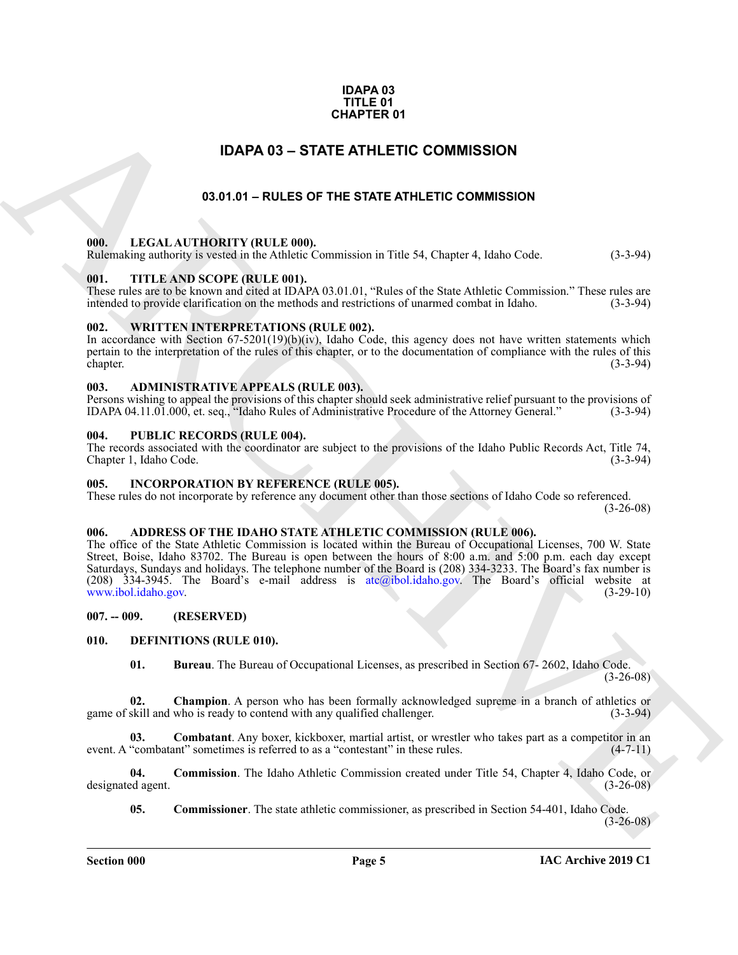#### **IDAPA 03 TITLE 01 CHAPTER 01**

### **IDAPA 03 – STATE ATHLETIC COMMISSION**

### **03.01.01 – RULES OF THE STATE ATHLETIC COMMISSION**

#### <span id="page-4-2"></span><span id="page-4-1"></span>**000. LEGAL AUTHORITY (RULE 000).**

Rulemaking authority is vested in the Athletic Commission in Title 54, Chapter 4, Idaho Code. (3-3-94)

#### <span id="page-4-3"></span>**001. TITLE AND SCOPE (RULE 001).**

These rules are to be known and cited at IDAPA 03.01.01, "Rules of the State Athletic Commission." These rules are intended to provide clarification on the methods and restrictions of unarmed combat in Idaho. (3-3-94)

#### <span id="page-4-4"></span>**002. WRITTEN INTERPRETATIONS (RULE 002).**

In accordance with Section  $67-5201(19)(b)(iv)$ , Idaho Code, this agency does not have written statements which pertain to the interpretation of the rules of this chapter, or to the documentation of compliance with the rules of this chapter. (3-3-94)

#### <span id="page-4-5"></span>**003. ADMINISTRATIVE APPEALS (RULE 003).**

Persons wishing to appeal the provisions of this chapter should seek administrative relief pursuant to the provisions of IDAPA 04.11.01.000, et. seq., "Idaho Rules of Administrative Procedure of the Attorney General." (3-3 IDAPA 04.11.01.000, et. seq., "Idaho Rules of Administrative Procedure of the Attorney General."

#### <span id="page-4-6"></span>**004. PUBLIC RECORDS (RULE 004).**

The records associated with the coordinator are subject to the provisions of the Idaho Public Records Act, Title 74, Chapter 1, Idaho Code.

#### <span id="page-4-18"></span><span id="page-4-7"></span>**005. INCORPORATION BY REFERENCE (RULE 005).**

These rules do not incorporate by reference any document other than those sections of Idaho Code so referenced. (3-26-08)

#### <span id="page-4-11"></span><span id="page-4-8"></span>**006. ADDRESS OF THE IDAHO STATE ATHLETIC COMMISSION (RULE 006).**

<span id="page-4-0"></span>**C[H](mailto:atc@ibol.idaho.gov)APTER 01**<br> **CHAPTER OF THE STATE ATHLETIC COMMISSION**<br> **COLUMN 12001 CHAPTER OF COMMISSION**<br> **COLUMN 12001 CHAPTER ATHLETIC COMMISSION**<br> **COLUMN 12001 ACT[IV](www.ibol.idaho.gov)ENTS INTERFERENCE COMMISSION**<br> **COLUMN 2001 CONTINUATION** The office of the State Athletic Commission is located within the Bureau of Occupational Licenses, 700 W. State Street, Boise, Idaho 83702. The Bureau is open between the hours of 8:00 a.m. and 5:00 p.m. each day except Saturdays, Sundays and holidays. The telephone number of the Board is (208) 334-3233. The Board's fax number is (208) 334-3945. The Board's e-mail address is atc@ibol.idaho.gov. The Board's official website at www.ibol.idaho.gov. (3-29-10)

<span id="page-4-9"></span>**007. -- 009. (RESERVED)**

#### <span id="page-4-10"></span>**010. DEFINITIONS (RULE 010).**

<span id="page-4-15"></span><span id="page-4-14"></span><span id="page-4-13"></span><span id="page-4-12"></span>**01. Bureau**. The Bureau of Occupational Licenses, as prescribed in Section 67- 2602, Idaho Code. (3-26-08)

**02.** Champion. A person who has been formally acknowledged supreme in a branch of athletics or skill and who is ready to contend with any qualified challenger. (3-3-94) game of skill and who is ready to contend with any qualified challenger.

**Combatant**. Any boxer, kickboxer, martial artist, or wrestler who takes part as a competitor in an ant" sometimes is referred to as a "contestant" in these rules. (4-7-11) event. A "combatant" sometimes is referred to as a "contestant" in these rules.

**04. Commission**. The Idaho Athletic Commission created under Title 54, Chapter 4, Idaho Code, or designated agent. (3-26-08)

<span id="page-4-17"></span><span id="page-4-16"></span>**05. Commissioner**. The state athletic commissioner, as prescribed in Section 54-401, Idaho Code.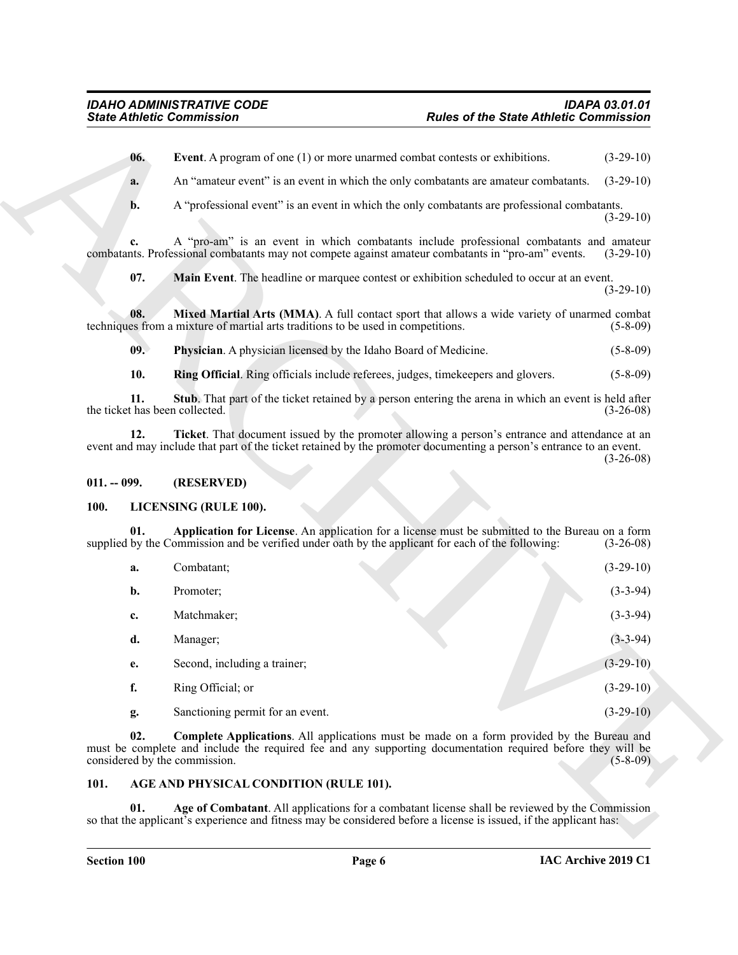#### <span id="page-5-11"></span><span id="page-5-10"></span><span id="page-5-9"></span><span id="page-5-8"></span><span id="page-5-7"></span><span id="page-5-0"></span>**011. -- 099. (RESERVED)**

#### <span id="page-5-13"></span><span id="page-5-12"></span><span id="page-5-1"></span>**100. LICENSING (RULE 100).**

<span id="page-5-6"></span><span id="page-5-5"></span>

|                                       | <b>State Athletic Commission</b>                                                                                                                                                                                                                 | <b>Rules of the State Athletic Commission</b> |             |
|---------------------------------------|--------------------------------------------------------------------------------------------------------------------------------------------------------------------------------------------------------------------------------------------------|-----------------------------------------------|-------------|
| 06.                                   | Event. A program of one (1) or more unarmed combat contests or exhibitions.                                                                                                                                                                      |                                               | $(3-29-10)$ |
| a.                                    | An "amateur event" is an event in which the only combatants are amateur combatants.                                                                                                                                                              |                                               | $(3-29-10)$ |
| b.                                    | A "professional event" is an event in which the only combatants are professional combatants.                                                                                                                                                     |                                               | $(3-29-10)$ |
| c.                                    | A "pro-am" is an event in which combatants include professional combatants and amateur<br>combatants. Professional combatants may not compete against amateur combatants in "pro-am" events.                                                     |                                               | $(3-29-10)$ |
| 07.                                   | Main Event. The headline or marquee contest or exhibition scheduled to occur at an event.                                                                                                                                                        |                                               | $(3-29-10)$ |
| 08.                                   | Mixed Martial Arts (MMA). A full contact sport that allows a wide variety of unarmed combat<br>techniques from a mixture of martial arts traditions to be used in competitions.                                                                  |                                               | $(5-8-09)$  |
| 09.                                   | Physician. A physician licensed by the Idaho Board of Medicine.                                                                                                                                                                                  |                                               | $(5-8-09)$  |
| 10.                                   | Ring Official. Ring officials include referees, judges, timekeepers and glovers.                                                                                                                                                                 |                                               | $(5-8-09)$  |
| 11.<br>the ticket has been collected. | Stub. That part of the ticket retained by a person entering the arena in which an event is held after                                                                                                                                            |                                               | $(3-26-08)$ |
| 12.                                   | Ticket. That document issued by the promoter allowing a person's entrance and attendance at an<br>event and may include that part of the ticket retained by the promoter documenting a person's entrance to an event.                            |                                               | $(3-26-08)$ |
| $011. - 099.$                         | (RESERVED)                                                                                                                                                                                                                                       |                                               |             |
| 100.                                  | LICENSING (RULE 100).                                                                                                                                                                                                                            |                                               |             |
| 01.                                   | Application for License. An application for a license must be submitted to the Bureau on a form<br>supplied by the Commission and be verified under oath by the applicant for each of the following:                                             |                                               | $(3-26-08)$ |
| a.                                    | Combatant;                                                                                                                                                                                                                                       |                                               | $(3-29-10)$ |
| b.                                    | Promoter;                                                                                                                                                                                                                                        |                                               | $(3-3-94)$  |
| c.                                    | Matchmaker;                                                                                                                                                                                                                                      |                                               | $(3-3-94)$  |
| d.                                    | Manager;                                                                                                                                                                                                                                         |                                               | $(3-3-94)$  |
| е.                                    | Second, including a trainer;                                                                                                                                                                                                                     |                                               | $(3-29-10)$ |
| f.                                    | Ring Official; or                                                                                                                                                                                                                                |                                               | $(3-29-10)$ |
| g.                                    | Sanctioning permit for an event.                                                                                                                                                                                                                 |                                               | $(3-29-10)$ |
| 02.                                   | <b>Complete Applications.</b> All applications must be made on a form provided by the Bureau and<br>must be complete and include the required fee and any supporting documentation required before they will be<br>considered by the commission. |                                               | $(5-8-09)$  |
| 101.                                  | AGE AND PHYSICAL CONDITION (RULE 101).                                                                                                                                                                                                           |                                               |             |
|                                       | Age of Combatant. All applications for a combatant license shall be reviewed by the Commission                                                                                                                                                   |                                               |             |

#### <span id="page-5-14"></span><span id="page-5-4"></span><span id="page-5-3"></span><span id="page-5-2"></span>**101. AGE AND PHYSICAL CONDITION (RULE 101).**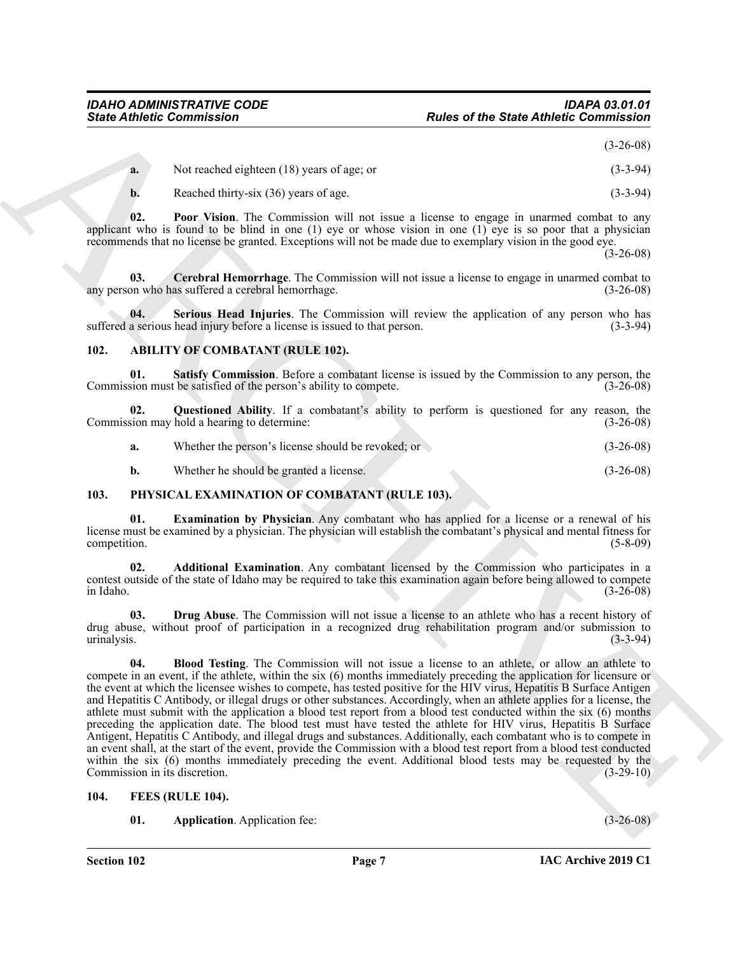(3-26-08)

<span id="page-6-7"></span>

| <b>a.</b> | Not reached eighteen $(18)$ years of age; or | $(3-3-94)$ |
|-----------|----------------------------------------------|------------|
|           | Reached thirty-six (36) years of age.        | $(3-3-94)$ |

**02. Poor Vision**. The Commission will not issue a license to engage in unarmed combat to any applicant who is found to be blind in one  $(1)$  eye or whose vision in one  $(1)$  eye is so poor that a physician recommends that no license be granted. Exceptions will not be made due to exemplary vision in the good eye.

(3-26-08)

<span id="page-6-6"></span>**03.** Cerebral Hemorrhage. The Commission will not issue a license to engage in unarmed combat to on who has suffered a cerebral hemorrhage. any person who has suffered a cerebral hemorrhage.

<span id="page-6-8"></span>**04.** Serious Head Injuries. The Commission will review the application of any person who has a serious head injury before a license is issued to that person. (3-3-94) suffered a serious head injury before a license is issued to that person.

#### <span id="page-6-5"></span><span id="page-6-3"></span><span id="page-6-0"></span>**102. ABILITY OF COMBATANT (RULE 102).**

**01.** Satisfy Commission. Before a combatant license is issued by the Commission to any person, the sion must be satisfied of the person's ability to compete. (3-26-08) Commission must be satisfied of the person's ability to compete.

**02. Questioned Ability**. If a combatant's ability to perform is questioned for any reason, the Commission may hold a hearing to determine: (3-26-08)

<span id="page-6-4"></span>

| a. | Whether the person's license should be revoked; or | $(3-26-08)$ |
|----|----------------------------------------------------|-------------|
|    |                                                    |             |

<span id="page-6-15"></span><span id="page-6-11"></span>**b.** Whether he should be granted a license. (3-26-08)

#### <span id="page-6-1"></span>**103. PHYSICAL EXAMINATION OF COMBATANT (RULE 103).**

**01. Examination by Physician**. Any combatant who has applied for a license or a renewal of his license must be examined by a physician. The physician will establish the combatant's physical and mental fitness for competition. (5-8-09)

<span id="page-6-12"></span>**02. Additional Examination**. Any combatant licensed by the Commission who participates in a contest outside of the state of Idaho may be required to take this examination again before being allowed to compete in Idaho. (3-26-08)

<span id="page-6-14"></span><span id="page-6-13"></span>**03. Drug Abuse**. The Commission will not issue a license to an athlete who has a recent history of drug abuse, without proof of participation in a recognized drug rehabilitation program and/or submission to urinalysis. (3-3-94)

Since Athletic Commutation<br>
Rodes of the Street Athletic Commutation (19)<br>
13. Northern University (19) peace of the Street Bernstein (20) 2014<br>
13. Northern Minister Schware (20) 2014<br>
13. The Value in the Commutation wi **04. Blood Testing**. The Commission will not issue a license to an athlete, or allow an athlete to compete in an event, if the athlete, within the six (6) months immediately preceding the application for licensure or the event at which the licensee wishes to compete, has tested positive for the HIV virus, Hepatitis B Surface Antigen and Hepatitis C Antibody, or illegal drugs or other substances. Accordingly, when an athlete applies for a license, the athlete must submit with the application a blood test report from a blood test conducted within the six (6) months preceding the application date. The blood test must have tested the athlete for HIV virus, Hepatitis B Surface Antigent, Hepatitis C Antibody, and illegal drugs and substances. Additionally, each combatant who is to compete in an event shall, at the start of the event, provide the Commission with a blood test report from a blood test conducted within the six (6) months immediately preceding the event. Additional blood tests may be requested by the Commission in its discretion. (3-29-10)

#### <span id="page-6-2"></span>**104. FEES (RULE 104).**

<span id="page-6-10"></span><span id="page-6-9"></span>**01. Application**. Application fee: (3-26-08)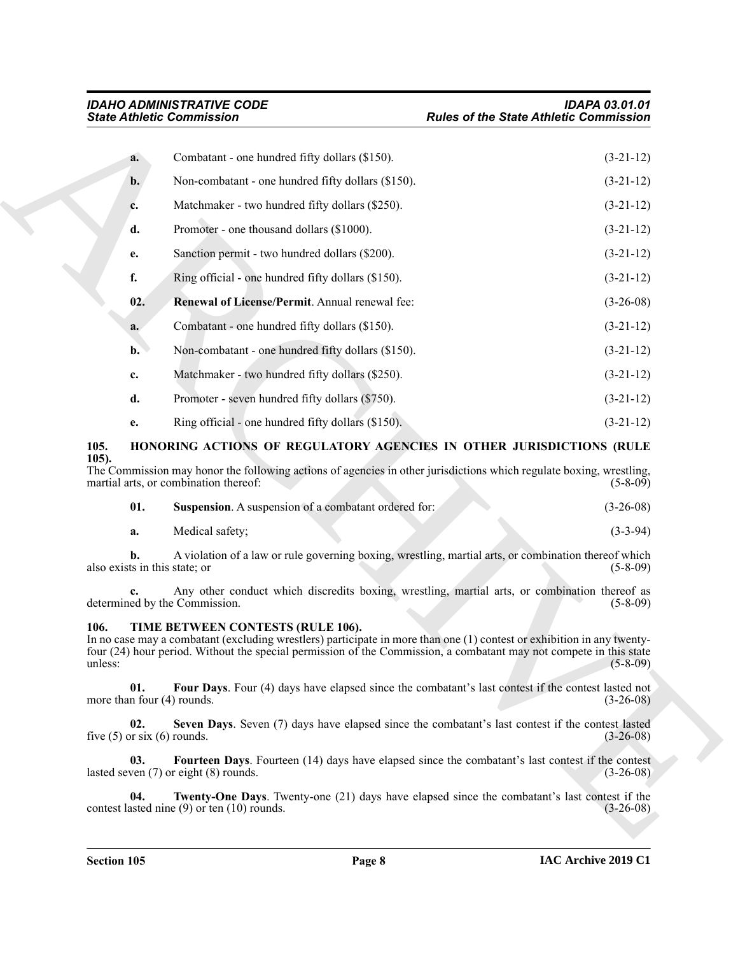| <b>State Athletic Commission</b>                                                                                                                                                                                                                                                                     | <b>Rules of the State Athletic Commission</b> |  |
|------------------------------------------------------------------------------------------------------------------------------------------------------------------------------------------------------------------------------------------------------------------------------------------------------|-----------------------------------------------|--|
| Combatant - one hundred fifty dollars (\$150).<br>a.                                                                                                                                                                                                                                                 | $(3-21-12)$                                   |  |
| Non-combatant - one hundred fifty dollars (\$150).<br>b.                                                                                                                                                                                                                                             | $(3-21-12)$                                   |  |
| Matchmaker - two hundred fifty dollars (\$250).<br>c.                                                                                                                                                                                                                                                | $(3-21-12)$                                   |  |
| Promoter - one thousand dollars (\$1000).<br>d.                                                                                                                                                                                                                                                      | $(3-21-12)$                                   |  |
| Sanction permit - two hundred dollars (\$200).<br>e.                                                                                                                                                                                                                                                 | $(3-21-12)$                                   |  |
| f.<br>Ring official - one hundred fifty dollars (\$150).                                                                                                                                                                                                                                             | $(3-21-12)$                                   |  |
| 02.<br>Renewal of License/Permit. Annual renewal fee:                                                                                                                                                                                                                                                | $(3-26-08)$                                   |  |
| Combatant - one hundred fifty dollars (\$150).<br>a.                                                                                                                                                                                                                                                 | $(3-21-12)$                                   |  |
| Non-combatant - one hundred fifty dollars (\$150).<br>$\mathbf{b}$ .                                                                                                                                                                                                                                 | $(3-21-12)$                                   |  |
| Matchmaker - two hundred fifty dollars (\$250).<br>c.                                                                                                                                                                                                                                                | $(3-21-12)$                                   |  |
| d.<br>Promoter - seven hundred fifty dollars (\$750).                                                                                                                                                                                                                                                | $(3-21-12)$                                   |  |
| Ring official - one hundred fifty dollars (\$150).<br>е.                                                                                                                                                                                                                                             | $(3-21-12)$                                   |  |
| 105.<br>HONORING ACTIONS OF REGULATORY AGENCIES IN OTHER JURISDICTIONS (RULE                                                                                                                                                                                                                         |                                               |  |
| $105$ ).<br>The Commission may honor the following actions of agencies in other jurisdictions which regulate boxing, wrestling,<br>martial arts, or combination thereof:                                                                                                                             | $(5-8-09)$                                    |  |
| 01.<br>Suspension. A suspension of a combatant ordered for:                                                                                                                                                                                                                                          | $(3-26-08)$                                   |  |
| Medical safety;<br>a.                                                                                                                                                                                                                                                                                | $(3-3-94)$                                    |  |
| A violation of a law or rule governing boxing, wrestling, martial arts, or combination thereof which<br>h.<br>also exists in this state; or                                                                                                                                                          | $(5-8-09)$                                    |  |
| Any other conduct which discredits boxing, wrestling, martial arts, or combination thereof as<br>determined by the Commission.                                                                                                                                                                       | $(5-8-09)$                                    |  |
| TIME BETWEEN CONTESTS (RULE 106).<br>106.<br>In no case may a combatant (excluding wrestlers) participate in more than one (1) contest or exhibition in any twenty-<br>four (24) hour period. Without the special permission of the Commission, a combatant may not compete in this state<br>unless: | $(5-8-09)$                                    |  |
| 01.<br>Four Days. Four (4) days have elapsed since the combatant's last contest if the contest lasted not<br>more than four $(4)$ rounds.                                                                                                                                                            | $(3-26-08)$                                   |  |
| 02.<br>Seven Days. Seven (7) days have elapsed since the combatant's last contest if the contest lasted<br>five $(5)$ or six $(6)$ rounds.                                                                                                                                                           | $(3-26-08)$                                   |  |
| Fourteen Days. Fourteen (14) days have elapsed since the combatant's last contest if the contest<br>03.<br>lasted seven $(7)$ or eight $(8)$ rounds.                                                                                                                                                 | $(3-26-08)$                                   |  |
| 04.<br><b>Twenty-One Days.</b> Twenty-one (21) days have elapsed since the combatant's last contest if the<br>contest lasted nine $(9)$ or ten $(10)$ rounds.                                                                                                                                        | $(3-26-08)$                                   |  |
|                                                                                                                                                                                                                                                                                                      |                                               |  |

#### <span id="page-7-3"></span><span id="page-7-2"></span><span id="page-7-0"></span>**105. HONORING ACTIONS OF REGULATORY AGENCIES IN OTHER JURISDICTIONS (RULE 105).**

<span id="page-7-4"></span>

|  | <b>Suspension.</b> A suspension of a combatant ordered for: | $(3-26-08)$ |
|--|-------------------------------------------------------------|-------------|
|--|-------------------------------------------------------------|-------------|

#### <span id="page-7-9"></span><span id="page-7-8"></span><span id="page-7-7"></span><span id="page-7-6"></span><span id="page-7-5"></span><span id="page-7-1"></span>**106. TIME BETWEEN CONTESTS (RULE 106).**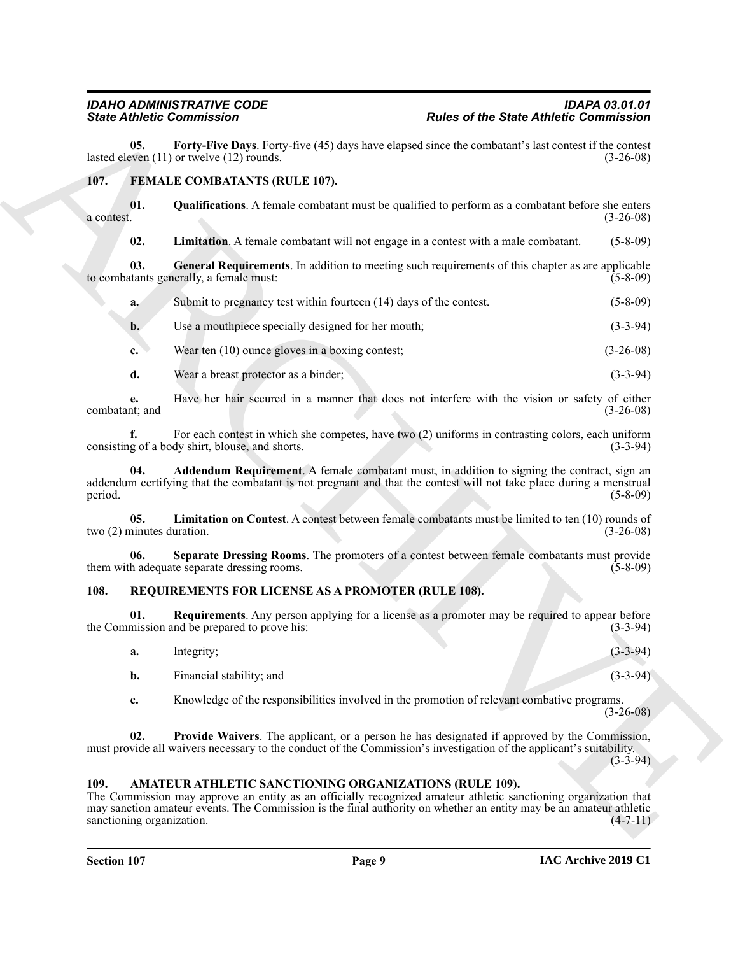<span id="page-8-14"></span>**05.** Forty-Five Days. Forty-five (45) days have elapsed since the combatant's last contest if the contest even (11) or twelve (12) rounds. lasted eleven  $(11)$  or twelve  $(12)$  rounds.

#### <span id="page-8-4"></span><span id="page-8-0"></span>**107. FEMALE COMBATANTS (RULE 107).**

**01.** Qualifications. A female combatant must be qualified to perform as a combatant before she enters a contest.  $(3-26-08)$  $a$  contest.  $(3-26-08)$ 

<span id="page-8-9"></span><span id="page-8-7"></span><span id="page-8-6"></span>**02. Limitation**. A female combatant will not engage in a contest with a male combatant. (5-8-09)

**03. General Requirements**. In addition to meeting such requirements of this chapter as are applicable to combatants generally, a female must: (5-8-09)

- **a.** Submit to pregnancy test within fourteen (14) days of the contest. (5-8-09)
- **b.** Use a mouthpiece specially designed for her mouth; (3-3-94)
- **c.** Wear ten (10) ounce gloves in a boxing contest; (3-26-08)
- **d.** Wear a breast protector as a binder; (3-3-94)

**e.** Have her hair secured in a manner that does not interfere with the vision or safety of either tit, and (3-26-08) combatant; and

<span id="page-8-5"></span>**f.** For each contest in which she competes, have two (2) uniforms in contrasting colors, each uniform g of a body shirt, blouse, and shorts. (3-3-94) consisting of a body shirt, blouse, and shorts.

**Since Zimites Commission** Plate and the State Anthelic Commission<br>
Let  $B$  the state Anti-Bios Plate Commission and the state of the State Commission and the Commission<br>
1971. **EXALLE CONBATANTS (RULE 107).**<br>
1973. **Cons Addendum Requirement**. A female combatant must, in addition to signing the contract, sign an addendum certifying that the combatant is not pregnant and that the contest will not take place during a menstrual period. (5-8-09)

<span id="page-8-8"></span>**05. Limitation on Contest**. A contest between female combatants must be limited to ten (10) rounds of two (2) minutes duration. (3-26-08)

<span id="page-8-10"></span>**06. Separate Dressing Rooms**. The promoters of a contest between female combatants must provide them with adequate separate dressing rooms. (5-8-09)

#### <span id="page-8-11"></span><span id="page-8-1"></span>**108. REQUIREMENTS FOR LICENSE AS A PROMOTER (RULE 108).**

**01. Requirements**. Any person applying for a license as a promoter may be required to appear before the Commission and be prepared to prove his: (3-3-94)

- <span id="page-8-13"></span>**a.** Integrity; (3-3-94)
	- **b.** Financial stability; and (3-3-94)

<span id="page-8-12"></span>**c.** Knowledge of the responsibilities involved in the promotion of relevant combative programs.  $(3-26-08)$ 

Provide Waivers. The applicant, or a person he has designated if approved by the Commission, must provide all waivers necessary to the conduct of the Commission's investigation of the applicant's suitability.

 $(3-3-94)$ 

#### <span id="page-8-3"></span><span id="page-8-2"></span>**109. AMATEUR ATHLETIC SANCTIONING ORGANIZATIONS (RULE 109).**

The Commission may approve an entity as an officially recognized amateur athletic sanctioning organization that may sanction amateur events. The Commission is the final authority on whether an entity may be an amateur athletic  $s$ sanctioning organization.  $(4-7-11)$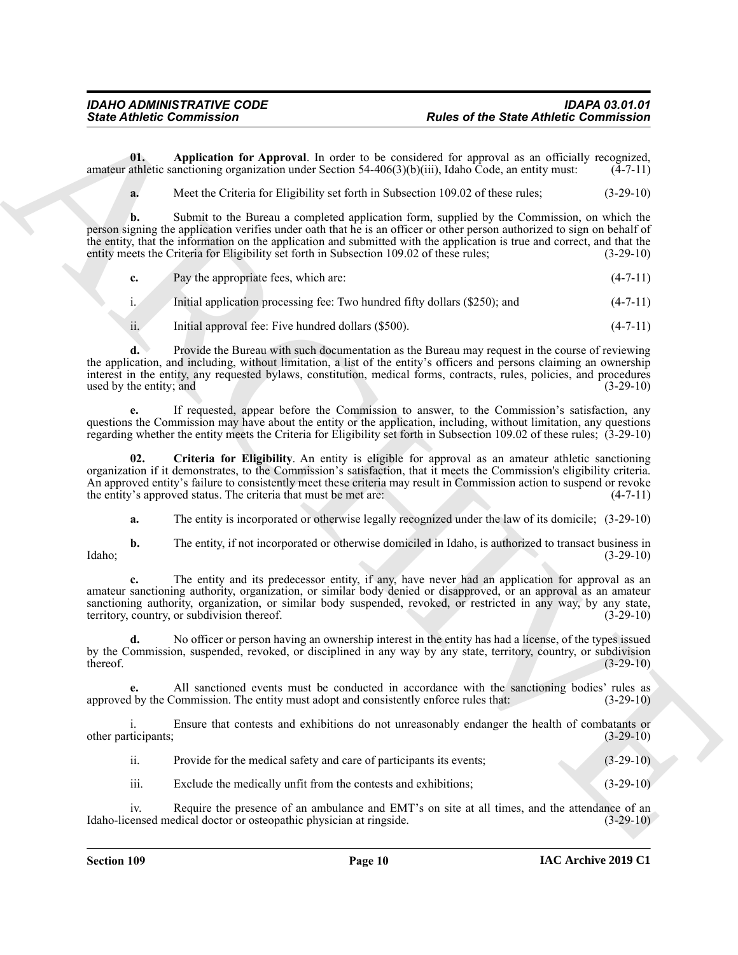**01. Application for Approval**. In order to be considered for approval as an officially recognized, amateur athletic sanctioning organization under Section 54-406(3)(b)(iii), Idaho Code, an entity must:  $(4-7-11)$ 

<span id="page-9-0"></span>**a.** Meet the Criteria for Eligibility set forth in Subsection 109.02 of these rules; (3-29-10)

Since Athletic Commutation<br>
Units of the State of State Athletic Commutation<br>
Units of the Characteristics of the Characteristics of the Characteristics of the Characteristics of the Characteristics of the Characteristics **b.** Submit to the Bureau a completed application form, supplied by the Commission, on which the person signing the application verifies under oath that he is an officer or other person authorized to sign on behalf of the entity, that the information on the application and submitted with the application is true and correct, and that the entity meets the Criteria for Eligibility set forth in Subsection 109.02 of these rules; (3-29-10)

|  | Pay the appropriate fees, which are: | $(4-7-11)$ |
|--|--------------------------------------|------------|
|--|--------------------------------------|------------|

i. Initial application processing fee: Two hundred fifty dollars (\$250); and (4-7-11)

ii. Initial approval fee: Five hundred dollars (\$500). (4-7-11)

**d.** Provide the Bureau with such documentation as the Bureau may request in the course of reviewing the application, and including, without limitation, a list of the entity's officers and persons claiming an ownership interest in the entity, any requested bylaws, constitution, medical forms, contracts, rules, policies, and procedures  $used by the entity; and$   $(3-29-10)$ 

**e.** If requested, appear before the Commission to answer, to the Commission's satisfaction, any questions the Commission may have about the entity or the application, including, without limitation, any questions regarding whether the entity meets the Criteria for Eligibility set forth in Subsection 109.02 of these rules; (3-29-10)

**02. Criteria for Eligibility**. An entity is eligible for approval as an amateur athletic sanctioning organization if it demonstrates, to the Commission's satisfaction, that it meets the Commission's eligibility criteria. An approved entity's failure to consistently meet these criteria may result in Commission action to suspend or revoke the entity's approved status. The criteria that must be met are: (4-7-11)

<span id="page-9-1"></span>**a.** The entity is incorporated or otherwise legally recognized under the law of its domicile; (3-29-10)

**b.** The entity, if not incorporated or otherwise domiciled in Idaho, is authorized to transact business in (3-29-10) Idaho; (3-29-10)

**c.** The entity and its predecessor entity, if any, have never had an application for approval as an amateur sanctioning authority, organization, or similar body denied or disapproved, or an approval as an amateur sanctioning authority, organization, or similar body suspended, revoked, or restricted in any way, by any state, territory, country, or subdivision thereof. (3-29-10) territory, country, or subdivision thereof.

**d.** No officer or person having an ownership interest in the entity has had a license, of the types issued by the Commission, suspended, revoked, or disciplined in any way by any state, territory, country, or subdivision thereof. (3-29-10)  $t$  thereof.  $(3-29-10)$ 

**e.** All sanctioned events must be conducted in accordance with the sanctioning bodies' rules as approved by the Commission. The entity must adopt and consistently enforce rules that: (3-29-10)

i. Ensure that contests and exhibitions do not unreasonably endanger the health of combatants or ticipants; (3-29-10) other participants;

ii. Provide for the medical safety and care of participants its events; (3-29-10)

iii. Exclude the medically unfit from the contests and exhibitions; (3-29-10)

iv. Require the presence of an ambulance and EMT's on site at all times, and the attendance of an Idaho-licensed medical doctor or osteopathic physician at ringside. (3-29-10)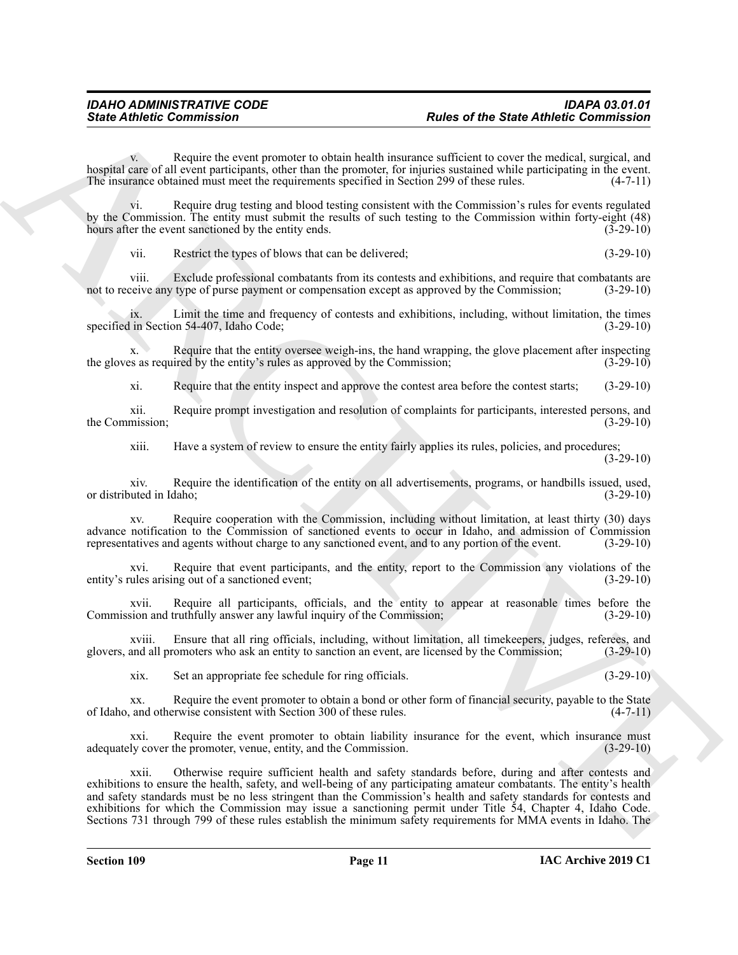Require the event promoter to obtain health insurance sufficient to cover the medical, surgical, and hospital care of all event participants, other than the promoter, for injuries sustained while participating in the event.<br>The insurance obtained must meet the requirements specified in Section 299 of these rules. (4-7-11) The insurance obtained must meet the requirements specified in Section 299 of these rules.

vi. Require drug testing and blood testing consistent with the Commission's rules for events regulated by the Commission. The entity must submit the results of such testing to the Commission within forty-eight (48) hours after the event sanctioned by the entity ends. (3-29-10)

vii. Restrict the types of blows that can be delivered; (3-29-10)

viii. Exclude professional combatants from its contests and exhibitions, and require that combatants are reive any type of purse payment or compensation except as approved by the Commission; (3-29-10) not to receive any type of purse payment or compensation except as approved by the Commission;

ix. Limit the time and frequency of contests and exhibitions, including, without limitation, the times specified in Section 54-407, Idaho Code;

x. Require that the entity oversee weigh-ins, the hand wrapping, the glove placement after inspecting the gloves as required by the entity's rules as approved by the Commission; (3-29-10)

xi. Require that the entity inspect and approve the contest area before the contest starts; (3-29-10)

xii. Require prompt investigation and resolution of complaints for participants, interested persons, and the Commission; (3-29-10)

xiii. Have a system of review to ensure the entity fairly applies its rules, policies, and procedures;

(3-29-10)

xiv. Require the identification of the entity on all advertisements, programs, or handbills issued, used, or distributed in Idaho; (3-29-10)

xv. Require cooperation with the Commission, including without limitation, at least thirty (30) days advance notification to the Commission of sanctioned events to occur in Idaho, and admission of Commission representatives and agents without charge to any sanctioned event, and to any portion of the event. (3-29-10)

xvi. Require that event participants, and the entity, report to the Commission any violations of the ules arising out of a sanctioned event;<br>(3-29-10) entity's rules arising out of a sanctioned event;

xvii. Require all participants, officials, and the entity to appear at reasonable times before the sion and truthfully answer any lawful inquiry of the Commission; (3-29-10) Commission and truthfully answer any lawful inquiry of the Commission;

xviii. Ensure that all ring officials, including, without limitation, all timekeepers, judges, referees, and glovers, and all promoters who ask an entity to sanction an event, are licensed by the Commission; (3-29-10)

xix. Set an appropriate fee schedule for ring officials. (3-29-10)

xx. Require the event promoter to obtain a bond or other form of financial security, payable to the State of Idaho, and otherwise consistent with Section 300 of these rules. (4-7-11)

xxi. Require the event promoter to obtain liability insurance for the event, which insurance must adequately cover the promoter, venue, entity, and the Commission. (3-29-10)

Since Athletic Commutation<br>
Variance of the Street Anthelic Commutation<br>
Variance of the Street Anthelic Commutation<br>
Variance of the Street Anthelic Commutation<br>
Variance of the Commutation Commutation (Commutation Commu xxii. Otherwise require sufficient health and safety standards before, during and after contests and exhibitions to ensure the health, safety, and well-being of any participating amateur combatants. The entity's health and safety standards must be no less stringent than the Commission's health and safety standards for contests and exhibitions for which the Commission may issue a sanctioning permit under Title 54, Chapter 4, Idaho Code. Sections 731 through 799 of these rules establish the minimum safety requirements for MMA events in Idaho. The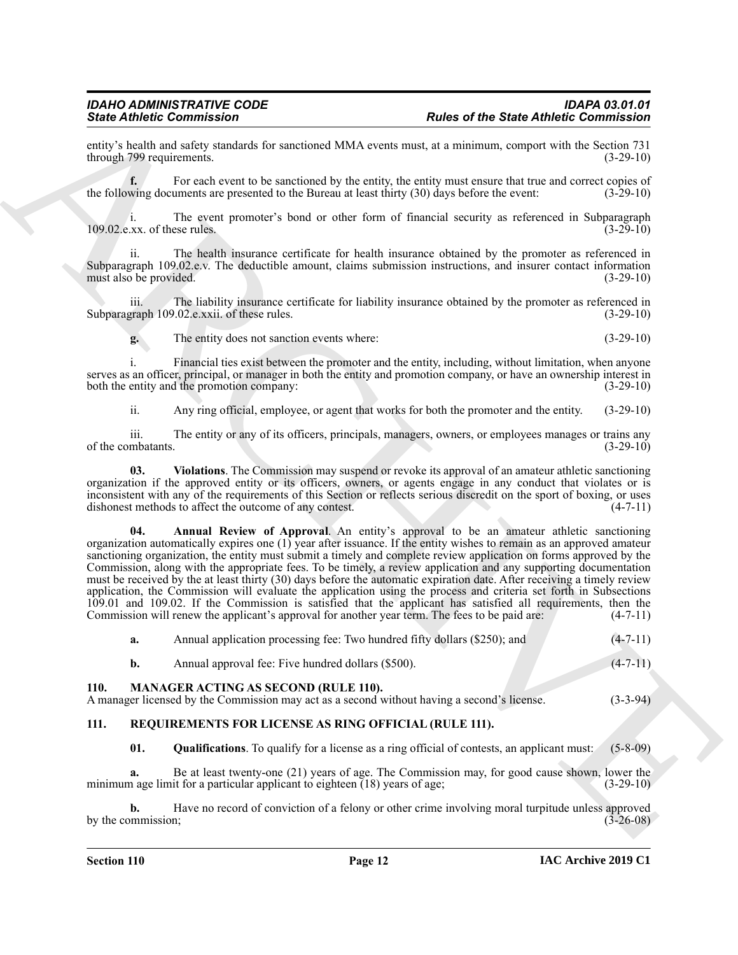entity's health and safety standards for sanctioned MMA events must, at a minimum, comport with the Section 731 through 799 requirements.

For each event to be sanctioned by the entity, the entity must ensure that true and correct copies of the following documents are presented to the Bureau at least thirty (30) days before the event: (3-29-10)

i. The event promoter's bond or other form of financial security as referenced in Subparagraph (3-29-10)<br>(3-29-10)  $109.02$ .e.xx. of these rules.

ii. The health insurance certificate for health insurance obtained by the promoter as referenced in Subparagraph 109.02.e.v. The deductible amount, claims submission instructions, and insurer contact information must also be provided. (3-29-10) must also be provided.

iii. The liability insurance certificate for liability insurance obtained by the promoter as referenced in Subparagraph 109.02.e.xxii. of these rules. (3-29-10)

**g.** The entity does not sanction events where: (3-29-10)

i. Financial ties exist between the promoter and the entity, including, without limitation, when anyone serves as an officer, principal, or manager in both the entity and promotion company, or have an ownership interest in both the entity and the promotion company: (3-29-10) (3-29-10)

<span id="page-11-3"></span>ii. Any ring official, employee, or agent that works for both the promoter and the entity. (3-29-10)

iii. The entity or any of its officers, principals, managers, owners, or employees manages or trains any mbatants. (3-29-10) of the combatants.

<span id="page-11-2"></span>**03. Violations**. The Commission may suspend or revoke its approval of an amateur athletic sanctioning organization if the approved entity or its officers, owners, or agents engage in any conduct that violates or is inconsistent with any of the requirements of this Section or reflects serious discredit on the sport of boxing, or uses dishonest methods to affect the outcome of any contest. (4-7-11) dishonest methods to affect the outcome of any contest.

Since  $\vec{B}$  the matter contribution of the same state of the State Antheir Commission of the State Antheir Commission of the State Antheir Commission of the State Antheir Commission of the State Antheir Commission of th **04. Annual Review of Approval**. An entity's approval to be an amateur athletic sanctioning organization automatically expires one (1) year after issuance. If the entity wishes to remain as an approved amateur sanctioning organization, the entity must submit a timely and complete review application on forms approved by the Commission, along with the appropriate fees. To be timely, a review application and any supporting documentation must be received by the at least thirty (30) days before the automatic expiration date. After receiving a timely review application, the Commission will evaluate the application using the process and criteria set forth in Subsections 109.01 and 109.02. If the Commission is satisfied that the applicant has satisfied all requirements, then the Commission will renew the applicant's approval for another year term. The fees to be paid are:  $(4-7-11)$ Commission will renew the applicant's approval for another year term. The fees to be paid are:

| 110. |    | <b>MANAGER ACTING AS SECOND (RULE 110).</b>                               |                |
|------|----|---------------------------------------------------------------------------|----------------|
|      |    | Annual approval fee: Five hundred dollars (\$500).                        | $(4 - 7 - 11)$ |
|      | а. | Annual application processing fee: Two hundred fifty dollars (\$250); and | $(4-7-11)$     |

<span id="page-11-4"></span><span id="page-11-0"></span>A manager licensed by the Commission may act as a second without having a second's license. (3-3-94)

#### <span id="page-11-1"></span>**111. REQUIREMENTS FOR LICENSE AS RING OFFICIAL (RULE 111).**

<span id="page-11-6"></span><span id="page-11-5"></span>**01. Qualifications**. To qualify for a license as a ring official of contests, an applicant must: (5-8-09)

**a.** Be at least twenty-one (21) years of age. The Commission may, for good cause shown, lower the minimum age limit for a particular applicant to eighteen (18) years of age; (3-29-10)

**b.** Have no record of conviction of a felony or other crime involving moral turpitude unless approved by the commission; (3-26-08)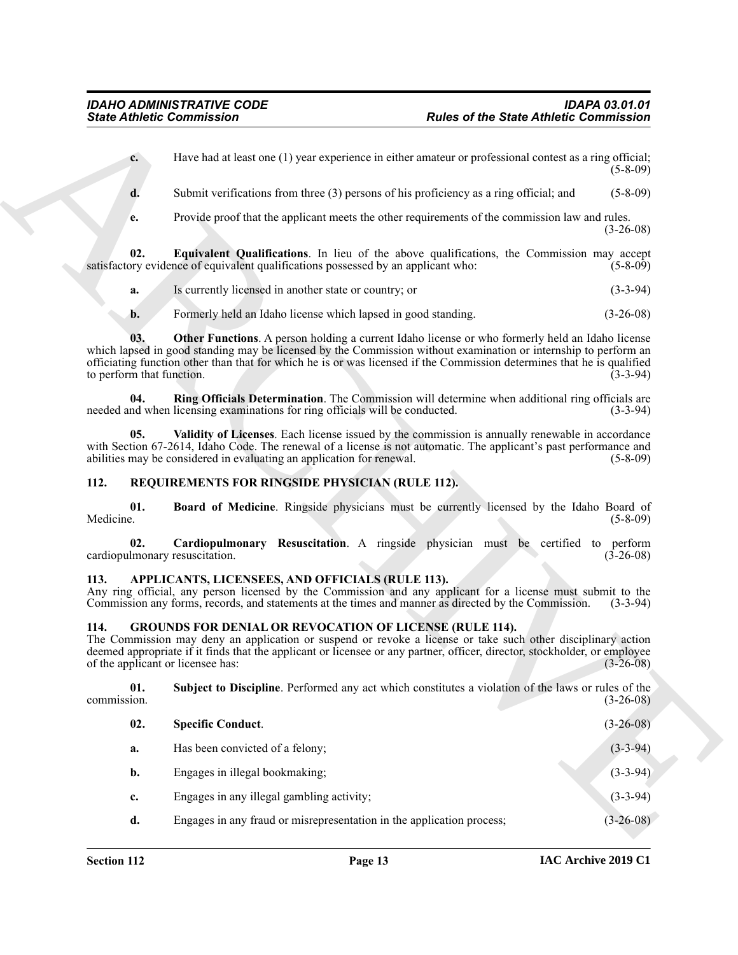- <span id="page-12-7"></span>**a.** Is currently licensed in another state or country; or (3-3-94)
- <span id="page-12-9"></span><span id="page-12-8"></span>**b.** Formerly held an Idaho license which lapsed in good standing. (3-26-08)

#### <span id="page-12-12"></span><span id="page-12-11"></span><span id="page-12-10"></span><span id="page-12-0"></span>**112. REQUIREMENTS FOR RINGSIDE PHYSICIAN (RULE 112).**

#### <span id="page-12-13"></span><span id="page-12-3"></span><span id="page-12-1"></span>**113. APPLICANTS, LICENSEES, AND OFFICIALS (RULE 113).**

#### <span id="page-12-6"></span><span id="page-12-5"></span><span id="page-12-4"></span><span id="page-12-2"></span>**114. GROUNDS FOR DENIAL OR REVOCATION OF LICENSE (RULE 114).**

|                    | <b>State Athletic Commission</b>                                                                                                                                                                                                                                                                                                                 | <b>Rules of the State Athletic Commission</b>                                                           |                 |
|--------------------|--------------------------------------------------------------------------------------------------------------------------------------------------------------------------------------------------------------------------------------------------------------------------------------------------------------------------------------------------|---------------------------------------------------------------------------------------------------------|-----------------|
|                    | $c_{\cdot}$                                                                                                                                                                                                                                                                                                                                      | Have had at least one (1) year experience in either amateur or professional contest as a ring official; | $(5-8-09)$      |
| d.                 |                                                                                                                                                                                                                                                                                                                                                  | Submit verifications from three (3) persons of his proficiency as a ring official; and                  | $(5 - 8 - 09)$  |
| e.                 |                                                                                                                                                                                                                                                                                                                                                  | Provide proof that the applicant meets the other requirements of the commission law and rules.          | $(3-26-08)$     |
| 02.                | satisfactory evidence of equivalent qualifications possessed by an applicant who:                                                                                                                                                                                                                                                                | Equivalent Qualifications. In lieu of the above qualifications, the Commission may accept               | $(5-8-09)$      |
| a.                 | Is currently licensed in another state or country; or                                                                                                                                                                                                                                                                                            |                                                                                                         | $(3-3-94)$      |
| b.                 | Formerly held an Idaho license which lapsed in good standing.                                                                                                                                                                                                                                                                                    |                                                                                                         | $(3-26-08)$     |
| 03.                | which lapsed in good standing may be licensed by the Commission without examination or internship to perform an<br>officiating function other than that for which he is or was licensed if the Commission determines that he is qualified<br>to perform that function.                                                                           | <b>Other Functions.</b> A person holding a current Idaho license or who formerly held an Idaho license  | $(3-3-94)$      |
| 04.                | needed and when licensing examinations for ring officials will be conducted.                                                                                                                                                                                                                                                                     | Ring Officials Determination. The Commission will determine when additional ring officials are          | $(3-3-94)$      |
|                    | 05.<br>with Section 67-2614, Idaho Code. The renewal of a license is not automatic. The applicant's past performance and<br>abilities may be considered in evaluating an application for renewal.                                                                                                                                                | Validity of Licenses. Each license issued by the commission is annually renewable in accordance         | $(5-8-09)$      |
| 112.               | REQUIREMENTS FOR RINGSIDE PHYSICIAN (RULE 112).                                                                                                                                                                                                                                                                                                  |                                                                                                         |                 |
| 01.<br>Medicine.   |                                                                                                                                                                                                                                                                                                                                                  | Board of Medicine. Ringside physicians must be currently licensed by the Idaho Board of                 | $(5-8-09)$      |
| 02.                | cardiopulmonary resuscitation.                                                                                                                                                                                                                                                                                                                   | Cardiopulmonary Resuscitation. A ringside physician must be certified to perform                        | $(3-26-08)$     |
| 113.               | APPLICANTS, LICENSEES, AND OFFICIALS (RULE 113).<br>Any ring official, any person licensed by the Commission and any applicant for a license must submit to the<br>Commission any forms, records, and statements at the times and manner as directed by the Commission.                                                                          |                                                                                                         | $(3-3-94)$      |
| 114.               | <b>GROUNDS FOR DENIAL OR REVOCATION OF LICENSE (RULE 114).</b><br>The Commission may deny an application or suspend or revoke a license or take such other disciplinary action<br>deemed appropriate if it finds that the applicant or licensee or any partner, officer, director, stockholder, or employee<br>of the applicant or licensee has: |                                                                                                         | $(3 - 26 - 08)$ |
| 01.<br>commission. |                                                                                                                                                                                                                                                                                                                                                  | Subject to Discipline. Performed any act which constitutes a violation of the laws or rules of the      | $(3-26-08)$     |
| 02.                | <b>Specific Conduct.</b>                                                                                                                                                                                                                                                                                                                         |                                                                                                         | $(3-26-08)$     |
| a.                 | Has been convicted of a felony;                                                                                                                                                                                                                                                                                                                  |                                                                                                         | $(3-3-94)$      |
| b.                 | Engages in illegal bookmaking;                                                                                                                                                                                                                                                                                                                   |                                                                                                         | $(3-3-94)$      |
|                    |                                                                                                                                                                                                                                                                                                                                                  |                                                                                                         | $(3-3-94)$      |
| c.                 | Engages in any illegal gambling activity;                                                                                                                                                                                                                                                                                                        |                                                                                                         |                 |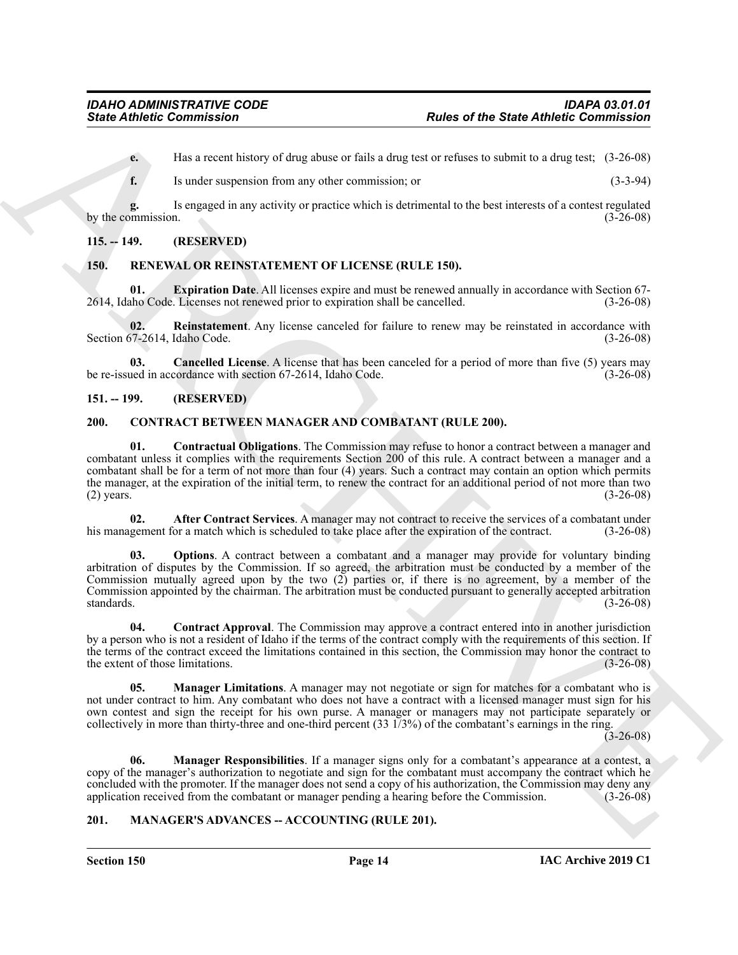**e.** Has a recent history of drug abuse or fails a drug test or refuses to submit to a drug test; (3-26-08)

**f.** Is under suspension from any other commission; or (3-3-94)

**g.** Is engaged in any activity or practice which is detrimental to the best interests of a contest regulated by the commission.

#### <span id="page-13-0"></span>**115. -- 149. (RESERVED)**

#### <span id="page-13-13"></span><span id="page-13-1"></span>**150. RENEWAL OR REINSTATEMENT OF LICENSE (RULE 150).**

<span id="page-13-15"></span>**01. Expiration Date**. All licenses expire and must be renewed annually in accordance with Section 67- 2614, Idaho Code. Licenses not renewed prior to expiration shall be cancelled. (3-26-08)

<span id="page-13-16"></span>**02.** Reinstatement. Any license canceled for failure to renew may be reinstated in accordance with  $57-2614$ , Idaho Code. (3-26-08) Section 67-2614, Idaho Code.

<span id="page-13-14"></span>**03. Cancelled License**. A license that has been canceled for a period of more than five (5) years may be re-issued in accordance with section 67-2614, Idaho Code. (3-26-08)

#### <span id="page-13-2"></span>**151. -- 199. (RESERVED)**

#### <span id="page-13-8"></span><span id="page-13-5"></span><span id="page-13-3"></span>**200. CONTRACT BETWEEN MANAGER AND COMBATANT (RULE 200).**

**Since Athletic Commission**<br>
Later of the State Athletic Commission<br>
Later active of the state active of the state of a considered with the state of the state of the state of the state of the state of the state of the sta **01. Contractual Obligations**. The Commission may refuse to honor a contract between a manager and combatant unless it complies with the requirements Section 200 of this rule. A contract between a manager and a combatant shall be for a term of not more than four (4) years. Such a contract may contain an option which permits the manager, at the expiration of the initial term, to renew the contract for an additional period of not more than two (2) years.  $(3-26-08)$ 

<span id="page-13-6"></span>**02. After Contract Services**. A manager may not contract to receive the services of a combatant under his management for a match which is scheduled to take place after the expiration of the contract. (3-26-08)

<span id="page-13-11"></span>**03.** Options. A contract between a combatant and a manager may provide for voluntary binding arbitration of disputes by the Commission. If so agreed, the arbitration must be conducted by a member of the Commission mutually agreed upon by the two (2) parties or, if there is no agreement, by a member of the Commission appointed by the chairman. The arbitration must be conducted pursuant to generally accepted arbitration standards. (3-26-08)

<span id="page-13-7"></span>**04. Contract Approval**. The Commission may approve a contract entered into in another jurisdiction by a person who is not a resident of Idaho if the terms of the contract comply with the requirements of this section. If the terms of the contract exceed the limitations contained in this section, the Commission may honor the contract to the extent of those limitations. (3-26-08)

<span id="page-13-9"></span>**05. Manager Limitations**. A manager may not negotiate or sign for matches for a combatant who is not under contract to him. Any combatant who does not have a contract with a licensed manager must sign for his own contest and sign the receipt for his own purse. A manager or managers may not participate separately or collectively in more than thirty-three and one-third percent (33 1/3%) of the combatant's earnings in the ring.

 $(3-26-08)$ 

<span id="page-13-10"></span>**06. Manager Responsibilities**. If a manager signs only for a combatant's appearance at a contest, a copy of the manager's authorization to negotiate and sign for the combatant must accompany the contract which he concluded with the promoter. If the manager does not send a copy of his authorization, the Commission may deny any application received from the combatant or manager pending a hearing before the Commission. (3-26-08) application received from the combatant or manager pending a hearing before the Commission.

#### <span id="page-13-12"></span><span id="page-13-4"></span>**201. MANAGER'S ADVANCES -- ACCOUNTING (RULE 201).**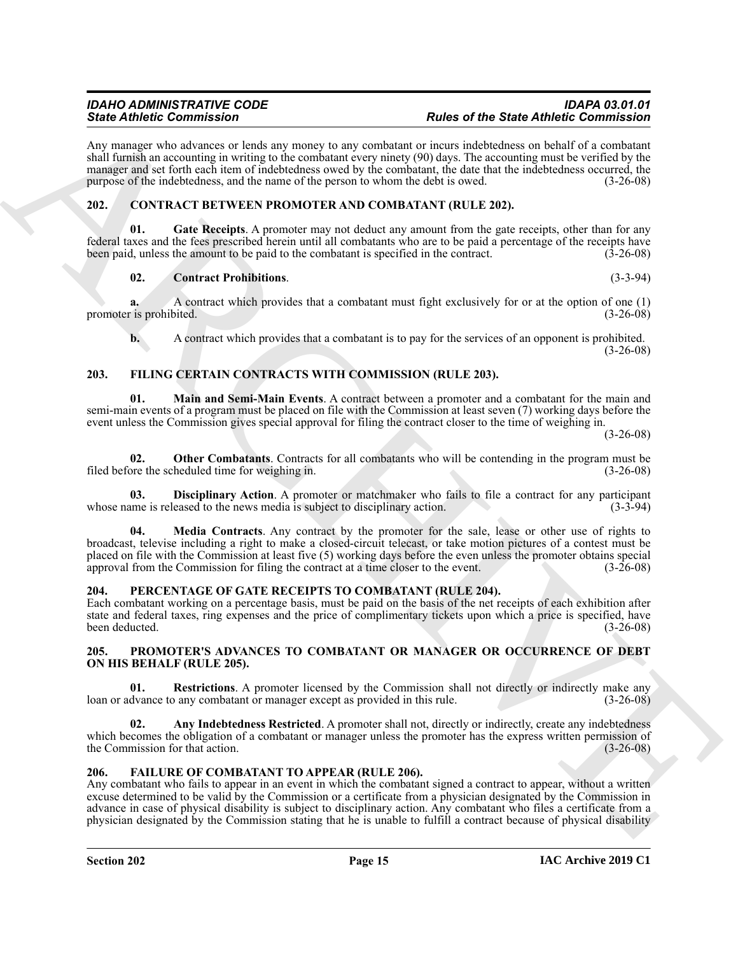Any manager who advances or lends any money to any combatant or incurs indebtedness on behalf of a combatant shall furnish an accounting in writing to the combatant every ninety (90) days. The accounting must be verified by the manager and set forth each item of indebtedness owed by the combatant, the date that the indebtedness occurred, the purpose of the indebtedness, and the name of the person to whom the debt is owed. (3-26-08)

### <span id="page-14-5"></span><span id="page-14-0"></span>**202. CONTRACT BETWEEN PROMOTER AND COMBATANT (RULE 202).**

Gate Receipts. A promoter may not deduct any amount from the gate receipts, other than for any federal taxes and the fees prescribed herein until all combatants who are to be paid a percentage of the receipts have been paid, unless the amount to be paid to the combatant is specified in the contract. (3-26-08)

#### <span id="page-14-7"></span><span id="page-14-6"></span>**02. Contract Prohibitions**. (3-3-94)

**a.** A contract which provides that a combatant must fight exclusively for or at the option of one (1) promoter is prohibited. (3-26-08)

<span id="page-14-11"></span><span id="page-14-9"></span>**b.** A contract which provides that a combatant is to pay for the services of an opponent is prohibited.  $(3-26-08)$ 

### <span id="page-14-1"></span>**203. FILING CERTAIN CONTRACTS WITH COMMISSION (RULE 203).**

**01. Main and Semi-Main Events**. A contract between a promoter and a combatant for the main and semi-main events of a program must be placed on file with the Commission at least seven (7) working days before the event unless the Commission gives special approval for filing the contract closer to the time of weighing in.

(3-26-08)

<span id="page-14-13"></span>**02. Other Combatants**. Contracts for all combatants who will be contending in the program must be ore the scheduled time for weighing in. (3-26-08) filed before the scheduled time for weighing in.

<span id="page-14-12"></span><span id="page-14-10"></span>**03. Disciplinary Action**. A promoter or matchmaker who fails to file a contract for any participant ame is released to the news media is subject to disciplinary action. (3-3-94) whose name is released to the news media is subject to disciplinary action.

Since  $R$  and the contribution of the since the since of the Since Anti-Bin and the since the since the since the since of the since of the since of the since of the since of the since of the since of the since of the sin **04. Media Contracts**. Any contract by the promoter for the sale, lease or other use of rights to broadcast, televise including a right to make a closed-circuit telecast, or take motion pictures of a contest must be placed on file with the Commission at least five (5) working days before the even unless the promoter obtains special approval from the Commission for filing the contract at a time closer to the event. (3-26-08)

#### <span id="page-14-14"></span><span id="page-14-2"></span>**204. PERCENTAGE OF GATE RECEIPTS TO COMBATANT (RULE 204).**

Each combatant working on a percentage basis, must be paid on the basis of the net receipts of each exhibition after state and federal taxes, ring expenses and the price of complimentary tickets upon which a price is specified, have been deducted. (3-26-08)

#### <span id="page-14-15"></span><span id="page-14-3"></span>**205. PROMOTER'S ADVANCES TO COMBATANT OR MANAGER OR OCCURRENCE OF DEBT ON HIS BEHALF (RULE 205).**

<span id="page-14-17"></span>**01. Restrictions**. A promoter licensed by the Commission shall not directly or indirectly make any loan or advance to any combatant or manager except as provided in this rule. (3-26-08)

<span id="page-14-16"></span>**02.** Any Indebtedness Restricted. A promoter shall not, directly or indirectly, create any indebtedness which becomes the obligation of a combatant or manager unless the promoter has the express written permission of the Commission for that action. (3-26-08)

### <span id="page-14-8"></span><span id="page-14-4"></span>**206. FAILURE OF COMBATANT TO APPEAR (RULE 206).**

Any combatant who fails to appear in an event in which the combatant signed a contract to appear, without a written excuse determined to be valid by the Commission or a certificate from a physician designated by the Commission in advance in case of physical disability is subject to disciplinary action. Any combatant who files a certificate from a physician designated by the Commission stating that he is unable to fulfill a contract because of physical disability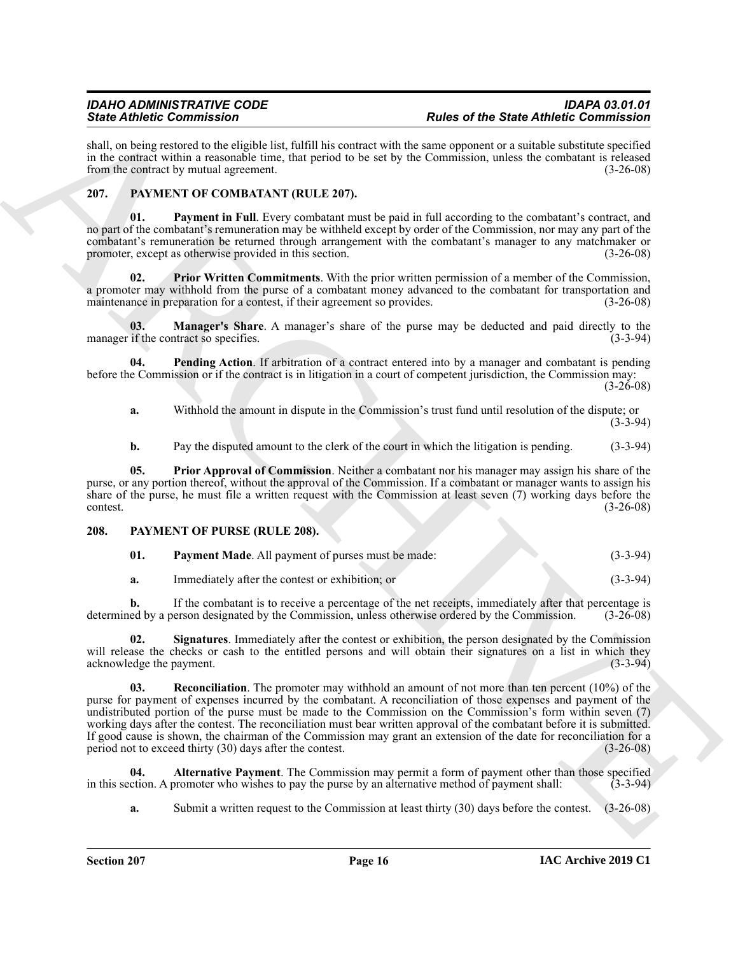shall, on being restored to the eligible list, fulfill his contract with the same opponent or a suitable substitute specified in the contract within a reasonable time, that period to be set by the Commission, unless the combatant is released from the contract by mutual agreement. (3-26-08)

#### <span id="page-15-2"></span><span id="page-15-0"></span>**207. PAYMENT OF COMBATANT (RULE 207).**

<span id="page-15-4"></span>**01. Payment in Full**. Every combatant must be paid in full according to the combatant's contract, and no part of the combatant's remuneration may be withheld except by order of the Commission, nor may any part of the combatant's remuneration be returned through arrangement with the combatant's manager to any matchmaker or promoter, except as otherwise provided in this section. (3-26-08)

<span id="page-15-7"></span>**02. Prior Written Commitments**. With the prior written permission of a member of the Commission, a promoter may withhold from the purse of a combatant money advanced to the combatant for transportation and maintenance in preparation for a contest, if their agreement so provides. (3-26-08)

<span id="page-15-3"></span>**03. Manager's Share**. A manager's share of the purse may be deducted and paid directly to the if the contract so specifies. (3-3-94) manager if the contract so specifies.

**04. Pending Action**. If arbitration of a contract entered into by a manager and combatant is pending before the Commission or if the contract is in litigation in a court of competent jurisdiction, the Commission may:

(3-26-08)

<span id="page-15-5"></span>**a.** Withhold the amount in dispute in the Commission's trust fund until resolution of the dispute; or (3-3-94)

<span id="page-15-6"></span>**b.** Pay the disputed amount to the clerk of the court in which the litigation is pending. (3-3-94)

**05. Prior Approval of Commission**. Neither a combatant nor his manager may assign his share of the purse, or any portion thereof, without the approval of the Commission. If a combatant or manager wants to assign his share of the purse, he must file a written request with the Commission at least seven (7) working days before the contest. (3-26-08)

#### <span id="page-15-1"></span>**208. PAYMENT OF PURSE (RULE 208).**

<span id="page-15-10"></span><span id="page-15-8"></span>

| Payment Made. All payment of purses must be made: | $(3-3-94)$ |
|---------------------------------------------------|------------|
|                                                   |            |

<span id="page-15-12"></span>**a.** Immediately after the contest or exhibition; or (3-3-94)

**b.** If the combatant is to receive a percentage of the net receipts, immediately after that percentage is ed by a person designated by the Commission, unless otherwise ordered by the Commission. (3-26-08) determined by a person designated by the Commission, unless otherwise ordered by the Commission.

<span id="page-15-11"></span>**02. Signatures**. Immediately after the contest or exhibition, the person designated by the Commission will release the checks or cash to the entitled persons and will obtain their signatures on a list in which they acknowledge the payment. (3-3-94) acknowledge the payment.

Since Contents and the specific term is the specific term of the specific distribution of the Since Contents and the specific term is the specific of the specific term is the specific of the specific term is a specific te **03. Reconciliation**. The promoter may withhold an amount of not more than ten percent (10%) of the purse for payment of expenses incurred by the combatant. A reconciliation of those expenses and payment of the undistributed portion of the purse must be made to the Commission on the Commission's form within seven (7) working days after the contest. The reconciliation must bear written approval of the combatant before it is submitted. If good cause is shown, the chairman of the Commission may grant an extension of the date for reconciliation for a period not to exceed thirty  $(30)$  days after the contest.  $(3-26-08)$ period not to exceed thirty  $(30)$  days after the contest.

**04. Alternative Payment**. The Commission may permit a form of payment other than those specified in this section. A promoter who wishes to pay the purse by an alternative method of payment shall: (3-3-94)

<span id="page-15-9"></span>**a.** Submit a written request to the Commission at least thirty (30) days before the contest. (3-26-08)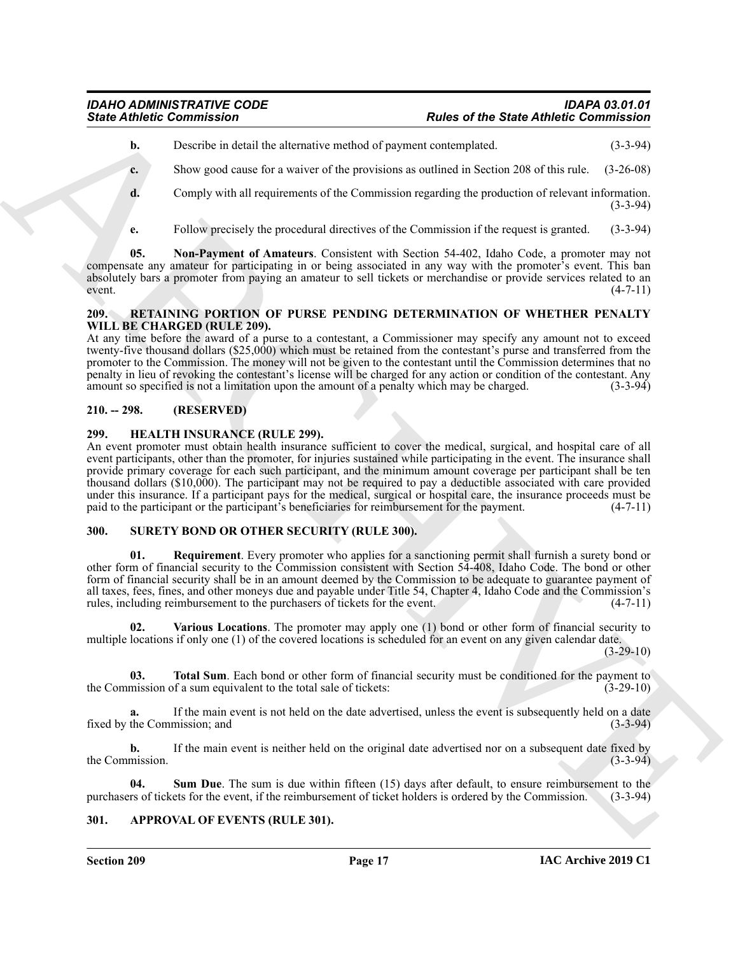- **b.** Describe in detail the alternative method of payment contemplated. (3-3-94)
- **c.** Show good cause for a waiver of the provisions as outlined in Section 208 of this rule. (3-26-08)
- **d.** Comply with all requirements of the Commission regarding the production of relevant information. (3-3-94)
- <span id="page-16-7"></span>**e.** Follow precisely the procedural directives of the Commission if the request is granted. (3-3-94)

**05. Non-Payment of Amateurs**. Consistent with Section 54-402, Idaho Code, a promoter may not compensate any amateur for participating in or being associated in any way with the promoter's event. This ban absolutely bars a promoter from paying an amateur to sell tickets or merchandise or provide services related to an event. (4-7-11)  $(4-7-11)$ 

#### <span id="page-16-8"></span><span id="page-16-0"></span>**209. RETAINING PORTION OF PURSE PENDING DETERMINATION OF WHETHER PENALTY WILL BE CHARGED (RULE 209).**

At any time before the award of a purse to a contestant, a Commissioner may specify any amount not to exceed twenty-five thousand dollars (\$25,000) which must be retained from the contestant's purse and transferred from the promoter to the Commission. The money will not be given to the contestant until the Commission determines that no penalty in lieu of revoking the contestant's license will be charged for any action or condition of the contestant. Any amount so specified is not a limitation upon the amount of a penalty which may be charged. (3-3-94)

### <span id="page-16-1"></span>**210. -- 298. (RESERVED)**

#### <span id="page-16-6"></span><span id="page-16-2"></span>**299. HEALTH INSURANCE (RULE 299).**

Since Athletic Commission<br>
Under or the State Athletic Commission<br>
Under or the State Athletic Commission<br>
Under or the state of the State Athletic Commission<br>
Complex with all requirements of the Commission regarding the An event promoter must obtain health insurance sufficient to cover the medical, surgical, and hospital care of all event participants, other than the promoter, for injuries sustained while participating in the event. The insurance shall provide primary coverage for each such participant, and the minimum amount coverage per participant shall be ten thousand dollars (\$10,000). The participant may not be required to pay a deductible associated with care provided under this insurance. If a participant pays for the medical, surgical or hospital care, the insurance proceeds must be paid to the participant or the participant's beneficiaries for reimbursement for the payment. (4-7-11) paid to the participant or the participant's beneficiaries for reimbursement for the payment.

#### <span id="page-16-9"></span><span id="page-16-3"></span>**300. SURETY BOND OR OTHER SECURITY (RULE 300).**

<span id="page-16-10"></span>**01. Requirement**. Every promoter who applies for a sanctioning permit shall furnish a surety bond or other form of financial security to the Commission consistent with Section 54-408, Idaho Code. The bond or other form of financial security shall be in an amount deemed by the Commission to be adequate to guarantee payment of all taxes, fees, fines, and other moneys due and payable under Title 54, Chapter 4, Idaho Code and the Commission's rules, including reimbursement to the purchasers of tickets for the event. (4-7-11)

<span id="page-16-13"></span>**02. Various Locations**. The promoter may apply one (1) bond or other form of financial security to multiple locations if only one (1) of the covered locations is scheduled for an event on any given calendar date.

 $(3-29-10)$ 

<span id="page-16-12"></span>**03. Total Sum**. Each bond or other form of financial security must be conditioned for the payment to mission of a sum equivalent to the total sale of tickets: (3-29-10) the Commission of a sum equivalent to the total sale of tickets:

**a.** If the main event is not held on the date advertised, unless the event is subsequently held on a date fixed by the Commission; and (3-3-94) (3-3-94)

**b.** If the main event is neither held on the original date advertised nor on a subsequent date fixed by the Commission. (3-3-94)

<span id="page-16-11"></span>**04.** Sum Due. The sum is due within fifteen (15) days after default, to ensure reimbursement to the rs of tickets for the event, if the reimbursement of ticket holders is ordered by the Commission. (3-3-94) purchasers of tickets for the event, if the reimbursement of ticket holders is ordered by the Commission.

#### <span id="page-16-5"></span><span id="page-16-4"></span>**301. APPROVAL OF EVENTS (RULE 301).**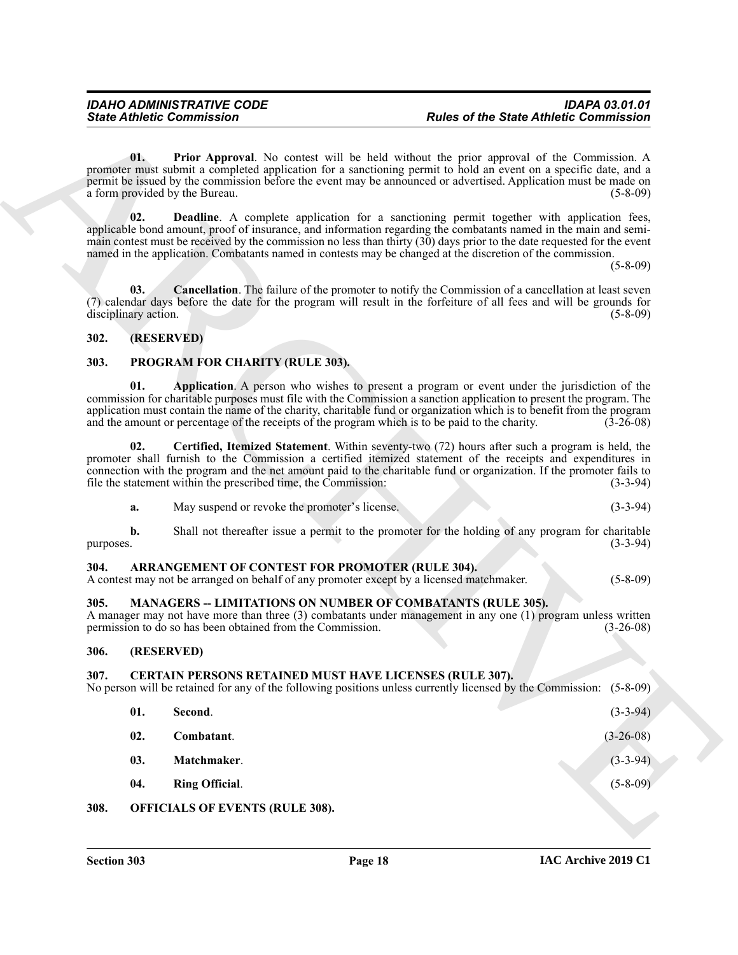#### <span id="page-17-8"></span><span id="page-17-7"></span><span id="page-17-0"></span>**302. (RESERVED)**

#### <span id="page-17-19"></span><span id="page-17-18"></span><span id="page-17-1"></span>**303. PROGRAM FOR CHARITY (RULE 303).**

<span id="page-17-20"></span>

| a. | May suspend or revoke the promoter's license. |  |  |  |
|----|-----------------------------------------------|--|--|--|
|----|-----------------------------------------------|--|--|--|

#### <span id="page-17-10"></span><span id="page-17-2"></span>**304. ARRANGEMENT OF CONTEST FOR PROMOTER (RULE 304).**

#### <span id="page-17-16"></span><span id="page-17-3"></span>**305. MANAGERS -- LIMITATIONS ON NUMBER OF COMBATANTS (RULE 305).**

#### <span id="page-17-4"></span>**306. (RESERVED)**

#### <span id="page-17-17"></span><span id="page-17-15"></span><span id="page-17-14"></span><span id="page-17-13"></span><span id="page-17-12"></span><span id="page-17-11"></span><span id="page-17-6"></span><span id="page-17-5"></span>**307. CERTAIN PERSONS RETAINED MUST HAVE LICENSES (RULE 307).**

<span id="page-17-9"></span>

|           | <b>State Athletic Commission</b>                                                                                                            | <b>Rules of the State Athletic Commission</b>                                                                                                                                                                                                                                                                                                                                                                                                                               |
|-----------|---------------------------------------------------------------------------------------------------------------------------------------------|-----------------------------------------------------------------------------------------------------------------------------------------------------------------------------------------------------------------------------------------------------------------------------------------------------------------------------------------------------------------------------------------------------------------------------------------------------------------------------|
|           | 01.<br>a form provided by the Bureau.                                                                                                       | <b>Prior Approval.</b> No contest will be held without the prior approval of the Commission. A<br>promoter must submit a completed application for a sanctioning permit to hold an event on a specific date, and a<br>permit be issued by the commission before the event may be announced or advertised. Application must be made on<br>$(5-8-09)$                                                                                                                         |
|           | 02.                                                                                                                                         | <b>Deadline.</b> A complete application for a sanctioning permit together with application fees,<br>applicable bond amount, proof of insurance, and information regarding the combatants named in the main and semi-<br>main contest must be received by the commission no less than thirty (30) days prior to the date requested for the event<br>named in the application. Combatants named in contests may be changed at the discretion of the commission.<br>$(5-8-09)$ |
|           | 03.<br>disciplinary action.                                                                                                                 | <b>Cancellation.</b> The failure of the promoter to notify the Commission of a cancellation at least seven<br>(7) calendar days before the date for the program will result in the forfeiture of all fees and will be grounds for<br>$(5-8-09)$                                                                                                                                                                                                                             |
| 302.      | (RESERVED)                                                                                                                                  |                                                                                                                                                                                                                                                                                                                                                                                                                                                                             |
| 303.      | PROGRAM FOR CHARITY (RULE 303).                                                                                                             |                                                                                                                                                                                                                                                                                                                                                                                                                                                                             |
|           | 01.<br>and the amount or percentage of the receipts of the program which is to be paid to the charity.                                      | Application. A person who wishes to present a program or event under the jurisdiction of the<br>commission for charitable purposes must file with the Commission a sanction application to present the program. The<br>application must contain the name of the charity, charitable fund or organization which is to benefit from the program<br>$(3-26-08)$                                                                                                                |
|           | 02.<br>file the statement within the prescribed time, the Commission:                                                                       | Certified, Itemized Statement. Within seventy-two (72) hours after such a program is held, the<br>promoter shall furnish to the Commission a certified itemized statement of the receipts and expenditures in<br>connection with the program and the net amount paid to the charitable fund or organization. If the promoter fails to<br>$(3-3-94)$                                                                                                                         |
|           | May suspend or revoke the promoter's license.<br>a.                                                                                         | $(3-3-94)$                                                                                                                                                                                                                                                                                                                                                                                                                                                                  |
| purposes. | b.                                                                                                                                          | Shall not thereafter issue a permit to the promoter for the holding of any program for charitable<br>$(3-3-94)$                                                                                                                                                                                                                                                                                                                                                             |
| 304.      | ARRANGEMENT OF CONTEST FOR PROMOTER (RULE 304).<br>A contest may not be arranged on behalf of any promoter except by a licensed matchmaker. | $(5-8-09)$                                                                                                                                                                                                                                                                                                                                                                                                                                                                  |
| 305.      | <b>MANAGERS -- LIMITATIONS ON NUMBER OF COMBATANTS (RULE 305).</b><br>permission to do so has been obtained from the Commission.            | A manager may not have more than three $(3)$ combatants under management in any one $(1)$ program unless written<br>$(3-26-08)$                                                                                                                                                                                                                                                                                                                                             |
| 306.      | (RESERVED)                                                                                                                                  |                                                                                                                                                                                                                                                                                                                                                                                                                                                                             |
| 307.      | <b>CERTAIN PERSONS RETAINED MUST HAVE LICENSES (RULE 307).</b>                                                                              | No person will be retained for any of the following positions unless currently licensed by the Commission:<br>$(5 - 8 - 09)$                                                                                                                                                                                                                                                                                                                                                |
|           | 01.<br>Second.                                                                                                                              | $(3-3-94)$                                                                                                                                                                                                                                                                                                                                                                                                                                                                  |
|           | 02.<br>Combatant.                                                                                                                           | $(3-26-08)$                                                                                                                                                                                                                                                                                                                                                                                                                                                                 |
|           | Matchmaker.<br>03.                                                                                                                          | $(3-3-94)$                                                                                                                                                                                                                                                                                                                                                                                                                                                                  |
|           | 04.<br><b>Ring Official.</b>                                                                                                                | $(5 - 8 - 09)$                                                                                                                                                                                                                                                                                                                                                                                                                                                              |
|           |                                                                                                                                             |                                                                                                                                                                                                                                                                                                                                                                                                                                                                             |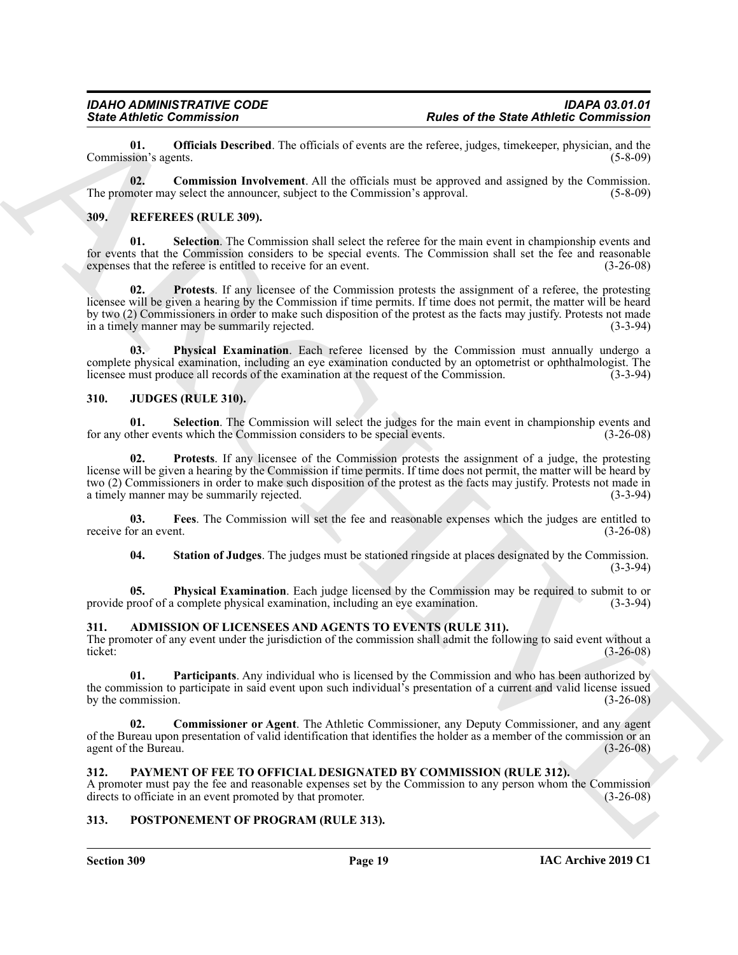<span id="page-18-15"></span>**01. Officials Described**. The officials of events are the referee, judges, timekeeper, physician, and the sion's agents. (5-8-09) Commission's agents.

<span id="page-18-14"></span>**02. Commission Involvement**. All the officials must be approved and assigned by the Commission. The promoter may select the announcer, subject to the Commission's approval. (5-8-09) (5-8-09)

#### <span id="page-18-18"></span><span id="page-18-0"></span>**309. REFEREES (RULE 309).**

<span id="page-18-21"></span><span id="page-18-20"></span>**01. Selection**. The Commission shall select the referee for the main event in championship events and for events that the Commission considers to be special events. The Commission shall set the fee and reasonable expenses that the referee is entitled to receive for an event. (3-26-08) expenses that the referee is entitled to receive for an event.

Since Zahme, Commission<br>
Commission Carrier (Exception To-values) of overtrained the Same Antheir Columnistics of the Same Antheir Commission<br>
The gradient space of the Same Antheir Commission of the second commission of **02. Protests**. If any licensee of the Commission protests the assignment of a referee, the protesting licensee will be given a hearing by the Commission if time permits. If time does not permit, the matter will be heard by two (2) Commissioners in order to make such disposition of the protest as the facts may justify. Protests not made<br>in a timely manner may be summarily rejected. in a timely manner may be summarily rejected.

<span id="page-18-19"></span>**Physical Examination**. Each referee licensed by the Commission must annually undergo a complete physical examination, including an eye examination conducted by an optometrist or ophthalmologist. The licensee must produce all records of the examination at the request of the Commission. (3-3-94) licensee must produce all records of the examination at the request of the Commission.

#### <span id="page-18-8"></span><span id="page-18-1"></span>**310. JUDGES (RULE 310).**

<span id="page-18-12"></span>**01.** Selection. The Commission will select the judges for the main event in championship events and ther events which the Commission considers to be special events. (3-26-08) for any other events which the Commission considers to be special events.

<span id="page-18-11"></span>**02. Protests**. If any licensee of the Commission protests the assignment of a judge, the protesting license will be given a hearing by the Commission if time permits. If time does not permit, the matter will be heard by two (2) Commissioners in order to make such disposition of the protest as the facts may justify. Protests not made in a timely manner may be summarily rejected. (3-3-94)

**03. Fees**. The Commission will set the fee and reasonable expenses which the judges are entitled to receive for an event. (3-26-08)

<span id="page-18-13"></span><span id="page-18-10"></span><span id="page-18-9"></span>**04. Station of Judges**. The judges must be stationed ringside at places designated by the Commission. (3-3-94)

**05. Physical Examination**. Each judge licensed by the Commission may be required to submit to or provide proof of a complete physical examination, including an eye examination. (3-3-94)

#### <span id="page-18-5"></span><span id="page-18-2"></span>**311. ADMISSION OF LICENSEES AND AGENTS TO EVENTS (RULE 311).**

The promoter of any event under the jurisdiction of the commission shall admit the following to said event without a ticket:<br>(3-26-08) ticket: (3-26-08)

<span id="page-18-7"></span>**01. Participants**. Any individual who is licensed by the Commission and who has been authorized by the commission to participate in said event upon such individual's presentation of a current and valid license issued by the commission.  $(3-26-08)$ 

<span id="page-18-6"></span>**02. Commissioner or Agent**. The Athletic Commissioner, any Deputy Commissioner, and any agent of the Bureau upon presentation of valid identification that identifies the holder as a member of the commission or an agent of the Bureau. (3-26-08)

#### <span id="page-18-16"></span><span id="page-18-3"></span>**312. PAYMENT OF FEE TO OFFICIAL DESIGNATED BY COMMISSION (RULE 312).**

A promoter must pay the fee and reasonable expenses set by the Commission to any person whom the Commission directs to officiate in an event promoted by that promoter. (3-26-08) directs to officiate in an event promoted by that promoter.

#### <span id="page-18-17"></span><span id="page-18-4"></span>**313. POSTPONEMENT OF PROGRAM (RULE 313).**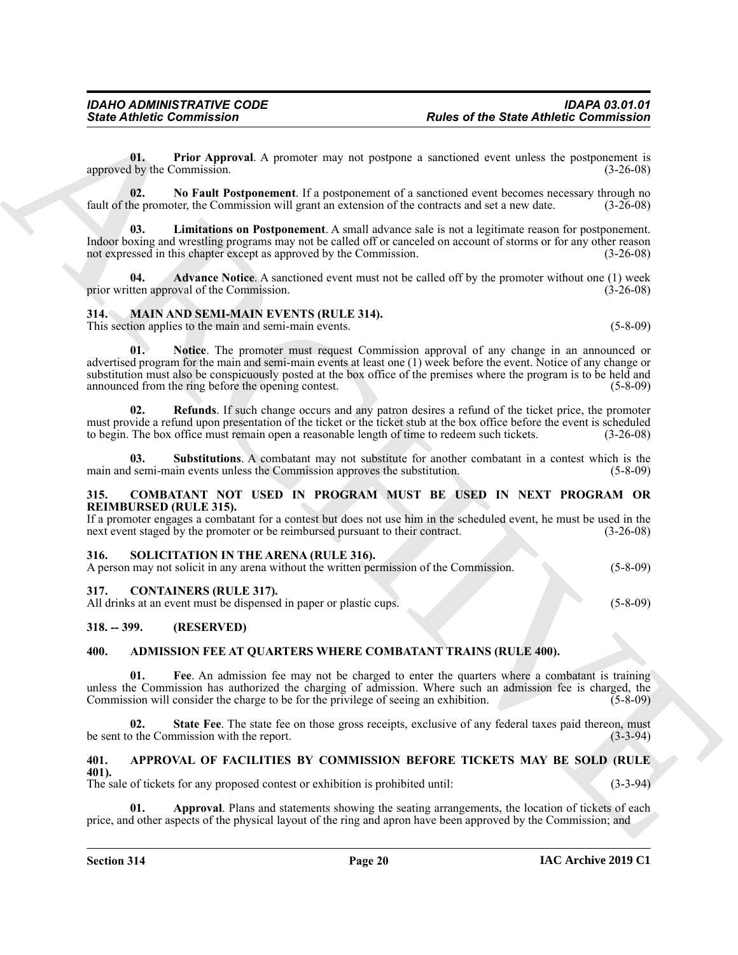<span id="page-19-21"></span>**01. Prior Approval**. A promoter may not postpone a sanctioned event unless the postponement is approved by the Commission. (3-26-08)

<span id="page-19-20"></span>**02. No Fault Postponement**. If a postponement of a sanctioned event becomes necessary through no fault of the promoter, the Commission will grant an extension of the contracts and set a new date. (3-26-08)

<span id="page-19-19"></span>**03. Limitations on Postponement**. A small advance sale is not a legitimate reason for postponement. Indoor boxing and wrestling programs may not be called off or canceled on account of storms or for any other reason not expressed in this chapter except as approved by the Commission. (3-26-08)

<span id="page-19-18"></span>**04. Advance Notice**. A sanctioned event must not be called off by the promoter without one (1) week tten approval of the Commission. (3-26-08) prior written approval of the Commission.

#### <span id="page-19-14"></span><span id="page-19-0"></span>**314. MAIN AND SEMI-MAIN EVENTS (RULE 314).** This section applies to the main and semi-main events. (5-8-09)

<span id="page-19-15"></span>

**Since Athletic Commutation**<br>
U. The Approval. A presenter taxy not postpay a statistical contract the first and the postpay and the statistical contract of the Approximation of the Approximation of the Approximation of t **01. Notice**. The promoter must request Commission approval of any change in an announced or advertised program for the main and semi-main events at least one (1) week before the event. Notice of any change or substitution must also be conspicuously posted at the box office of the premises where the program is to be held and announced from the ring before the opening contest. (5-8-09)

<span id="page-19-16"></span>**02. Refunds**. If such change occurs and any patron desires a refund of the ticket price, the promoter must provide a refund upon presentation of the ticket or the ticket stub at the box office before the event is scheduled to begin. The box office must remain open a reasonable length of time to redeem such tickets. (3-26-08)

<span id="page-19-17"></span>**03. Substitutions**. A combatant may not substitute for another combatant in a contest which is the main and semi-main events unless the Commission approves the substitution. (5-8-09)

#### <span id="page-19-12"></span><span id="page-19-1"></span>**315. COMBATANT NOT USED IN PROGRAM MUST BE USED IN NEXT PROGRAM OR REIMBURSED (RULE 315).**

If a promoter engages a combatant for a contest but does not use him in the scheduled event, he must be used in the next event staged by the promoter or be reimbursed pursuant to their contract.  $(3-26-08)$ 

#### <span id="page-19-22"></span><span id="page-19-2"></span>**316. SOLICITATION IN THE ARENA (RULE 316).**

A person may not solicit in any arena without the written permission of the Commission. (5-8-09)

#### <span id="page-19-13"></span><span id="page-19-3"></span>**317. CONTAINERS (RULE 317).**

All drinks at an event must be dispensed in paper or plastic cups. (5-8-09)

#### <span id="page-19-4"></span>**318. -- 399. (RESERVED)**

#### <span id="page-19-7"></span><span id="page-19-5"></span>**400. ADMISSION FEE AT QUARTERS WHERE COMBATANT TRAINS (RULE 400).**

<span id="page-19-8"></span>**01. Fee**. An admission fee may not be charged to enter the quarters where a combatant is training unless the Commission has authorized the charging of admission. Where such an admission fee is charged, the Commission will consider the charge to be for the privilege of seeing an exhibition. (5-8-09)

<span id="page-19-9"></span>**02.** State Fee. The state fee on those gross receipts, exclusive of any federal taxes paid thereon, must b the Commission with the report. (3-3-94) be sent to the Commission with the report.

#### <span id="page-19-10"></span><span id="page-19-6"></span>**401. APPROVAL OF FACILITIES BY COMMISSION BEFORE TICKETS MAY BE SOLD (RULE 401).**

The sale of tickets for any proposed contest or exhibition is prohibited until: (3-3-94)

<span id="page-19-11"></span>Approval. Plans and statements showing the seating arrangements, the location of tickets of each price, and other aspects of the physical layout of the ring and apron have been approved by the Commission; and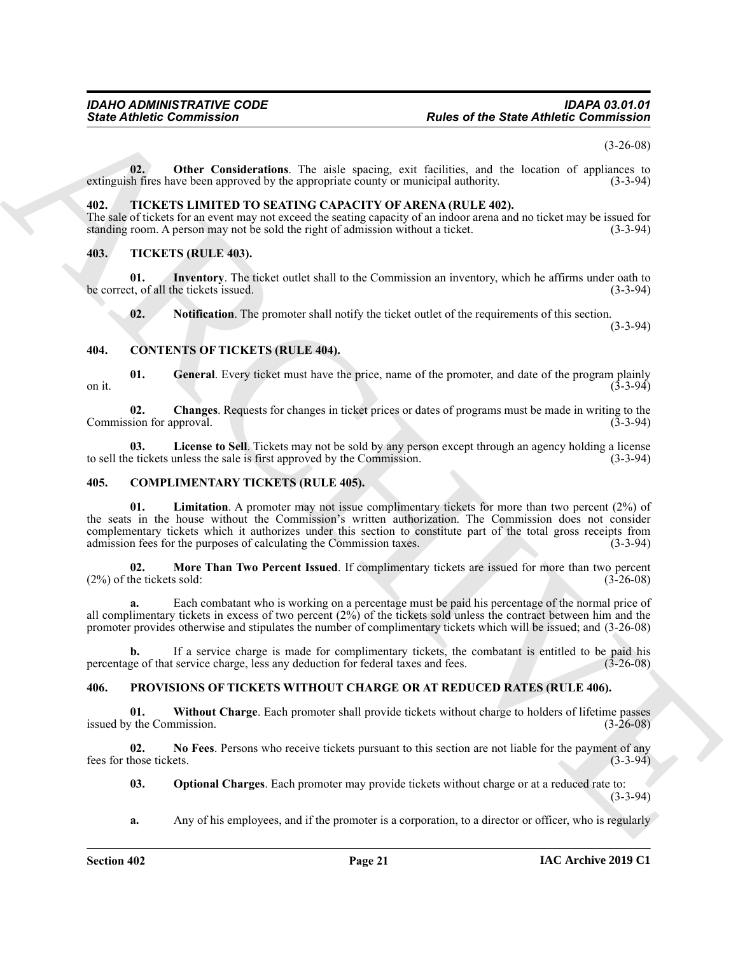(3-26-08)

<span id="page-20-5"></span>**02. Other Considerations**. The aisle spacing, exit facilities, and the location of appliances to extinguish fires have been approved by the appropriate county or municipal authority. (3-3-94)

#### <span id="page-20-19"></span><span id="page-20-0"></span>**402. TICKETS LIMITED TO SEATING CAPACITY OF ARENA (RULE 402).**

The sale of tickets for an event may not exceed the seating capacity of an indoor arena and no ticket may be issued for standing room. A person may not be sold the right of admission without a ticket. (3-3-94) standing room. A person may not be sold the right of admission without a ticket.

#### <span id="page-20-20"></span><span id="page-20-1"></span>**403. TICKETS (RULE 403).**

**01.** Inventory. The ticket outlet shall to the Commission an inventory, which he affirms under oath to the Commission and inventory, which he affirms under oath to (3-3-94) be correct, of all the tickets issued.

<span id="page-20-14"></span><span id="page-20-13"></span><span id="page-20-11"></span><span id="page-20-9"></span>**02.** Notification. The promoter shall notify the ticket outlet of the requirements of this section.

(3-3-94)

#### <span id="page-20-2"></span>**404. CONTENTS OF TICKETS (RULE 404).**

**01.** General. Every ticket must have the price, name of the promoter, and date of the program plainly (3-3-94) on it.  $(3-3-94)$ 

<span id="page-20-10"></span>**02. Changes**. Requests for changes in ticket prices or dates of programs must be made in writing to the Commission for approval. (3-3-94) (3-3-94)

<span id="page-20-12"></span>**03. License to Sell**. Tickets may not be sold by any person except through an agency holding a license to sell the tickets unless the sale is first approved by the Commission. (3-3-94)

#### <span id="page-20-7"></span><span id="page-20-6"></span><span id="page-20-3"></span>**405. COMPLIMENTARY TICKETS (RULE 405).**

Since Athletic Commutation<br>
(a) Other Carolinesium, The nice spacing, extra facilities, and the basis of spacing and<br>
solicition of the Since of Since 1988 (a) and the Since of the Since of the Since of Since of Since 198 **01. Limitation**. A promoter may not issue complimentary tickets for more than two percent (2%) of the seats in the house without the Commission's written authorization. The Commission does not consider complementary tickets which it authorizes under this section to constitute part of the total gross receipts from admission fees for the purposes of calculating the Commission taxes. (3-3-94)

<span id="page-20-8"></span>**02. More Than Two Percent Issued**. If complimentary tickets are issued for more than two percent he tickets sold: (3-26-08)  $(2%)$  of the tickets sold:

**a.** Each combatant who is working on a percentage must be paid his percentage of the normal price of all complimentary tickets in excess of two percent (2%) of the tickets sold unless the contract between him and the promoter provides otherwise and stipulates the number of complimentary tickets which will be issued; and (3-26-08)

**b.** If a service charge is made for complimentary tickets, the combatant is entitled to be paid his ge of that service charge, less any deduction for federal taxes and fees. (3-26-08) percentage of that service charge, less any deduction for federal taxes and fees.

#### <span id="page-20-15"></span><span id="page-20-4"></span>**406. PROVISIONS OF TICKETS WITHOUT CHARGE OR AT REDUCED RATES (RULE 406).**

<span id="page-20-18"></span>**01. Without Charge**. Each promoter shall provide tickets without charge to holders of lifetime passes issued by the Commission.  $(3-26-08)$ 

**02. No Fees**. Persons who receive tickets pursuant to this section are not liable for the payment of any fees for those tickets. (3-3-94)

<span id="page-20-17"></span><span id="page-20-16"></span>**03. Optional Charges**. Each promoter may provide tickets without charge or at a reduced rate to: (3-3-94)

**a.** Any of his employees, and if the promoter is a corporation, to a director or officer, who is regularly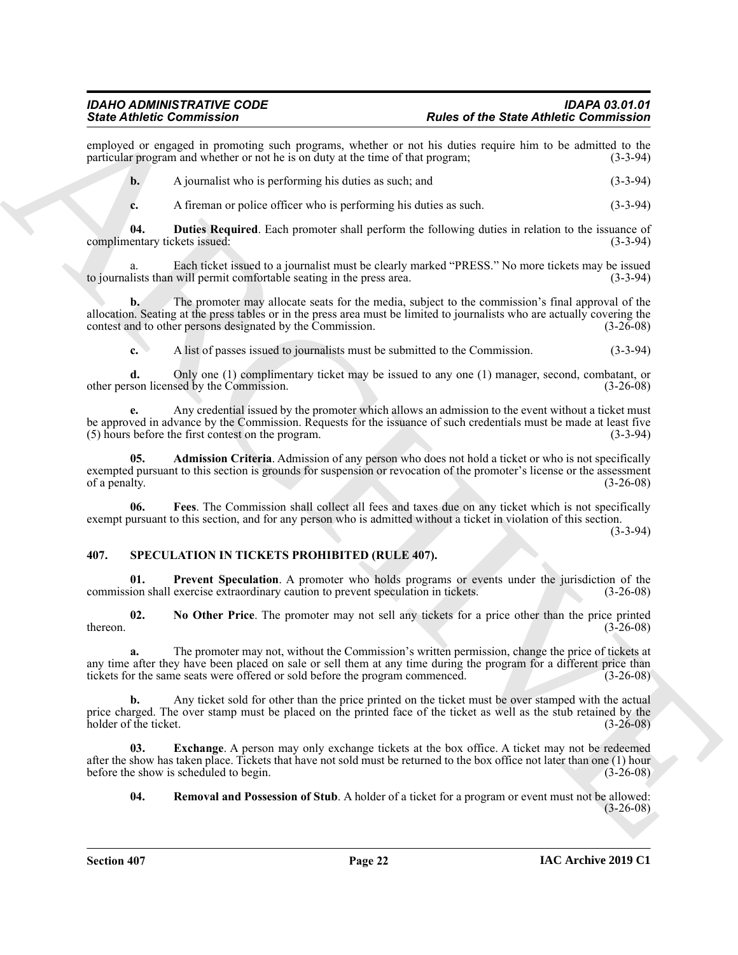employed or engaged in promoting such programs, whether or not his duties require him to be admitted to the particular program and whether or not he is on duty at the time of that program: (3-3-94) particular program and whether or not he is on duty at the time of that program;

**b.** A journalist who is performing his duties as such; and (3-3-94)

<span id="page-21-2"></span>**c.** A fireman or police officer who is performing his duties as such. (3-3-94)

**04. Duties Required**. Each promoter shall perform the following duties in relation to the issuance of complimentary tickets issued: (3-3-94)

a. Each ticket issued to a journalist must be clearly marked "PRESS." No more tickets may be issued lists than will permit comfortable seating in the press area. (3-3-94) to journalists than will permit comfortable seating in the press area.

Sink differential contents and the state of the State difference of the State direction in the state of the State direction in the state of the State distance of the State distance of the State distance of the State of th **b.** The promoter may allocate seats for the media, subject to the commission's final approval of the allocation. Seating at the press tables or in the press area must be limited to journalists who are actually covering the contest and to other persons designated by the Commission. (3-26-08)

**c.** A list of passes issued to journalists must be submitted to the Commission. (3-3-94)

**d.** Only one (1) complimentary ticket may be issued to any one (1) manager, second, combatant, or other person licensed by the Commission. (3-26-08)

**e.** Any credential issued by the promoter which allows an admission to the event without a ticket must be approved in advance by the Commission. Requests for the issuance of such credentials must be made at least five (5) hours before the first contest on the program. (3-3-94)

<span id="page-21-1"></span>**05. Admission Criteria**. Admission of any person who does not hold a ticket or who is not specifically exempted pursuant to this section is grounds for suspension or revocation of the promoter's license or the assessment of a penalty. (3-26-08) of a penalty.

<span id="page-21-3"></span>**06. Fees**. The Commission shall collect all fees and taxes due on any ticket which is not specifically exempt pursuant to this section, and for any person who is admitted without a ticket in violation of this section.

(3-3-94)

#### <span id="page-21-4"></span><span id="page-21-0"></span>**407. SPECULATION IN TICKETS PROHIBITED (RULE 407).**

<span id="page-21-7"></span>**01. Prevent Speculation**. A promoter who holds programs or events under the jurisdiction of the commission shall exercise extraordinary caution to prevent speculation in tickets. (3-26-08)

<span id="page-21-6"></span>**02. No Other Price**. The promoter may not sell any tickets for a price other than the price printed  $t = (3-26-08)$ 

**a.** The promoter may not, without the Commission's written permission, change the price of tickets at any time after they have been placed on sale or sell them at any time during the program for a different price than tickets for the same seats were offered or sold before the program commenced. (3-26-08)

**b.** Any ticket sold for other than the price printed on the ticket must be over stamped with the actual price charged. The over stamp must be placed on the printed face of the ticket as well as the stub retained by the holder of the ticket. (3-26-08) holder of the ticket.

**03.** Exchange. A person may only exchange tickets at the box office. A ticket may not be redeemed after the show has taken place. Tickets that have not sold must be returned to the box office not later than one (1) hour before the show is scheduled to begin. (3-26-08)

<span id="page-21-8"></span><span id="page-21-5"></span>**04. Removal and Possession of Stub**. A holder of a ticket for a program or event must not be allowed:  $(3-26-08)$ 

**Section 407 Page 22**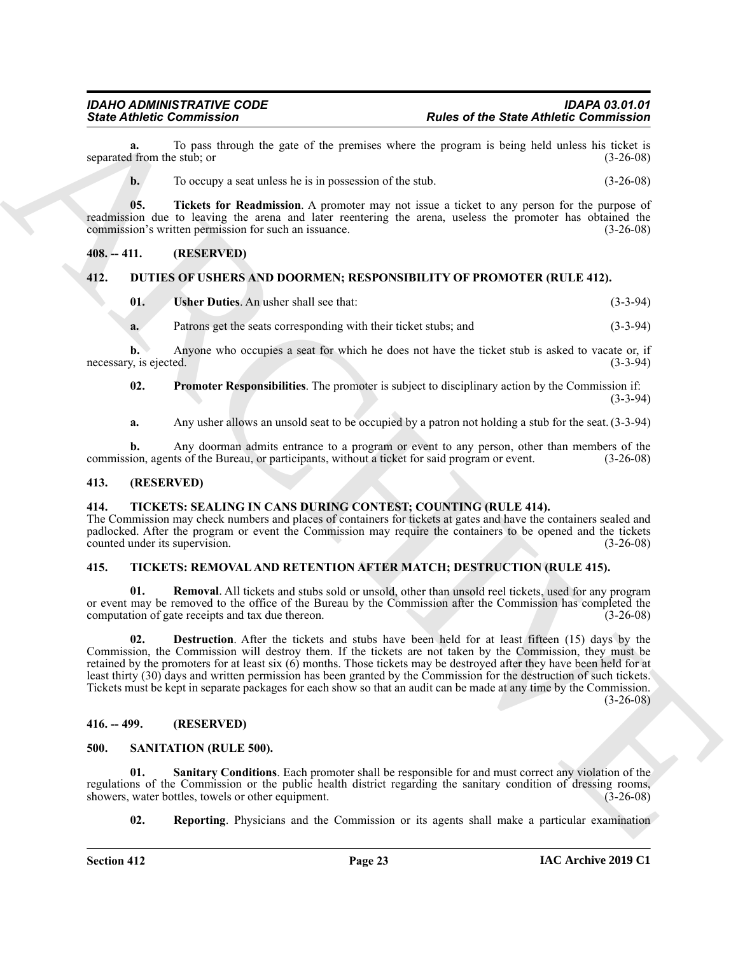To pass through the gate of the premises where the program is being held unless his ticket is estub: or (3-26-08) separated from the stub; or

<span id="page-22-14"></span>**b.** To occupy a seat unless he is in possession of the stub.  $(3-26-08)$ 

**05. Tickets for Readmission**. A promoter may not issue a ticket to any person for the purpose of readmission due to leaving the arena and later reentering the arena, useless the promoter has obtained the commission's written permission for such an issuance. (3-26-08)

#### <span id="page-22-0"></span>**408. -- 411. (RESERVED)**

#### <span id="page-22-1"></span>**412. DUTIES OF USHERS AND DOORMEN; RESPONSIBILITY OF PROMOTER (RULE 412).**

<span id="page-22-10"></span><span id="page-22-8"></span>

| <b>Usher Duties.</b> An usher shall see that: | $(3-3-94)$ |
|-----------------------------------------------|------------|
|                                               |            |

**a.** Patrons get the seats corresponding with their ticket stubs; and (3-3-94)

**b.** Anyone who occupies a seat for which he does not have the ticket stub is asked to vacate or, if necessary, is ejected. (3-3-94)

<span id="page-22-9"></span>**02. Promoter Responsibilities**. The promoter is subject to disciplinary action by the Commission if: (3-3-94)

**a.** Any usher allows an unsold seat to be occupied by a patron not holding a stub for the seat. (3-3-94)

**b.** Any doorman admits entrance to a program or event to any person, other than members of the commission, agents of the Bureau, or participants, without a ticket for said program or event. (3-26-08)

#### <span id="page-22-2"></span>**413. (RESERVED)**

#### <span id="page-22-7"></span><span id="page-22-3"></span>**414. TICKETS: SEALING IN CANS DURING CONTEST; COUNTING (RULE 414).**

The Commission may check numbers and places of containers for tickets at gates and have the containers sealed and padlocked. After the program or event the Commission may require the containers to be opened and the tickets counted under its supervision. (3-26-08)

#### <span id="page-22-4"></span>**415. TICKETS: REMOVAL AND RETENTION AFTER MATCH; DESTRUCTION (RULE 415).**

<span id="page-22-16"></span><span id="page-22-15"></span>**01. Removal**. All tickets and stubs sold or unsold, other than unsold reel tickets, used for any program or event may be removed to the office of the Bureau by the Commission after the Commission has completed the computation of gate receipts and tax due thereon. (3-26-08) computation of gate receipts and tax due thereon.

Since Athletic Commission<br>
space of the Saturday technology the space of the Saturday technology in the space of the Saturday technology is<br>
the above that the space of the Saturday technology is the space of the space of **02. Destruction**. After the tickets and stubs have been held for at least fifteen (15) days by the Commission, the Commission will destroy them. If the tickets are not taken by the Commission, they must be retained by the promoters for at least six (6) months. Those tickets may be destroyed after they have been held for at least thirty (30) days and written permission has been granted by the Commission for the destruction of such tickets. Tickets must be kept in separate packages for each show so that an audit can be made at any time by the Commission. (3-26-08)

#### <span id="page-22-5"></span>**416. -- 499. (RESERVED)**

#### <span id="page-22-11"></span><span id="page-22-6"></span>**500. SANITATION (RULE 500).**

**01. Sanitary Conditions**. Each promoter shall be responsible for and must correct any violation of the regulations of the Commission or the public health district regarding the sanitary condition of dressing rooms, showers, water bottles, towels or other equipment. (3-26-08) showers, water bottles, towels or other equipment.

<span id="page-22-13"></span><span id="page-22-12"></span>**02.** Reporting. Physicians and the Commission or its agents shall make a particular examination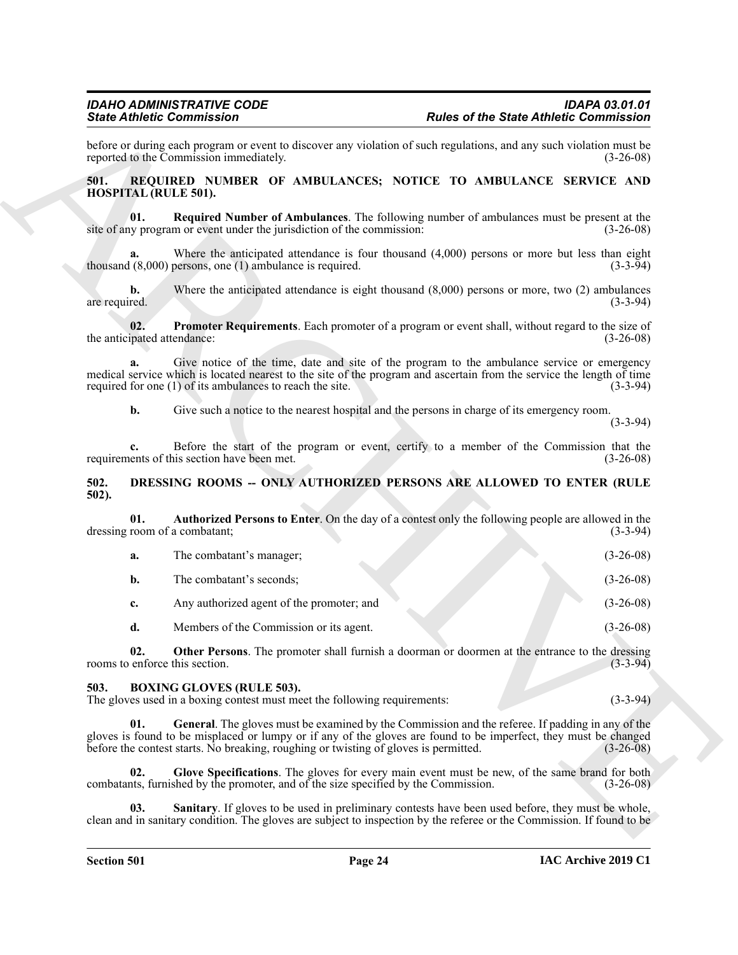#### <span id="page-23-11"></span><span id="page-23-10"></span><span id="page-23-9"></span><span id="page-23-0"></span>**501. REQUIRED NUMBER OF AMBULANCES; NOTICE TO AMBULANCE SERVICE AND HOSPITAL (RULE 501).**

#### <span id="page-23-7"></span><span id="page-23-1"></span>**502. DRESSING ROOMS -- ONLY AUTHORIZED PERSONS ARE ALLOWED TO ENTER (RULE 502).**

|                                     | <b>State Athletic Commission</b>                                                                              | <b>Rules of the State Athletic Commission</b>                                                                                                                                                                        |                                          |
|-------------------------------------|---------------------------------------------------------------------------------------------------------------|----------------------------------------------------------------------------------------------------------------------------------------------------------------------------------------------------------------------|------------------------------------------|
|                                     | reported to the Commission immediately.                                                                       | before or during each program or event to discover any violation of such regulations, and any such violation must be                                                                                                 | $(3-26-08)$                              |
| 501.<br><b>HOSPITAL (RULE 501).</b> |                                                                                                               | REQUIRED NUMBER OF AMBULANCES; NOTICE TO AMBULANCE SERVICE AND                                                                                                                                                       |                                          |
| 01.                                 | site of any program or event under the jurisdiction of the commission:                                        | Required Number of Ambulances. The following number of ambulances must be present at the                                                                                                                             | $(3-26-08)$                              |
| a.                                  | thousand $(8,000)$ persons, one $(1)$ ambulance is required.                                                  | Where the anticipated attendance is four thousand $(4,000)$ persons or more but less than eight                                                                                                                      | $(3-3-94)$                               |
| $\mathbf{b}$ .<br>are required.     |                                                                                                               | Where the anticipated attendance is eight thousand $(8,000)$ persons or more, two $(2)$ ambulances                                                                                                                   | $(3-3-94)$                               |
| 02.<br>the anticipated attendance:  |                                                                                                               | Promoter Requirements. Each promoter of a program or event shall, without regard to the size of                                                                                                                      | $(3-26-08)$                              |
| a.                                  | required for one (1) of its ambulances to reach the site.                                                     | Give notice of the time, date and site of the program to the ambulance service or emergency<br>medical service which is located nearest to the site of the program and ascertain from the service the length of time | $(3-3-94)$                               |
| b.                                  |                                                                                                               | Give such a notice to the nearest hospital and the persons in charge of its emergency room.                                                                                                                          | $(3-3-94)$                               |
| c.                                  | requirements of this section have been met.                                                                   | Before the start of the program or event, certify to a member of the Commission that the                                                                                                                             | $(3-26-08)$                              |
| 502.<br>$502$ ).                    |                                                                                                               | DRESSING ROOMS -- ONLY AUTHORIZED PERSONS ARE ALLOWED TO ENTER (RULE                                                                                                                                                 |                                          |
| 01.                                 | dressing room of a combatant;                                                                                 | Authorized Persons to Enter. On the day of a contest only the following people are allowed in the                                                                                                                    | $(3-3-94)$                               |
| a.                                  | The combatant's manager;                                                                                      |                                                                                                                                                                                                                      | $(3-26-08)$                              |
| $\mathbf{b}$ .                      | The combatant's seconds;                                                                                      |                                                                                                                                                                                                                      | $(3-26-08)$                              |
| c.                                  | Any authorized agent of the promoter; and                                                                     |                                                                                                                                                                                                                      | $(3-26-08)$                              |
| d.                                  | Members of the Commission or its agent.                                                                       |                                                                                                                                                                                                                      | $(3-26-08)$                              |
| 02.                                 | rooms to enforce this section.                                                                                | Other Persons. The promoter shall furnish a doorman or doormen at the entrance to the dressing                                                                                                                       | $(3-3-94)$                               |
|                                     |                                                                                                               |                                                                                                                                                                                                                      |                                          |
| 503.                                | <b>BOXING GLOVES (RULE 503).</b><br>The gloves used in a boxing contest must meet the following requirements: |                                                                                                                                                                                                                      |                                          |
| 01.                                 | before the contest starts. No breaking, roughing or twisting of gloves is permitted.                          | General. The gloves must be examined by the Commission and the referee. If padding in any of the<br>gloves is found to be misplaced or lumpy or if any of the gloves are found to be imperfect, they must be changed |                                          |
| 02.                                 | combatants, furnished by the promoter, and of the size specified by the Commission.                           | Glove Specifications. The gloves for every main event must be new, of the same brand for both                                                                                                                        | $(3-3-94)$<br>$(3-26-08)$<br>$(3-26-08)$ |

#### <span id="page-23-8"></span><span id="page-23-6"></span><span id="page-23-5"></span><span id="page-23-4"></span><span id="page-23-3"></span><span id="page-23-2"></span>**503. BOXING GLOVES (RULE 503).**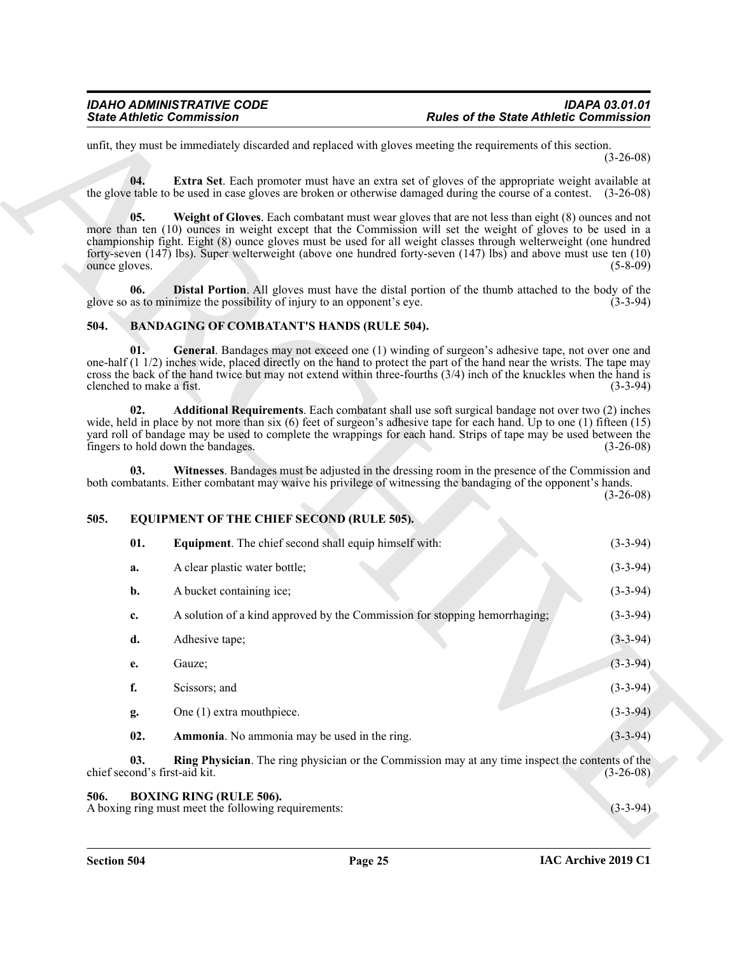#### <span id="page-24-9"></span><span id="page-24-8"></span><span id="page-24-7"></span><span id="page-24-5"></span><span id="page-24-4"></span><span id="page-24-3"></span><span id="page-24-0"></span>**504. BANDAGING OF COMBATANT'S HANDS (RULE 504).**

#### <span id="page-24-13"></span><span id="page-24-11"></span><span id="page-24-6"></span><span id="page-24-1"></span>**505. EQUIPMENT OF THE CHIEF SECOND (RULE 505).**

|                                      | <b>State Athletic Commission</b>                                                                                                                                                                                                                                                                                                                                                                                                                                | <b>Rules of the State Athletic Commission</b>         |  |
|--------------------------------------|-----------------------------------------------------------------------------------------------------------------------------------------------------------------------------------------------------------------------------------------------------------------------------------------------------------------------------------------------------------------------------------------------------------------------------------------------------------------|-------------------------------------------------------|--|
|                                      | unfit, they must be immediately discarded and replaced with gloves meeting the requirements of this section.                                                                                                                                                                                                                                                                                                                                                    | $(3-26-08)$                                           |  |
| 04.                                  | Extra Set. Each promoter must have an extra set of gloves of the appropriate weight available at<br>the glove table to be used in case gloves are broken or otherwise damaged during the course of a contest. (3-26-08)                                                                                                                                                                                                                                         |                                                       |  |
| 05.<br>ounce gloves.                 | Weight of Gloves. Each combatant must wear gloves that are not less than eight (8) ounces and not<br>more than ten (10) ounces in weight except that the Commission will set the weight of gloves to be used in a<br>championship fight. Eight (8) ounce gloves must be used for all weight classes through welterweight (one hundred<br>forty-seven $(147)$ lbs). Super welterweight (above one hundred forty-seven $(147)$ lbs) and above must use ten $(10)$ | $(5-8-09)$                                            |  |
| 06.                                  | <b>Distal Portion.</b> All gloves must have the distal portion of the thumb attached to the body of the<br>glove so as to minimize the possibility of injury to an opponent's eye.                                                                                                                                                                                                                                                                              | $(3-3-94)$                                            |  |
| 504.                                 | <b>BANDAGING OF COMBATANT'S HANDS (RULE 504).</b>                                                                                                                                                                                                                                                                                                                                                                                                               |                                                       |  |
| 01.<br>clenched to make a fist.      | General. Bandages may not exceed one (1) winding of surgeon's adhesive tape, not over one and<br>one-half $(1\ 1/2)$ inches wide, placed directly on the hand to protect the part of the hand near the wrists. The tape may<br>cross the back of the hand twice but may not extend within three-fourths (3/4) inch of the knuckles when the hand is                                                                                                             | $(3-3-94)$                                            |  |
| 02.                                  | Additional Requirements. Each combatant shall use soft surgical bandage not over two (2) inches<br>wide, held in place by not more than six $(6)$ feet of surgeon's adhesive tape for each hand. Up to one $(1)$ fifteen $(15)$<br>yard roll of bandage may be used to complete the wrappings for each hand. Strips of tape may be used between the<br>fingers to hold down the bandages.                                                                       | $(3-26-08)$                                           |  |
| 03.                                  | Witnesses. Bandages must be adjusted in the dressing room in the presence of the Commission and<br>both combatants. Either combatant may waive his privilege of witnessing the bandaging of the opponent's hands.                                                                                                                                                                                                                                               |                                                       |  |
|                                      |                                                                                                                                                                                                                                                                                                                                                                                                                                                                 |                                                       |  |
| 505.                                 | EQUIPMENT OF THE CHIEF SECOND (RULE 505).                                                                                                                                                                                                                                                                                                                                                                                                                       |                                                       |  |
| 01.                                  | <b>Equipment</b> . The chief second shall equip himself with:                                                                                                                                                                                                                                                                                                                                                                                                   |                                                       |  |
| a.                                   | A clear plastic water bottle;                                                                                                                                                                                                                                                                                                                                                                                                                                   |                                                       |  |
| b.                                   | A bucket containing ice;                                                                                                                                                                                                                                                                                                                                                                                                                                        | $(3-3-94)$                                            |  |
| c.                                   | A solution of a kind approved by the Commission for stopping hemorrhaging;                                                                                                                                                                                                                                                                                                                                                                                      | $(3-3-94)$                                            |  |
| d.                                   | Adhesive tape;                                                                                                                                                                                                                                                                                                                                                                                                                                                  | $(3-3-94)$                                            |  |
| e.                                   | Gauze;                                                                                                                                                                                                                                                                                                                                                                                                                                                          | $(3 - 3 - 94)$                                        |  |
| f.                                   | Scissors; and                                                                                                                                                                                                                                                                                                                                                                                                                                                   | $(3-26-08)$<br>$(3-3-94)$<br>$(3-3-94)$<br>$(3-3-94)$ |  |
| g.                                   | One (1) extra mouthpiece.                                                                                                                                                                                                                                                                                                                                                                                                                                       | $(3-3-94)$                                            |  |
| 02.                                  | Ammonia. No ammonia may be used in the ring.                                                                                                                                                                                                                                                                                                                                                                                                                    | $(3-3-94)$                                            |  |
| 03.<br>chief second's first-aid kit. | Ring Physician. The ring physician or the Commission may at any time inspect the contents of the                                                                                                                                                                                                                                                                                                                                                                | $(3-26-08)$                                           |  |

#### <span id="page-24-14"></span><span id="page-24-12"></span><span id="page-24-10"></span><span id="page-24-2"></span>**506. BOXING RING (RULE 506).**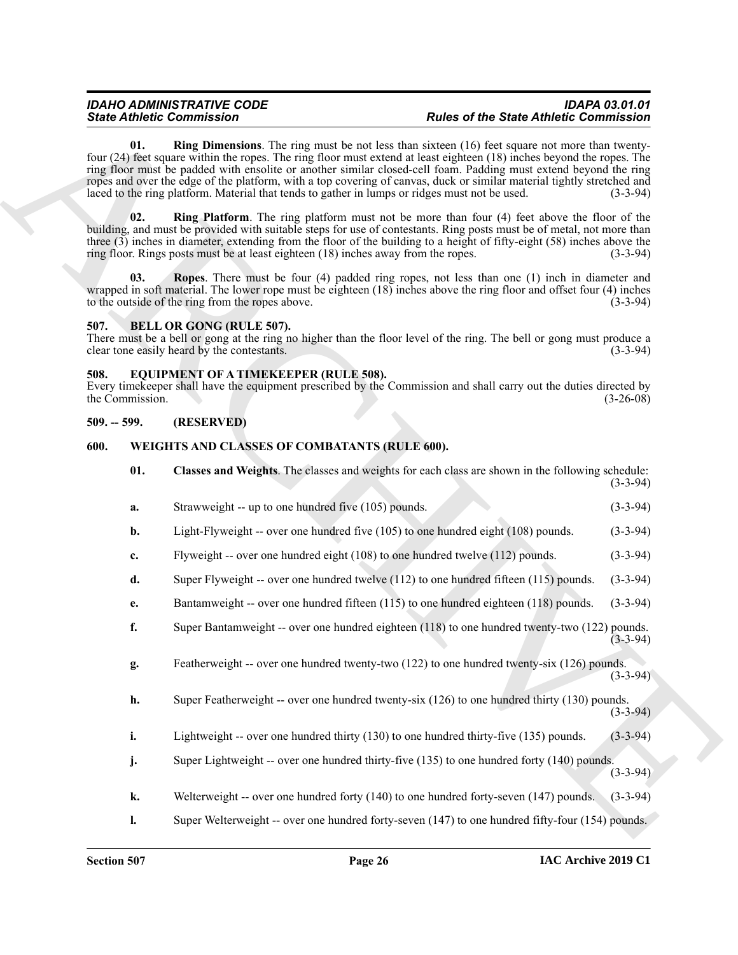#### <span id="page-25-7"></span><span id="page-25-6"></span><span id="page-25-4"></span><span id="page-25-0"></span>**507. BELL OR GONG (RULE 507).**

#### <span id="page-25-8"></span><span id="page-25-1"></span>**508. EQUIPMENT OF A TIMEKEEPER (RULE 508).**

#### <span id="page-25-2"></span>**509. -- 599. (RESERVED)**

#### <span id="page-25-10"></span><span id="page-25-9"></span><span id="page-25-3"></span>**600. WEIGHTS AND CLASSES OF COMBATANTS (RULE 600).**

<span id="page-25-5"></span>

| <b>State Athletic Commission</b> |                 |                                                                                                                                                                                                                                                                                                                                                                                                                                                                                                                                                                                 | <b>Rules of the State Athletic Commission</b> |             |
|----------------------------------|-----------------|---------------------------------------------------------------------------------------------------------------------------------------------------------------------------------------------------------------------------------------------------------------------------------------------------------------------------------------------------------------------------------------------------------------------------------------------------------------------------------------------------------------------------------------------------------------------------------|-----------------------------------------------|-------------|
|                                  | 01.             | <b>Ring Dimensions.</b> The ring must be not less than sixteen (16) feet square not more than twenty-<br>four (24) feet square within the ropes. The ring floor must extend at least eighteen (18) inches beyond the ropes. The<br>ring floor must be padded with ensolite or another similar closed-cell foam. Padding must extend beyond the ring<br>ropes and over the edge of the platform, with a top covering of canvas, duck or similar material tightly stretched and<br>laced to the ring platform. Material that tends to gather in lumps or ridges must not be used. |                                               | $(3-3-94)$  |
|                                  | 02.             | <b>Ring Platform</b> . The ring platform must not be more than four (4) feet above the floor of the<br>building, and must be provided with suitable steps for use of contestants. Ring posts must be of metal, not more than<br>three (3) inches in diameter, extending from the floor of the building to a height of fifty-eight (58) inches above the<br>ring floor. Rings posts must be at least eighteen (18) inches away from the ropes.                                                                                                                                   |                                               | $(3-3-94)$  |
|                                  | 03.             | Ropes. There must be four (4) padded ring ropes, not less than one (1) inch in diameter and<br>wrapped in soft material. The lower rope must be eighteen $(18)$ inches above the ring floor and offset four $(4)$ inches<br>to the outside of the ring from the ropes above.                                                                                                                                                                                                                                                                                                    |                                               | $(3-3-94)$  |
| 507.                             |                 | <b>BELL OR GONG (RULE 507).</b><br>There must be a bell or gong at the ring no higher than the floor level of the ring. The bell or gong must produce a<br>clear tone easily heard by the contestants.                                                                                                                                                                                                                                                                                                                                                                          |                                               | $(3-3-94)$  |
| 508.                             | the Commission. | EQUIPMENT OF A TIMEKEEPER (RULE 508).<br>Every time keeper shall have the equipment prescribed by the Commission and shall carry out the duties directed by                                                                                                                                                                                                                                                                                                                                                                                                                     |                                               | $(3-26-08)$ |
| $509. - 599.$                    |                 | (RESERVED)                                                                                                                                                                                                                                                                                                                                                                                                                                                                                                                                                                      |                                               |             |
| 600.                             |                 | WEIGHTS AND CLASSES OF COMBATANTS (RULE 600).                                                                                                                                                                                                                                                                                                                                                                                                                                                                                                                                   |                                               |             |
|                                  | 01.             | Classes and Weights. The classes and weights for each class are shown in the following schedule:                                                                                                                                                                                                                                                                                                                                                                                                                                                                                |                                               | $(3-3-94)$  |
|                                  | a.              | Strawweight -- up to one hundred five (105) pounds.                                                                                                                                                                                                                                                                                                                                                                                                                                                                                                                             |                                               | $(3-3-94)$  |
|                                  | b.              | Light-Flyweight -- over one hundred five (105) to one hundred eight (108) pounds.                                                                                                                                                                                                                                                                                                                                                                                                                                                                                               |                                               | $(3-3-94)$  |
|                                  | c.              | Flyweight -- over one hundred eight (108) to one hundred twelve (112) pounds.                                                                                                                                                                                                                                                                                                                                                                                                                                                                                                   |                                               | $(3-3-94)$  |
|                                  | d.              | Super Flyweight -- over one hundred twelve $(112)$ to one hundred fifteen $(115)$ pounds.                                                                                                                                                                                                                                                                                                                                                                                                                                                                                       |                                               | $(3-3-94)$  |
|                                  | e.              | Bantamweight -- over one hundred fifteen (115) to one hundred eighteen (118) pounds.                                                                                                                                                                                                                                                                                                                                                                                                                                                                                            |                                               | $(3-3-94)$  |
|                                  | f.              | Super Bantamweight -- over one hundred eighteen (118) to one hundred twenty-two (122) pounds.                                                                                                                                                                                                                                                                                                                                                                                                                                                                                   |                                               | $(3-3-94)$  |
|                                  | g.              | Featherweight -- over one hundred twenty-two (122) to one hundred twenty-six (126) pounds.                                                                                                                                                                                                                                                                                                                                                                                                                                                                                      |                                               | $(3-3-94)$  |
|                                  | h.              | Super Featherweight -- over one hundred twenty-six (126) to one hundred thirty (130) pounds.                                                                                                                                                                                                                                                                                                                                                                                                                                                                                    |                                               | $(3-3-94)$  |
|                                  | i.              | Lightweight -- over one hundred thirty (130) to one hundred thirty-five (135) pounds.                                                                                                                                                                                                                                                                                                                                                                                                                                                                                           |                                               | $(3-3-94)$  |
|                                  | j.              | Super Lightweight -- over one hundred thirty-five (135) to one hundred forty (140) pounds.                                                                                                                                                                                                                                                                                                                                                                                                                                                                                      |                                               | $(3-3-94)$  |
|                                  | k.              | Welterweight -- over one hundred forty (140) to one hundred forty-seven (147) pounds.                                                                                                                                                                                                                                                                                                                                                                                                                                                                                           |                                               | $(3-3-94)$  |
|                                  | $\mathbf{l}$ .  | Super Welterweight -- over one hundred forty-seven (147) to one hundred fifty-four (154) pounds.                                                                                                                                                                                                                                                                                                                                                                                                                                                                                |                                               |             |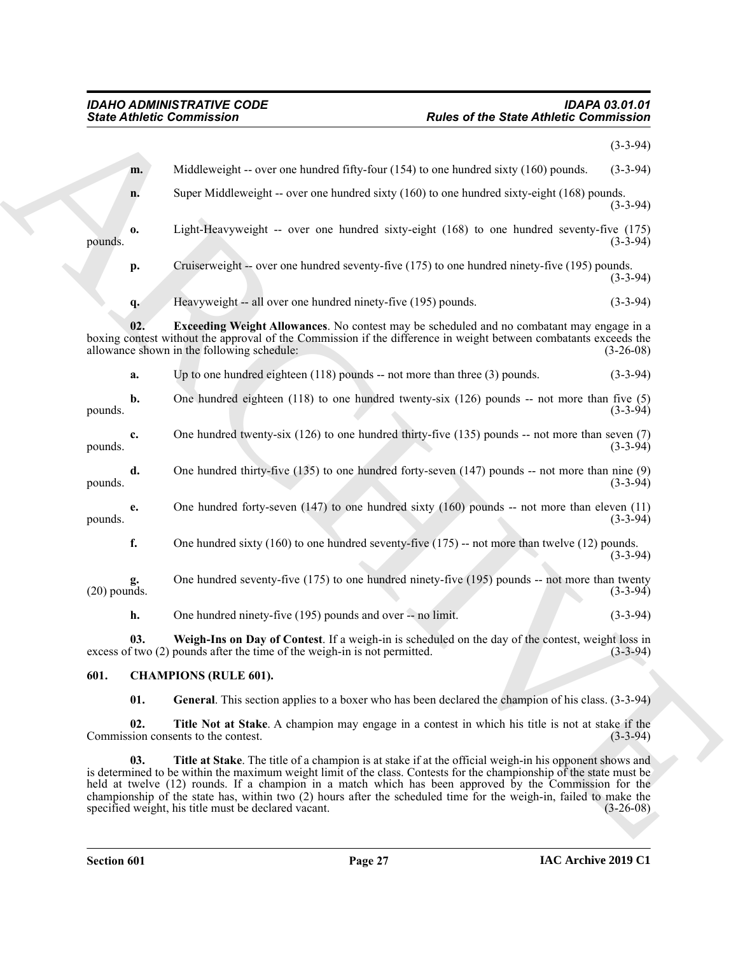<span id="page-26-5"></span>

| Middleweight -- over one hundred fifty-four $(154)$ to one hundred sixty $(160)$ pounds.<br>m.<br>Super Middleweight -- over one hundred sixty (160) to one hundred sixty-eight (168) pounds.<br>n.<br>Light-Heavyweight -- over one hundred sixty-eight (168) to one hundred seventy-five (175)<br>0.<br>pounds.<br>Cruiserweight -- over one hundred seventy-five (175) to one hundred ninety-five (195) pounds.<br>p.<br>Heavyweight -- all over one hundred ninety-five (195) pounds.<br>q.<br><b>Exceeding Weight Allowances</b> . No contest may be scheduled and no combatant may engage in a<br>02.<br>boxing contest without the approval of the Commission if the difference in weight between combatants exceeds the<br>allowance shown in the following schedule:<br>Up to one hundred eighteen $(118)$ pounds -- not more than three $(3)$ pounds.<br>a.<br>b.<br>One hundred eighteen $(118)$ to one hundred twenty-six $(126)$ pounds -- not more than five $(5)$<br>pounds.<br>One hundred twenty-six $(126)$ to one hundred thirty-five $(135)$ pounds -- not more than seven $(7)$<br>c.<br>pounds.<br>One hundred thirty-five $(135)$ to one hundred forty-seven $(147)$ pounds -- not more than nine $(9)$<br>d.<br>pounds.<br>One hundred forty-seven $(147)$ to one hundred sixty $(160)$ pounds -- not more than eleven $(11)$<br>e.<br>pounds.<br>f.<br>One hundred sixty $(160)$ to one hundred seventy-five $(175)$ -- not more than twelve $(12)$ pounds.<br>One hundred seventy-five (175) to one hundred ninety-five (195) pounds -- not more than twenty<br>$(20)$ pounds.<br>h.<br>One hundred ninety-five (195) pounds and over -- no limit.<br>Weigh-Ins on Day of Contest. If a weigh-in is scheduled on the day of the contest, weight loss in<br>03.<br>excess of two (2) pounds after the time of the weigh-in is not permitted.<br>601.<br><b>CHAMPIONS (RULE 601).</b><br>01.<br>General. This section applies to a boxer who has been declared the champion of his class. (3-3-94) |             |
|----------------------------------------------------------------------------------------------------------------------------------------------------------------------------------------------------------------------------------------------------------------------------------------------------------------------------------------------------------------------------------------------------------------------------------------------------------------------------------------------------------------------------------------------------------------------------------------------------------------------------------------------------------------------------------------------------------------------------------------------------------------------------------------------------------------------------------------------------------------------------------------------------------------------------------------------------------------------------------------------------------------------------------------------------------------------------------------------------------------------------------------------------------------------------------------------------------------------------------------------------------------------------------------------------------------------------------------------------------------------------------------------------------------------------------------------------------------------------------------------------------------------------------------------------------------------------------------------------------------------------------------------------------------------------------------------------------------------------------------------------------------------------------------------------------------------------------------------------------------------------------------------------------------------------------------------------------------------------------------------------------------------------|-------------|
|                                                                                                                                                                                                                                                                                                                                                                                                                                                                                                                                                                                                                                                                                                                                                                                                                                                                                                                                                                                                                                                                                                                                                                                                                                                                                                                                                                                                                                                                                                                                                                                                                                                                                                                                                                                                                                                                                                                                                                                                                            | $(3-3-94)$  |
|                                                                                                                                                                                                                                                                                                                                                                                                                                                                                                                                                                                                                                                                                                                                                                                                                                                                                                                                                                                                                                                                                                                                                                                                                                                                                                                                                                                                                                                                                                                                                                                                                                                                                                                                                                                                                                                                                                                                                                                                                            | $(3-3-94)$  |
|                                                                                                                                                                                                                                                                                                                                                                                                                                                                                                                                                                                                                                                                                                                                                                                                                                                                                                                                                                                                                                                                                                                                                                                                                                                                                                                                                                                                                                                                                                                                                                                                                                                                                                                                                                                                                                                                                                                                                                                                                            | $(3-3-94)$  |
|                                                                                                                                                                                                                                                                                                                                                                                                                                                                                                                                                                                                                                                                                                                                                                                                                                                                                                                                                                                                                                                                                                                                                                                                                                                                                                                                                                                                                                                                                                                                                                                                                                                                                                                                                                                                                                                                                                                                                                                                                            | $(3-3-94)$  |
|                                                                                                                                                                                                                                                                                                                                                                                                                                                                                                                                                                                                                                                                                                                                                                                                                                                                                                                                                                                                                                                                                                                                                                                                                                                                                                                                                                                                                                                                                                                                                                                                                                                                                                                                                                                                                                                                                                                                                                                                                            | $(3-3-94)$  |
|                                                                                                                                                                                                                                                                                                                                                                                                                                                                                                                                                                                                                                                                                                                                                                                                                                                                                                                                                                                                                                                                                                                                                                                                                                                                                                                                                                                                                                                                                                                                                                                                                                                                                                                                                                                                                                                                                                                                                                                                                            | $(3-3-94)$  |
|                                                                                                                                                                                                                                                                                                                                                                                                                                                                                                                                                                                                                                                                                                                                                                                                                                                                                                                                                                                                                                                                                                                                                                                                                                                                                                                                                                                                                                                                                                                                                                                                                                                                                                                                                                                                                                                                                                                                                                                                                            | $(3-26-08)$ |
|                                                                                                                                                                                                                                                                                                                                                                                                                                                                                                                                                                                                                                                                                                                                                                                                                                                                                                                                                                                                                                                                                                                                                                                                                                                                                                                                                                                                                                                                                                                                                                                                                                                                                                                                                                                                                                                                                                                                                                                                                            | $(3-3-94)$  |
|                                                                                                                                                                                                                                                                                                                                                                                                                                                                                                                                                                                                                                                                                                                                                                                                                                                                                                                                                                                                                                                                                                                                                                                                                                                                                                                                                                                                                                                                                                                                                                                                                                                                                                                                                                                                                                                                                                                                                                                                                            | $(3-3-94)$  |
|                                                                                                                                                                                                                                                                                                                                                                                                                                                                                                                                                                                                                                                                                                                                                                                                                                                                                                                                                                                                                                                                                                                                                                                                                                                                                                                                                                                                                                                                                                                                                                                                                                                                                                                                                                                                                                                                                                                                                                                                                            | $(3-3-94)$  |
|                                                                                                                                                                                                                                                                                                                                                                                                                                                                                                                                                                                                                                                                                                                                                                                                                                                                                                                                                                                                                                                                                                                                                                                                                                                                                                                                                                                                                                                                                                                                                                                                                                                                                                                                                                                                                                                                                                                                                                                                                            | $(3-3-94)$  |
|                                                                                                                                                                                                                                                                                                                                                                                                                                                                                                                                                                                                                                                                                                                                                                                                                                                                                                                                                                                                                                                                                                                                                                                                                                                                                                                                                                                                                                                                                                                                                                                                                                                                                                                                                                                                                                                                                                                                                                                                                            | $(3-3-94)$  |
|                                                                                                                                                                                                                                                                                                                                                                                                                                                                                                                                                                                                                                                                                                                                                                                                                                                                                                                                                                                                                                                                                                                                                                                                                                                                                                                                                                                                                                                                                                                                                                                                                                                                                                                                                                                                                                                                                                                                                                                                                            | $(3-3-94)$  |
|                                                                                                                                                                                                                                                                                                                                                                                                                                                                                                                                                                                                                                                                                                                                                                                                                                                                                                                                                                                                                                                                                                                                                                                                                                                                                                                                                                                                                                                                                                                                                                                                                                                                                                                                                                                                                                                                                                                                                                                                                            | $(3-3-94)$  |
|                                                                                                                                                                                                                                                                                                                                                                                                                                                                                                                                                                                                                                                                                                                                                                                                                                                                                                                                                                                                                                                                                                                                                                                                                                                                                                                                                                                                                                                                                                                                                                                                                                                                                                                                                                                                                                                                                                                                                                                                                            | $(3-3-94)$  |
|                                                                                                                                                                                                                                                                                                                                                                                                                                                                                                                                                                                                                                                                                                                                                                                                                                                                                                                                                                                                                                                                                                                                                                                                                                                                                                                                                                                                                                                                                                                                                                                                                                                                                                                                                                                                                                                                                                                                                                                                                            | $(3-3-94)$  |
|                                                                                                                                                                                                                                                                                                                                                                                                                                                                                                                                                                                                                                                                                                                                                                                                                                                                                                                                                                                                                                                                                                                                                                                                                                                                                                                                                                                                                                                                                                                                                                                                                                                                                                                                                                                                                                                                                                                                                                                                                            |             |
|                                                                                                                                                                                                                                                                                                                                                                                                                                                                                                                                                                                                                                                                                                                                                                                                                                                                                                                                                                                                                                                                                                                                                                                                                                                                                                                                                                                                                                                                                                                                                                                                                                                                                                                                                                                                                                                                                                                                                                                                                            |             |
| 02.<br>Title Not at Stake. A champion may engage in a contest in which his title is not at stake if the<br>Commission consents to the contest.                                                                                                                                                                                                                                                                                                                                                                                                                                                                                                                                                                                                                                                                                                                                                                                                                                                                                                                                                                                                                                                                                                                                                                                                                                                                                                                                                                                                                                                                                                                                                                                                                                                                                                                                                                                                                                                                             | $(3-3-94)$  |
| 03.<br>Title at Stake. The title of a champion is at stake if at the official weigh-in his opponent shows and<br>is determined to be within the maximum weight limit of the class. Contests for the championship of the state must be<br>held at twelve (12) rounds. If a champion in a match which has been approved by the Commission for the<br>championship of the state has, within two (2) hours after the scheduled time for the weigh-in, failed to make the<br>specified weight, his title must be declared vacant.                                                                                                                                                                                                                                                                                                                                                                                                                                                                                                                                                                                                                                                                                                                                                                                                                                                                                                                                                                                                                                                                                                                                                                                                                                                                                                                                                                                                                                                                                               | $(3-26-08)$ |

#### <span id="page-26-6"></span><span id="page-26-4"></span><span id="page-26-3"></span><span id="page-26-2"></span><span id="page-26-1"></span><span id="page-26-0"></span>**601. CHAMPIONS (RULE 601).**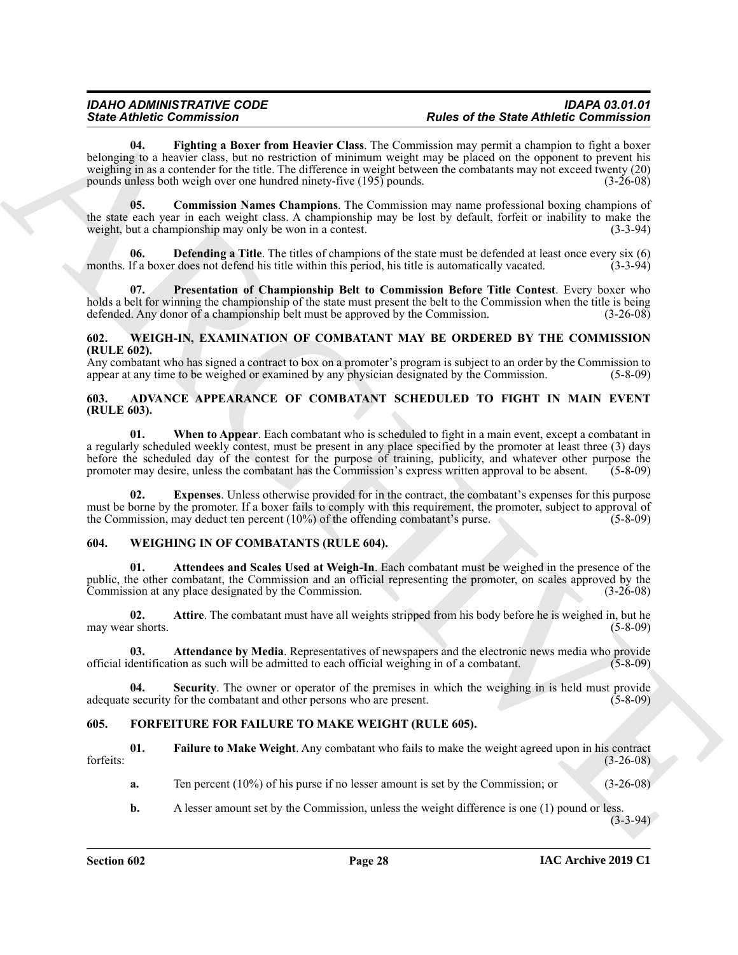Since *Commission* and the commission in the two states of the Since *Commission* and the commission in the commission in the commission of the commission in the commission of the commission of the commission in the commi **04. Fighting a Boxer from Heavier Class**. The Commission may permit a champion to fight a boxer belonging to a heavier class, but no restriction of minimum weight may be placed on the opponent to prevent his weighing in as a contender for the title. The difference in weight between the combatants may not exceed twenty (20) pounds unless both weigh over one hundred ninety-five (195) pounds. (3-26-08)

<span id="page-27-9"></span><span id="page-27-7"></span>**05. Commission Names Champions**. The Commission may name professional boxing champions of the state each year in each weight class. A championship may be lost by default, forfeit or inability to make the weight, but a championship may only be won in a contest. weight, but a championship may only be won in a contest.

<span id="page-27-8"></span>**Defending a Title**. The titles of champions of the state must be defended at least once every six (6) months. If a boxer does not defend his title within this period, his title is automatically vacated. (3-3-94)

<span id="page-27-10"></span>**07. Presentation of Championship Belt to Commission Before Title Contest**. Every boxer who holds a belt for winning the championship of the state must present the belt to the Commission when the title is being defended. Any donor of a championship belt must be approved by the Commission. (3-26-08)

#### <span id="page-27-13"></span><span id="page-27-0"></span>**602. WEIGH-IN, EXAMINATION OF COMBATANT MAY BE ORDERED BY THE COMMISSION (RULE 602).**

Any combatant who has signed a contract to box on a promoter's program is subject to an order by the Commission to appear at any time to be weighed or examined by any physician designated by the Commission. (5-8-09)

#### <span id="page-27-6"></span><span id="page-27-1"></span>**603. ADVANCE APPEARANCE OF COMBATANT SCHEDULED TO FIGHT IN MAIN EVENT (RULE 603).**

<span id="page-27-5"></span>**01. When to Appear**. Each combatant who is scheduled to fight in a main event, except a combatant in a regularly scheduled weekly contest, must be present in any place specified by the promoter at least three (3) days before the scheduled day of the contest for the purpose of training, publicity, and whatever other purpose the promoter may desire, unless the combatant has the Commission's express written approval to be absent. (5-8-09) promoter may desire, unless the combatant has the Commission's express written approval to be absent.

<span id="page-27-4"></span>**02. Expenses**. Unless otherwise provided for in the contract, the combatant's expenses for this purpose must be borne by the promoter. If a boxer fails to comply with this requirement, the promoter, subject to approval of the Commission, may deduct ten percent  $(10\%)$  of the offending combatant's purse. (5-8-09)

#### <span id="page-27-14"></span><span id="page-27-2"></span>**604. WEIGHING IN OF COMBATANTS (RULE 604).**

<span id="page-27-16"></span>**01. Attendees and Scales Used at Weigh-In**. Each combatant must be weighed in the presence of the public, the other combatant, the Commission and an official representing the promoter, on scales approved by the Commission at any place designated by the Commission. (3-26-08)

<span id="page-27-17"></span>**02. Attire**. The combatant must have all weights stripped from his body before he is weighed in, but he may wear shorts.  $(5-8-09)$ 

<span id="page-27-15"></span>**03. Attendance by Media**. Representatives of newspapers and the electronic news media who provide dentification as such will be admitted to each official weighing in of a combatant. (5-8-09) official identification as such will be admitted to each official weighing in of a combatant.

<span id="page-27-18"></span>**04. Security**. The owner or operator of the premises in which the weighing in is held must provide adequate security for the combatant and other persons who are present. (5-8-09)

#### <span id="page-27-11"></span><span id="page-27-3"></span>**605. FORFEITURE FOR FAILURE TO MAKE WEIGHT (RULE 605).**

**01. Failure to Make Weight**. Any combatant who fails to make the weight agreed upon in his contract forfeits: (3-26-08)

<span id="page-27-12"></span>**a.** Ten percent (10%) of his purse if no lesser amount is set by the Commission; or (3-26-08)

**b.** A lesser amount set by the Commission, unless the weight difference is one (1) pound or less.

 $(3-3-94)$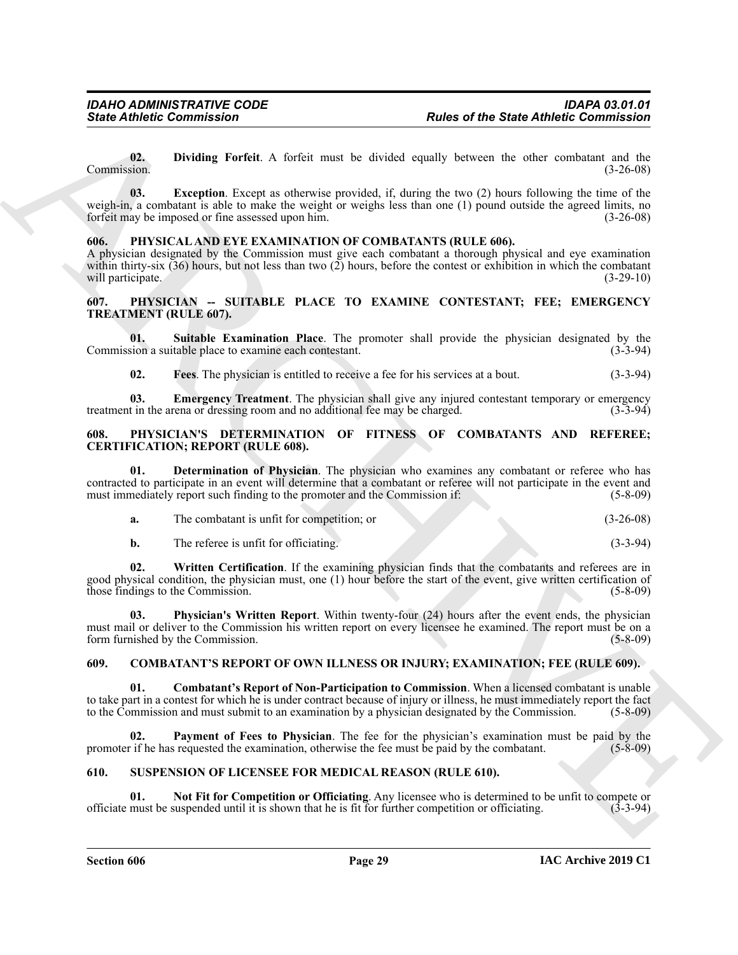<span id="page-28-11"></span><span id="page-28-10"></span>**02. Dividing Forfeit**. A forfeit must be divided equally between the other combatant and the Commission. (3-26-08)

**Since Atthese Commutation**<br> **Rother of the State Attitude of the State Attitude Commutation<br>
(Eq. 1) Dividing Perfuit. A fortal must be disclosed equally between the value ventical and be<br>
resulted by the state of the st 03.** Exception. Except as otherwise provided, if, during the two (2) hours following the time of the weigh-in, a combatant is able to make the weight or weighs less than one (1) pound outside the agreed limits, no<br>forfeit may be imposed or fine assessed upon him. forfeit may be imposed or fine assessed upon him.

#### <span id="page-28-12"></span><span id="page-28-0"></span>**606. PHYSICAL AND EYE EXAMINATION OF COMBATANTS (RULE 606).**

A physician designated by the Commission must give each combatant a thorough physical and eye examination within thirty-six (36) hours, but not less than two (2) hours, before the contest or exhibition in which the combatant will participate. (3-29-10) (3-29-10)

#### <span id="page-28-1"></span>**607. PHYSICIAN -- SUITABLE PLACE TO EXAMINE CONTESTANT; FEE; EMERGENCY TREATMENT (RULE 607).**

**01. Suitable Examination Place**. The promoter shall provide the physician designated by the Commission a suitable place to examine each contestant.

<span id="page-28-8"></span><span id="page-28-7"></span><span id="page-28-6"></span>**02. Fees**. The physician is entitled to receive a fee for his services at a bout. (3-3-94)

**03. Emergency Treatment**. The physician shall give any injured contestant temporary or emergency t in the arena or dressing room and no additional fee may be charged. (3-3-94) treatment in the arena or dressing room and no additional fee may be charged.

#### <span id="page-28-2"></span>**608. PHYSICIAN'S DETERMINATION OF FITNESS OF COMBATANTS AND REFEREE; CERTIFICATION; REPORT (RULE 608).**

**01. Determination of Physician**. The physician who examines any combatant or referee who has contracted to participate in an event will determine that a combatant or referee will not participate in the event and must immediately report such finding to the promoter and the Commission if: (5-8-09)

<span id="page-28-15"></span><span id="page-28-13"></span>

| The combatant is unfit for competition; or | $(3-26-08)$ |
|--------------------------------------------|-------------|
| ---<br>__                                  |             |

**b.** The referee is unfit for officiating. (3-3-94)

**02. Written Certification**. If the examining physician finds that the combatants and referees are in good physical condition, the physician must, one (1) hour before the start of the event, give written certification of those findings to the Commission. (5-8-09)

<span id="page-28-14"></span>**03. Physician's Written Report**. Within twenty-four (24) hours after the event ends, the physician must mail or deliver to the Commission his written report on every licensee he examined. The report must be on a form furnished by the Commission. (5-8-09)

#### <span id="page-28-3"></span>**609. COMBATANT'S REPORT OF OWN ILLNESS OR INJURY; EXAMINATION; FEE (RULE 609).**

<span id="page-28-5"></span>**01. Combatant's Report of Non-Participation to Commission**. When a licensed combatant is unable to take part in a contest for which he is under contract because of injury or illness, he must immediately report the fact to the Commission and must submit to an examination by a physician designated by the Commission. (5-8-09)

<span id="page-28-9"></span>Payment of Fees to Physician. The fee for the physician's examination must be paid by the promoter if he has requested the examination, otherwise the fee must be paid by the combatant. (5-8-09)

#### <span id="page-28-16"></span><span id="page-28-4"></span>**610. SUSPENSION OF LICENSEE FOR MEDICAL REASON (RULE 610).**

<span id="page-28-17"></span>**01.** Not Fit for Competition or Officiating. Any licensee who is determined to be unfit to compete or must be suspended until it is shown that he is fit for further competition or officiating. (3-3-94) officiate must be suspended until it is shown that he is fit for further competition or officiating. (3-3-94)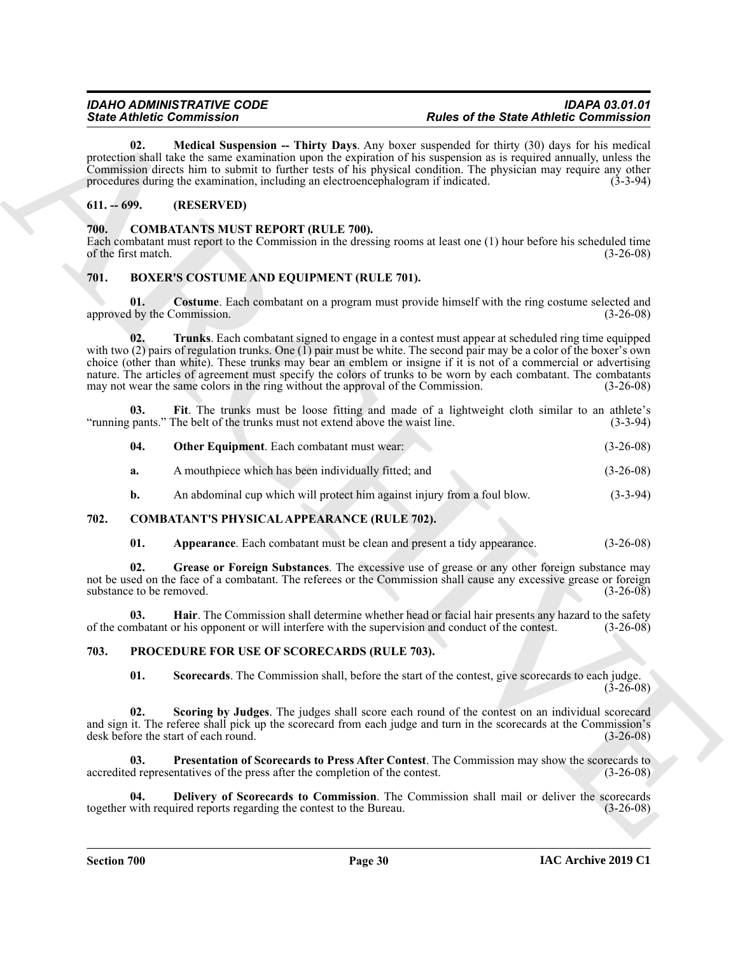<span id="page-29-20"></span>**02.** Medical Suspension -- Thirty Days. Any boxer suspended for thirty (30) days for his medical protection shall take the same examination upon the expiration of his suspension as is required annually, unless the Commission directs him to submit to further tests of his physical condition. The physician may require any other procedures during the examination, including an electroencephalogram if indicated. (3-3-94)

### <span id="page-29-0"></span>**611. -- 699. (RESERVED)**

#### <span id="page-29-14"></span><span id="page-29-1"></span>**700. COMBATANTS MUST REPORT (RULE 700).**

Each combatant must report to the Commission in the dressing rooms at least one (1) hour before his scheduled time of the first match. (3-26-08)

#### <span id="page-29-5"></span><span id="page-29-2"></span>**701. BOXER'S COSTUME AND EQUIPMENT (RULE 701).**

<span id="page-29-9"></span><span id="page-29-6"></span>**01. Costume**. Each combatant on a program must provide himself with the ring costume selected and approved by the Commission. (3-26-08)

Since Contents the Characteristics<br>
20. Model September - Heirt, Den Am best graps the Since Contents of the Since Contents of Contents of the Characteristics<br>
20. Model September - Heirt, Den Am best graps the second of **02. Trunks**. Each combatant signed to engage in a contest must appear at scheduled ring time equipped with two (2) pairs of regulation trunks. One (1) pair must be white. The second pair may be a color of the boxer's own choice (other than white). These trunks may bear an emblem or insigne if it is not of a commercial or advertising nature. The articles of agreement must specify the colors of trunks to be worn by each combatant. The combatants may not wear the same colors in the ring without the approval of the Commission. (3-26-08)

**03. Fit**. The trunks must be loose fitting and made of a lightweight cloth similar to an athlete's "running pants." The belt of the trunks must not extend above the waist line. (3-3-94)

<span id="page-29-8"></span><span id="page-29-7"></span>

| 04. | <b>Other Equipment.</b> Each combatant must wear: | $(3-26-08)$ |
|-----|---------------------------------------------------|-------------|
|-----|---------------------------------------------------|-------------|

- **a.** A mouthpiece which has been individually fitted; and (3-26-08)
- <span id="page-29-10"></span>**b.** An abdominal cup which will protect him against injury from a foul blow. (3-3-94)

#### <span id="page-29-3"></span>**702. COMBATANT'S PHYSICAL APPEARANCE (RULE 702).**

<span id="page-29-13"></span><span id="page-29-12"></span><span id="page-29-11"></span>**01.** Appearance. Each combatant must be clean and present a tidy appearance.  $(3-26-08)$ 

**02. Grease or Foreign Substances**. The excessive use of grease or any other foreign substance may not be used on the face of a combatant. The referees or the Commission shall cause any excessive grease or foreign substance to be removed. (3-26-08)

**03. Hair**. The Commission shall determine whether head or facial hair presents any hazard to the safety of the combatant or his opponent or will interfere with the supervision and conduct of the contest. (3-26-08)

#### <span id="page-29-4"></span>**703. PROCEDURE FOR USE OF SCORECARDS (RULE 703).**

<span id="page-29-19"></span><span id="page-29-18"></span><span id="page-29-17"></span><span id="page-29-15"></span>**01. Scorecards**. The Commission shall, before the start of the contest, give scorecards to each judge.  $(3-26-08)$ 

**Scoring by Judges**. The judges shall score each round of the contest on an individual scorecard and sign it. The referee shall pick up the scorecard from each judge and turn in the scorecards at the Commission's desk before the start of each round. (3-26-08) desk before the start of each round.

**03. Presentation of Scorecards to Press After Contest**. The Commission may show the scorecards to accredited representatives of the press after the completion of the contest. (3-26-08)

<span id="page-29-16"></span>**04. Delivery of Scorecards to Commission**. The Commission shall mail or deliver the scorecards with required reports regarding the contest to the Bureau. (3-26-08) together with required reports regarding the contest to the Bureau.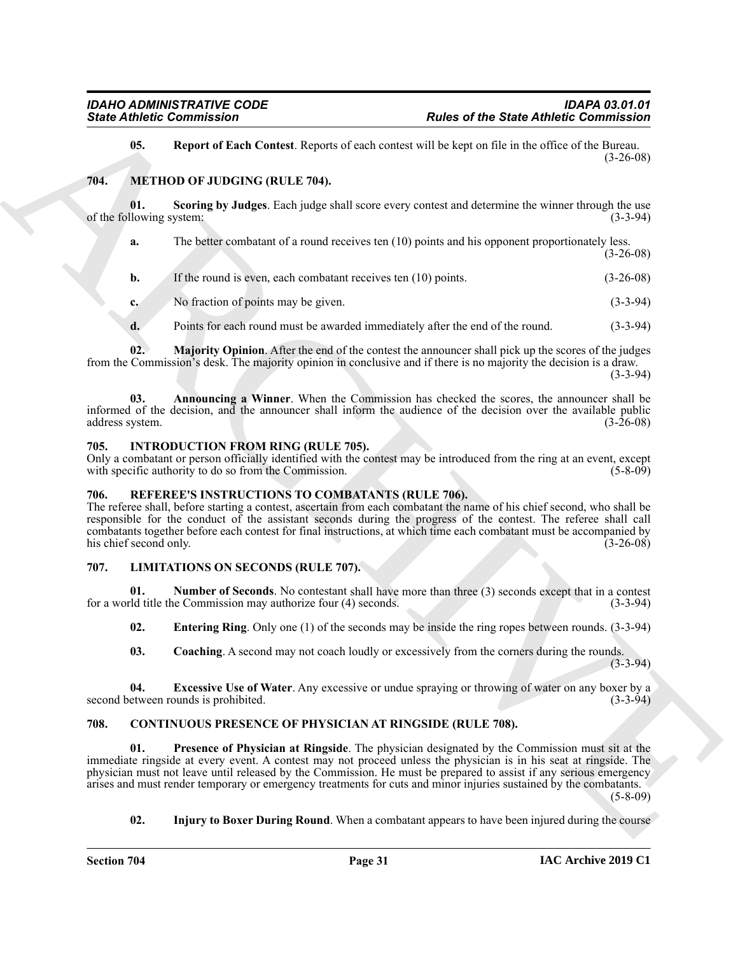#### <span id="page-30-18"></span><span id="page-30-17"></span><span id="page-30-14"></span><span id="page-30-0"></span>**704. METHOD OF JUDGING (RULE 704).**

|                                 | <b>State Athletic Commission</b>                                                                   | <b>Rules of the State Athletic Commission</b>                                                                                                                                                                                                                                                                                                                                                                                                                |             |
|---------------------------------|----------------------------------------------------------------------------------------------------|--------------------------------------------------------------------------------------------------------------------------------------------------------------------------------------------------------------------------------------------------------------------------------------------------------------------------------------------------------------------------------------------------------------------------------------------------------------|-------------|
| 05.                             |                                                                                                    | Report of Each Contest. Reports of each contest will be kept on file in the office of the Bureau.                                                                                                                                                                                                                                                                                                                                                            | $(3-26-08)$ |
| 704.                            | METHOD OF JUDGING (RULE 704).                                                                      |                                                                                                                                                                                                                                                                                                                                                                                                                                                              |             |
| 01.<br>of the following system: |                                                                                                    | Scoring by Judges. Each judge shall score every contest and determine the winner through the use                                                                                                                                                                                                                                                                                                                                                             | $(3-3-94)$  |
| a.                              |                                                                                                    | The better combatant of a round receives ten (10) points and his opponent proportionately less.                                                                                                                                                                                                                                                                                                                                                              | $(3-26-08)$ |
| b.                              | If the round is even, each combatant receives ten (10) points.                                     |                                                                                                                                                                                                                                                                                                                                                                                                                                                              | $(3-26-08)$ |
| c.                              | No fraction of points may be given.                                                                |                                                                                                                                                                                                                                                                                                                                                                                                                                                              | $(3-3-94)$  |
| d.                              |                                                                                                    | Points for each round must be awarded immediately after the end of the round.                                                                                                                                                                                                                                                                                                                                                                                | $(3-3-94)$  |
| 02.                             |                                                                                                    | Majority Opinion. After the end of the contest the announcer shall pick up the scores of the judges<br>from the Commission's desk. The majority opinion in conclusive and if there is no majority the decision is a draw.                                                                                                                                                                                                                                    | $(3-3-94)$  |
| 03.<br>address system.          |                                                                                                    | Announcing a Winner. When the Commission has checked the scores, the announcer shall be<br>informed of the decision, and the announcer shall inform the audience of the decision over the available public                                                                                                                                                                                                                                                   | $(3-26-08)$ |
| 705.                            | <b>INTRODUCTION FROM RING (RULE 705).</b><br>with specific authority to do so from the Commission. | Only a combatant or person officially identified with the contest may be introduced from the ring at an event, except                                                                                                                                                                                                                                                                                                                                        | $(5-8-09)$  |
| 706.<br>his chief second only.  | REFEREE'S INSTRUCTIONS TO COMBATANTS (RULE 706).                                                   | The referee shall, before starting a contest, ascertain from each combatant the name of his chief second, who shall be<br>responsible for the conduct of the assistant seconds during the progress of the contest. The referee shall call<br>combatants together before each contest for final instructions, at which time each combatant must be accompanied by                                                                                             | $(3-26-08)$ |
| 707.                            | <b>LIMITATIONS ON SECONDS (RULE 707).</b>                                                          |                                                                                                                                                                                                                                                                                                                                                                                                                                                              |             |
| 01.                             | for a world title the Commission may authorize four (4) seconds.                                   | <b>Number of Seconds.</b> No contestant shall have more than three (3) seconds except that in a contest                                                                                                                                                                                                                                                                                                                                                      | $(3-3-94)$  |
| 02.                             |                                                                                                    | <b>Entering Ring</b> . Only one (1) of the seconds may be inside the ring ropes between rounds. (3-3-94)                                                                                                                                                                                                                                                                                                                                                     |             |
| 03.                             |                                                                                                    | <b>Coaching.</b> A second may not coach loudly or excessively from the corners during the rounds.                                                                                                                                                                                                                                                                                                                                                            | $(3-3-94)$  |
| 04.                             | second between rounds is prohibited.                                                               | <b>Excessive Use of Water.</b> Any excessive or undue spraying or throwing of water on any boxer by a                                                                                                                                                                                                                                                                                                                                                        | $(3-3-94)$  |
| 708.                            |                                                                                                    | <b>CONTINUOUS PRESENCE OF PHYSICIAN AT RINGSIDE (RULE 708).</b>                                                                                                                                                                                                                                                                                                                                                                                              |             |
| 01.                             |                                                                                                    | Presence of Physician at Ringside. The physician designated by the Commission must sit at the<br>immediate ringside at every event. A contest may not proceed unless the physician is in his seat at ringside. The<br>physician must not leave until released by the Commission. He must be prepared to assist if any serious emergency<br>arises and must render temporary or emergency treatments for cuts and minor injuries sustained by the combatants. | $(5-8-09)$  |
|                                 |                                                                                                    |                                                                                                                                                                                                                                                                                                                                                                                                                                                              |             |

#### <span id="page-30-16"></span><span id="page-30-15"></span><span id="page-30-8"></span><span id="page-30-1"></span>**705. INTRODUCTION FROM RING (RULE 705).**

#### <span id="page-30-19"></span><span id="page-30-2"></span>**706. REFEREE'S INSTRUCTIONS TO COMBATANTS (RULE 706).**

### <span id="page-30-13"></span><span id="page-30-11"></span><span id="page-30-10"></span><span id="page-30-9"></span><span id="page-30-3"></span>**707. LIMITATIONS ON SECONDS (RULE 707).**

#### <span id="page-30-12"></span><span id="page-30-7"></span><span id="page-30-6"></span><span id="page-30-5"></span><span id="page-30-4"></span>**708. CONTINUOUS PRESENCE OF PHYSICIAN AT RINGSIDE (RULE 708).**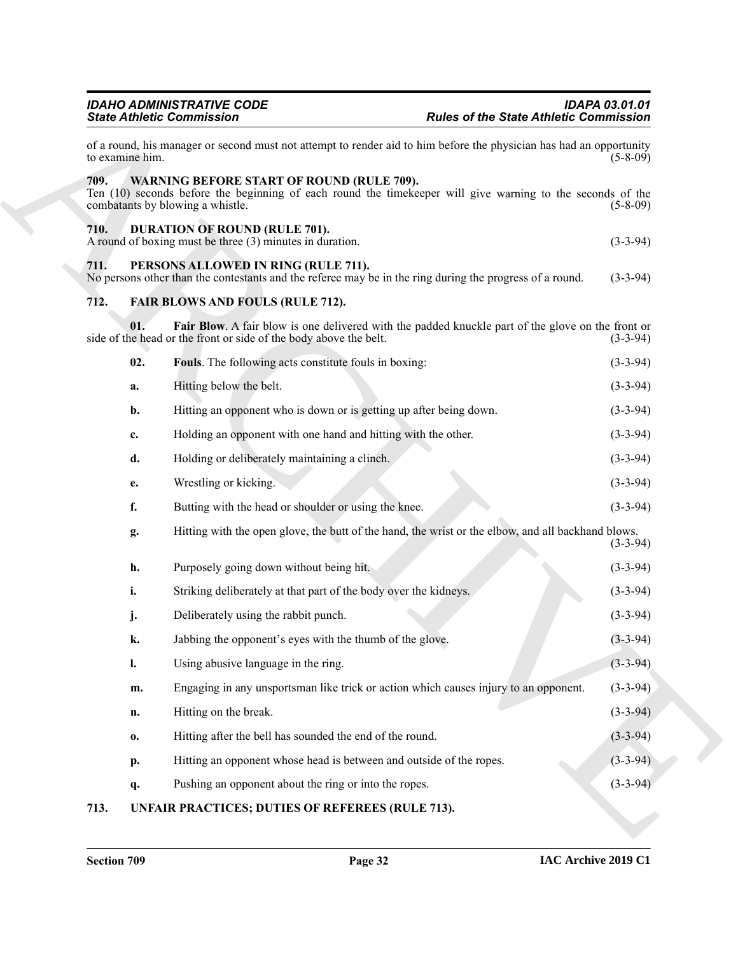<span id="page-31-10"></span><span id="page-31-9"></span><span id="page-31-8"></span><span id="page-31-7"></span><span id="page-31-6"></span><span id="page-31-5"></span><span id="page-31-3"></span><span id="page-31-2"></span><span id="page-31-1"></span><span id="page-31-0"></span>

|                 | <b>IDAHO ADMINISTRATIVE CODE</b><br><b>State Athletic Commission</b>                                                                            | <b>IDAPA 03.01.01</b><br><b>Rules of the State Athletic Commission</b>                                                            |
|-----------------|-------------------------------------------------------------------------------------------------------------------------------------------------|-----------------------------------------------------------------------------------------------------------------------------------|
| to examine him. |                                                                                                                                                 | of a round, his manager or second must not attempt to render aid to him before the physician has had an opportunity<br>$(5-8-09)$ |
| 709.            | <b>WARNING BEFORE START OF ROUND (RULE 709).</b><br>combatants by blowing a whistle.                                                            | Ten (10) seconds before the beginning of each round the timekeeper will give warning to the seconds of the<br>$(5 - 8 - 09)$      |
| 710.            | <b>DURATION OF ROUND (RULE 701).</b><br>A round of boxing must be three (3) minutes in duration.                                                | $(3-3-94)$                                                                                                                        |
| 711.            | PERSONS ALLOWED IN RING (RULE 711).<br>No persons other than the contestants and the referee may be in the ring during the progress of a round. | $(3-3-94)$                                                                                                                        |
| 712.            | <b>FAIR BLOWS AND FOULS (RULE 712).</b>                                                                                                         |                                                                                                                                   |
|                 | 01.<br>side of the head or the front or side of the body above the belt.                                                                        | Fair Blow. A fair blow is one delivered with the padded knuckle part of the glove on the front or<br>$(3-3-94)$                   |
|                 | 02.<br>Fouls. The following acts constitute fouls in boxing:                                                                                    | $(3-3-94)$                                                                                                                        |
|                 | Hitting below the belt.<br>a.                                                                                                                   | $(3-3-94)$                                                                                                                        |
|                 | Hitting an opponent who is down or is getting up after being down.<br>b.                                                                        | $(3-3-94)$                                                                                                                        |
|                 | Holding an opponent with one hand and hitting with the other.<br>c.                                                                             | $(3-3-94)$                                                                                                                        |
|                 | Holding or deliberately maintaining a clinch.<br>d.                                                                                             | $(3-3-94)$                                                                                                                        |
|                 | Wrestling or kicking.<br>e.                                                                                                                     | $(3-3-94)$                                                                                                                        |
|                 | f.<br>Butting with the head or shoulder or using the knee.                                                                                      | $(3-3-94)$                                                                                                                        |
|                 | g.                                                                                                                                              | Hitting with the open glove, the butt of the hand, the wrist or the elbow, and all backhand blows.<br>$(3-3-94)$                  |
|                 | h.<br>Purposely going down without being hit.                                                                                                   | $(3-3-94)$                                                                                                                        |
|                 | i.<br>Striking deliberately at that part of the body over the kidneys.                                                                          | $(3-3-94)$                                                                                                                        |
|                 | Deliberately using the rabbit punch.<br>j.                                                                                                      | $(3-3-94)$                                                                                                                        |
|                 | k.<br>Jabbing the opponent's eyes with the thumb of the glove.                                                                                  | $(3-3-94)$                                                                                                                        |
|                 | $\mathbf{l}$ .<br>Using abusive language in the ring.                                                                                           | $(3-3-94)$                                                                                                                        |
|                 | Engaging in any unsportsman like trick or action which causes injury to an opponent.<br>m.                                                      | $(3-3-94)$                                                                                                                        |
|                 | Hitting on the break.<br>n.                                                                                                                     | $(3-3-94)$                                                                                                                        |
|                 | Hitting after the bell has sounded the end of the round.<br>0.                                                                                  | $(3-3-94)$                                                                                                                        |
|                 | Hitting an opponent whose head is between and outside of the ropes.<br>р.                                                                       | $(3-3-94)$                                                                                                                        |
|                 | Pushing an opponent about the ring or into the ropes.<br>q.                                                                                     | $(3-3-94)$                                                                                                                        |
| 713.            | UNFAIR PRACTICES; DUTIES OF REFEREES (RULE 713).                                                                                                |                                                                                                                                   |

### <span id="page-31-4"></span>**713. UNFAIR PRACTICES; DUTIES OF REFEREES (RULE 713).**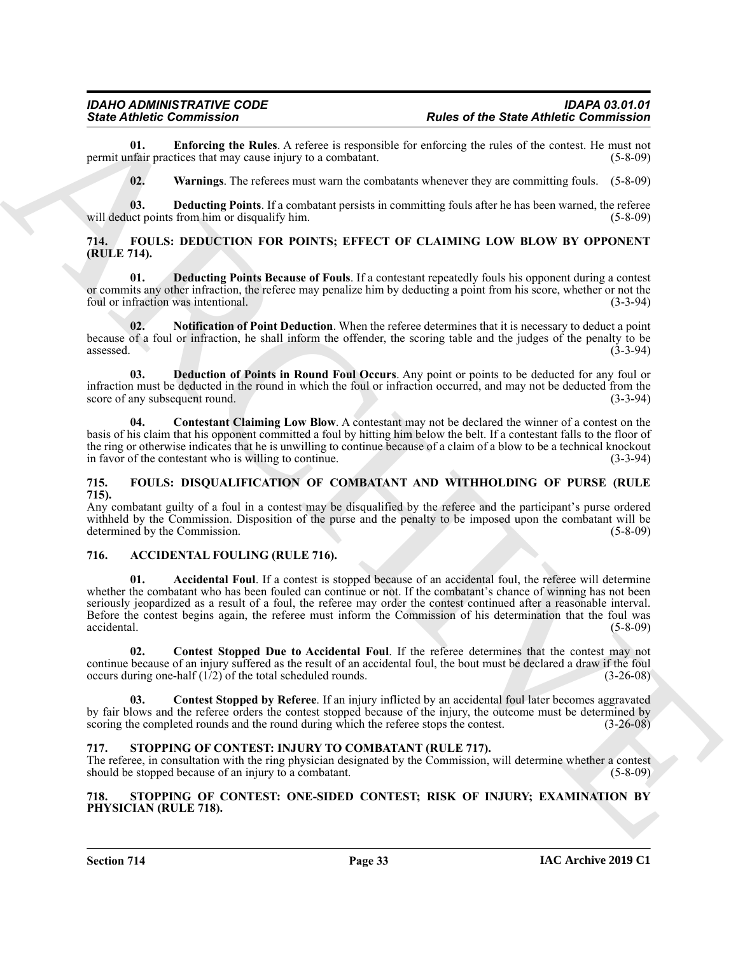**01. Enforcing the Rules**. A referee is responsible for enforcing the rules of the contest. He must not permit unfair practices that may cause injury to a combatant.

<span id="page-32-17"></span><span id="page-32-16"></span><span id="page-32-15"></span>**02. Warnings**. The referees must warn the combatants whenever they are committing fouls. (5-8-09)

**03. Deducting Points**. If a combatant persists in committing fouls after he has been warned, the referee act points from him or disqualify him. (5-8-09) will deduct points from him or disqualify him.

#### <span id="page-32-0"></span>**714. FOULS: DEDUCTION FOR POINTS; EFFECT OF CLAIMING LOW BLOW BY OPPONENT (RULE 714).**

<span id="page-32-10"></span>**01. Deducting Points Because of Fouls**. If a contestant repeatedly fouls his opponent during a contest or commits any other infraction, the referee may penalize him by deducting a point from his score, whether or not the foul or infraction was intentional. (3-3-94)

<span id="page-32-12"></span>**02. Notification of Point Deduction**. When the referee determines that it is necessary to deduct a point because of a foul or infraction, he shall inform the offender, the scoring table and the judges of the penalty to be  $\alpha$ ssessed. (3-3-94)

<span id="page-32-11"></span>**03. Deduction of Points in Round Foul Occurs**. Any point or points to be deducted for any foul or infraction must be deducted in the round in which the foul or infraction occurred, and may not be deducted from the score of any subsequent round.

<span id="page-32-9"></span>**04. Contestant Claiming Low Blow**. A contestant may not be declared the winner of a contest on the basis of his claim that his opponent committed a foul by hitting him below the belt. If a contestant falls to the floor of the ring or otherwise indicates that he is unwilling to continue because of a claim of a blow to be a technical knockout in favor of the contestant who is willing to continue. (3-3-94)

#### <span id="page-32-13"></span><span id="page-32-1"></span>**715. FOULS: DISQUALIFICATION OF COMBATANT AND WITHHOLDING OF PURSE (RULE 715).**

Any combatant guilty of a foul in a contest may be disqualified by the referee and the participant's purse ordered withheld by the Commission. Disposition of the purse and the penalty to be imposed upon the combatant will be determined by the Commission. (5-8-09) (5-8-09)

#### <span id="page-32-6"></span><span id="page-32-5"></span><span id="page-32-2"></span>**716. ACCIDENTAL FOULING (RULE 716).**

Since Commission Control is the State Commission of the State Commission of the State Antoine Commission of the State Antoine Commission of the State Commission of the State Commission of the State Commission of the State **01. Accidental Foul**. If a contest is stopped because of an accidental foul, the referee will determine whether the combatant who has been fouled can continue or not. If the combatant's chance of winning has not been seriously jeopardized as a result of a foul, the referee may order the contest continued after a reasonable interval. Before the contest begins again, the referee must inform the Commission of his determination that the foul was accidental. (5-8-09)

<span id="page-32-8"></span>**02. Contest Stopped Due to Accidental Foul**. If the referee determines that the contest may not continue because of an injury suffered as the result of an accidental foul, the bout must be declared a draw if the foul occurs during one-half (1/2) of the total scheduled rounds. (3-26-08)

<span id="page-32-7"></span>**Contest Stopped by Referee.** If an injury inflicted by an accidental foul later becomes aggravated by fair blows and the referee orders the contest stopped because of the injury, the outcome must be determined by scoring the completed rounds and the round during which the referee stops the contest. (3-26-08)

#### <span id="page-32-14"></span><span id="page-32-3"></span>**717. STOPPING OF CONTEST: INJURY TO COMBATANT (RULE 717).**

The referee, in consultation with the ring physician designated by the Commission, will determine whether a contest should be stopped because of an injury to a combatant. (5-8-09)

#### <span id="page-32-4"></span>**718. STOPPING OF CONTEST: ONE-SIDED CONTEST; RISK OF INJURY; EXAMINATION BY PHYSICIAN (RULE 718).**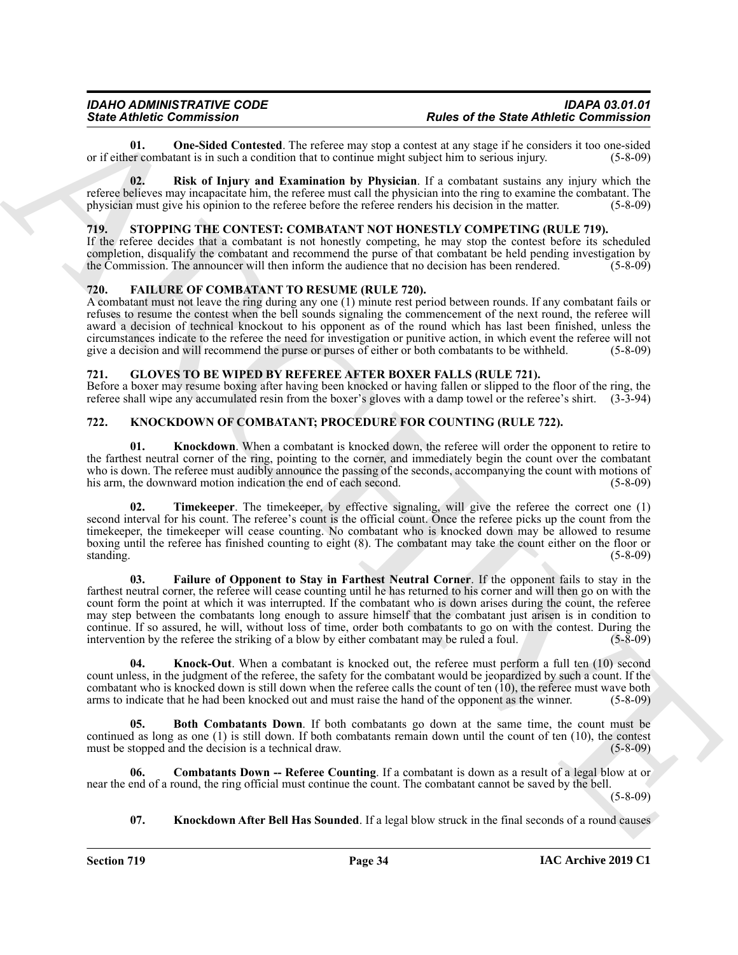<span id="page-33-4"></span>**01.** One-Sided Contested. The referee may stop a contest at any stage if he considers it too one-sided er combatant is in such a condition that to continue might subject him to serious injury. (5-8-09) or if either combatant is in such a condition that to continue might subject him to serious injury.

<span id="page-33-5"></span>**02. Risk of Injury and Examination by Physician**. If a combatant sustains any injury which the referee believes may incapacitate him, the referee must call the physician into the ring to examine the combatant. The physician must give his opinion to the referee before the referee renders his decision in the matter. (5-8-09)

#### <span id="page-33-15"></span><span id="page-33-0"></span>719. STOPPING THE CONTEST: COMBATANT NOT HONESTLY COMPETING (RULE 719).

If the referee decides that a combatant is not honestly competing, he may stop the contest before its scheduled completion, disqualify the combatant and recommend the purse of that combatant be held pending investigation by the Commission. The announcer will then inform the audience that no decision has been rendered.  $(5-8-09)$ 

#### <span id="page-33-6"></span><span id="page-33-1"></span>**720. FAILURE OF COMBATANT TO RESUME (RULE 720).**

A combatant must not leave the ring during any one (1) minute rest period between rounds. If any combatant fails or refuses to resume the contest when the bell sounds signaling the commencement of the next round, the referee will award a decision of technical knockout to his opponent as of the round which has last been finished, unless the circumstances indicate to the referee the need for investigation or punitive action, in which event the referee will not give a decision and will recommend the purse or purses of either or both combatants to be withheld. (5-8-09)

#### <span id="page-33-7"></span><span id="page-33-2"></span>**721. GLOVES TO BE WIPED BY REFEREE AFTER BOXER FALLS (RULE 721).**

Before a boxer may resume boxing after having been knocked or having fallen or slipped to the floor of the ring, the referee shall wipe any accumulated resin from the boxer's gloves with a damp towel or the referee's shirt. (3-3-94)

#### <span id="page-33-3"></span>**722. KNOCKDOWN OF COMBATANT; PROCEDURE FOR COUNTING (RULE 722).**

<span id="page-33-11"></span>**01.** Knockdown. When a combatant is knocked down, the referee will order the opponent to retire to the farthest neutral corner of the ring, pointing to the corner, and immediately begin the count over the combatant who is down. The referee must audibly announce the passing of the seconds, accompanying the count with motions of his arm, the downward motion indication the end of each second. (5-8-09) (5-8-09)

<span id="page-33-14"></span><span id="page-33-10"></span>**Timekeeper**. The timekeeper, by effective signaling, will give the referee the correct one (1) second interval for his count. The referee's count is the official count. Once the referee picks up the count from the timekeeper, the timekeeper will cease counting. No combatant who is knocked down may be allowed to resume boxing until the referee has finished counting to eight (8). The combatant may take the count either on the floor or standing. (5-8-09)

Since Contents and the contents are not the since of the Since Rive Contents and the Contents and the Since Rive Contents are not the Since Rive Contents and the since Contents are not the contents and the contents are no **03. Failure of Opponent to Stay in Farthest Neutral Corner**. If the opponent fails to stay in the farthest neutral corner, the referee will cease counting until he has returned to his corner and will then go on with the count form the point at which it was interrupted. If the combatant who is down arises during the count, the referee may step between the combatants long enough to assure himself that the combatant just arisen is in condition to continue. If so assured, he will, without loss of time, order both combatants to go on with the contest. During the intervention by the referee the striking of a blow by either combatant may be ruled a foul. (5-8-09)

<span id="page-33-13"></span>**04. Knock-Out**. When a combatant is knocked out, the referee must perform a full ten (10) second count unless, in the judgment of the referee, the safety for the combatant would be jeopardized by such a count. If the combatant who is knocked down is still down when the referee calls the count of ten (10), the referee must wave both arms to indicate that he had been knocked out and must raise the hand of the opponent as the winner. (5-8-09)

<span id="page-33-8"></span>**05. Both Combatants Down**. If both combatants go down at the same time, the count must be continued as long as one (1) is still down. If both combatants remain down until the count of ten (10), the contest must be stopped and the decision is a technical draw. (5-8-09)

**06. Combatants Down -- Referee Counting**. If a combatant is down as a result of a legal blow at or near the end of a round, the ring official must continue the count. The combatant cannot be saved by the bell.

(5-8-09)

#### <span id="page-33-12"></span><span id="page-33-9"></span>**07. Knockdown After Bell Has Sounded**. If a legal blow struck in the final seconds of a round causes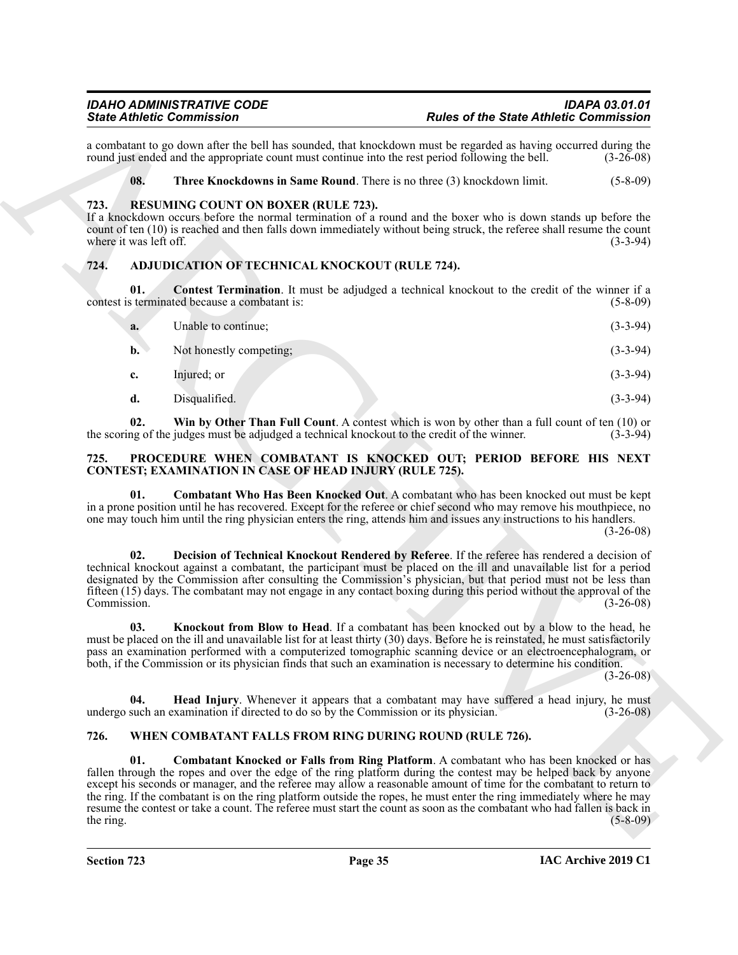#### <span id="page-34-12"></span><span id="page-34-11"></span><span id="page-34-0"></span>**723. RESUMING COUNT ON BOXER (RULE 723).**

#### <span id="page-34-5"></span><span id="page-34-4"></span><span id="page-34-1"></span>**724. ADJUDICATION OF TECHNICAL KNOCKOUT (RULE 724).**

|                                | <b>State Athletic Commission</b>                                                     | <b>Rules of the State Athletic Commission</b>                                                                                                                                                                                                                                                                                                                                                                                                                                                                                                                                        |             |
|--------------------------------|--------------------------------------------------------------------------------------|--------------------------------------------------------------------------------------------------------------------------------------------------------------------------------------------------------------------------------------------------------------------------------------------------------------------------------------------------------------------------------------------------------------------------------------------------------------------------------------------------------------------------------------------------------------------------------------|-------------|
|                                |                                                                                      | a combatant to go down after the bell has sounded, that knockdown must be regarded as having occurred during the<br>round just ended and the appropriate count must continue into the rest period following the bell.                                                                                                                                                                                                                                                                                                                                                                | $(3-26-08)$ |
| 08.                            |                                                                                      | Three Knockdowns in Same Round. There is no three (3) knockdown limit.                                                                                                                                                                                                                                                                                                                                                                                                                                                                                                               | $(5-8-09)$  |
| 723.<br>where it was left off. | <b>RESUMING COUNT ON BOXER (RULE 723).</b>                                           | If a knockdown occurs before the normal termination of a round and the boxer who is down stands up before the<br>count of ten (10) is reached and then falls down immediately without being struck, the referee shall resume the count                                                                                                                                                                                                                                                                                                                                               | $(3-3-94)$  |
| 724.                           | ADJUDICATION OF TECHNICAL KNOCKOUT (RULE 724).                                       |                                                                                                                                                                                                                                                                                                                                                                                                                                                                                                                                                                                      |             |
| 01.                            | contest is terminated because a combatant is:                                        | <b>Contest Termination</b> . It must be adjudged a technical knockout to the credit of the winner if a                                                                                                                                                                                                                                                                                                                                                                                                                                                                               | $(5-8-09)$  |
| a.                             | Unable to continue;                                                                  |                                                                                                                                                                                                                                                                                                                                                                                                                                                                                                                                                                                      | $(3-3-94)$  |
| $\mathbf{b}$ .                 | Not honestly competing;                                                              |                                                                                                                                                                                                                                                                                                                                                                                                                                                                                                                                                                                      | $(3-3-94)$  |
| c.                             | Injured; or                                                                          |                                                                                                                                                                                                                                                                                                                                                                                                                                                                                                                                                                                      | $(3-3-94)$  |
| d.                             | Disqualified.                                                                        |                                                                                                                                                                                                                                                                                                                                                                                                                                                                                                                                                                                      | $(3-3-94)$  |
| 02.                            |                                                                                      | Win by Other Than Full Count. A contest which is won by other than a full count of ten (10) or<br>the scoring of the judges must be adjudged a technical knockout to the credit of the winner.                                                                                                                                                                                                                                                                                                                                                                                       | $(3-3-94)$  |
| 725.                           | <b>CONTEST; EXAMINATION IN CASE OF HEAD INJURY (RULE 725).</b>                       | PROCEDURE WHEN COMBATANT IS KNOCKED OUT; PERIOD BEFORE HIS NEXT                                                                                                                                                                                                                                                                                                                                                                                                                                                                                                                      |             |
| 01.                            |                                                                                      | Combatant Who Has Been Knocked Out. A combatant who has been knocked out must be kept<br>in a prone position until he has recovered. Except for the referee or chief second who may remove his mouthpiece, no<br>one may touch him until the ring physician enters the ring, attends him and issues any instructions to his handlers.                                                                                                                                                                                                                                                | $(3-26-08)$ |
| 02.<br>Commission.             |                                                                                      | Decision of Technical Knockout Rendered by Referee. If the referee has rendered a decision of<br>technical knockout against a combatant, the participant must be placed on the ill and unavailable list for a period<br>designated by the Commission after consulting the Commission's physician, but that period must not be less than<br>fifteen (15) days. The combatant may not engage in any contact boxing during this period without the approval of the                                                                                                                      | $(3-26-08)$ |
| 03.                            |                                                                                      | Knockout from Blow to Head. If a combatant has been knocked out by a blow to the head, he<br>must be placed on the ill and unavailable list for at least thirty (30) days. Before he is reinstated, he must satisfactorily<br>pass an examination performed with a computerized tomographic scanning device or an electroencephalogram, or<br>both, if the Commission or its physician finds that such an examination is necessary to determine his condition.                                                                                                                       | $(3-26-08)$ |
| 04.                            | undergo such an examination if directed to do so by the Commission or its physician. | <b>Head Injury.</b> Whenever it appears that a combatant may have suffered a head injury, he must                                                                                                                                                                                                                                                                                                                                                                                                                                                                                    | $(3-26-08)$ |
| 726.                           |                                                                                      | WHEN COMBATANT FALLS FROM RING DURING ROUND (RULE 726).                                                                                                                                                                                                                                                                                                                                                                                                                                                                                                                              |             |
| 01.<br>the ring.               |                                                                                      | Combatant Knocked or Falls from Ring Platform. A combatant who has been knocked or has<br>fallen through the ropes and over the edge of the ring platform during the contest may be helped back by anyone<br>except his seconds or manager, and the referee may allow a reasonable amount of time for the combatant to return to<br>the ring. If the combatant is on the ring platform outside the ropes, he must enter the ring immediately where he may<br>resume the contest or take a count. The referee must start the count as soon as the combatant who had fallen is back in | $(5-8-09)$  |

#### <span id="page-34-8"></span><span id="page-34-7"></span><span id="page-34-6"></span><span id="page-34-2"></span>**725. PROCEDURE WHEN COMBATANT IS KNOCKED OUT; PERIOD BEFORE HIS NEXT CONTEST; EXAMINATION IN CASE OF HEAD INJURY (RULE 725).**

#### <span id="page-34-14"></span><span id="page-34-13"></span><span id="page-34-10"></span><span id="page-34-9"></span><span id="page-34-3"></span>**726. WHEN COMBATANT FALLS FROM RING DURING ROUND (RULE 726).**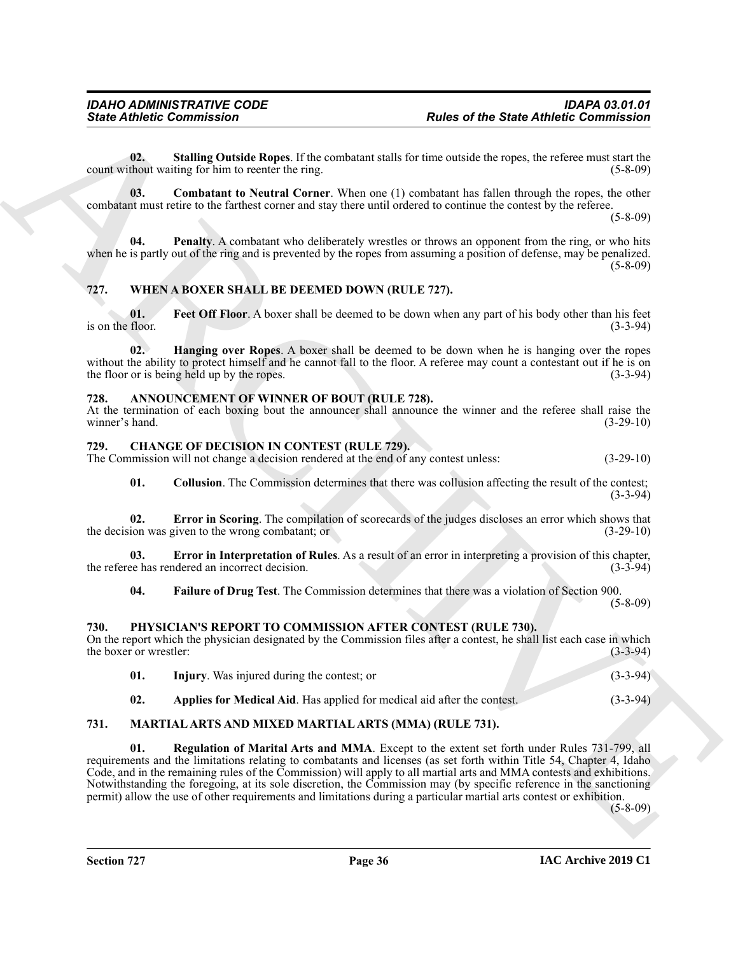<span id="page-35-20"></span>**02. Stalling Outside Ropes**. If the combatant stalls for time outside the ropes, the referee must start the count without waiting for him to reenter the ring. (5-8-09)

<span id="page-35-18"></span>**03. Combatant to Neutral Corner**. When one (1) combatant has fallen through the ropes, the other combatant must retire to the farthest corner and stay there until ordered to continue the contest by the referee.

 $(5 - 8 - 09)$ 

<span id="page-35-19"></span>**04. Penalty**. A combatant who deliberately wrestles or throws an opponent from the ring, or who hits when he is partly out of the ring and is prevented by the ropes from assuming a position of defense, may be penalized.  $(5-8-09)$ 

#### <span id="page-35-15"></span><span id="page-35-0"></span>**727. WHEN A BOXER SHALL BE DEEMED DOWN (RULE 727).**

<span id="page-35-16"></span>**01.** Feet Off Floor. A boxer shall be deemed to be down when any part of his body other than his feet floor. (3-3-94) is on the floor.

<span id="page-35-17"></span>**02. Hanging over Ropes**. A boxer shall be deemed to be down when he is hanging over the ropes without the ability to protect himself and he cannot fall to the floor. A referee may count a contestant out if he is on the floor or is being held up by the ropes. (3-3-94)

#### <span id="page-35-5"></span><span id="page-35-1"></span>**728. ANNOUNCEMENT OF WINNER OF BOUT (RULE 728).**

At the termination of each boxing bout the announcer shall announce the winner and the referee shall raise the winner's hand. (3-29-10)

#### <span id="page-35-10"></span><span id="page-35-2"></span>**729. CHANGE OF DECISION IN CONTEST (RULE 729).**

The Commission will not change a decision rendered at the end of any contest unless: (3-29-10)

<span id="page-35-8"></span><span id="page-35-6"></span>**01.** Collusion. The Commission determines that there was collusion affecting the result of the contest; (3-3-94)

**02. Error in Scoring**. The compilation of scorecards of the judges discloses an error which shows that the decision was given to the wrong combatant; or (3-29-10)

**03. Error in Interpretation of Rules**. As a result of an error in interpreting a provision of this chapter, the referee has rendered an incorrect decision. (3-3-94)

<span id="page-35-9"></span><span id="page-35-7"></span>**04. Failure of Drug Test**. The Commission determines that there was a violation of Section 900.

(5-8-09)

#### <span id="page-35-3"></span>**730. PHYSICIAN'S REPORT TO COMMISSION AFTER CONTEST (RULE 730).**

On the report which the physician designated by the Commission files after a contest, he shall list each case in which the boxer or wrestler: (3-3-94)

<span id="page-35-14"></span><span id="page-35-13"></span><span id="page-35-12"></span><span id="page-35-11"></span>

|     | <b>Injury.</b> Was injured during the contest; or                       | $(3-3-94)$ |
|-----|-------------------------------------------------------------------------|------------|
| 02. | Applies for Medical Aid. Has applied for medical aid after the contest. | $(3-3-94)$ |

#### <span id="page-35-4"></span>**731. MARTIAL ARTS AND MIXED MARTIAL ARTS (MMA) (RULE 731).**

**Sinic Advise Commission**<br>
Units of the State Advise Commission<br>
Units of the State Advise Commission<br>
contrasting the line recent restrict.<br>
Commission of the Registration Commission in the line contrast of the commissio **01. Regulation of Marital Arts and MMA**. Except to the extent set forth under Rules 731-799, all requirements and the limitations relating to combatants and licenses (as set forth within Title 54, Chapter 4, Idaho Code, and in the remaining rules of the Commission) will apply to all martial arts and MMA contests and exhibitions. Notwithstanding the foregoing, at its sole discretion, the Commission may (by specific reference in the sanctioning permit) allow the use of other requirements and limitations during a particular martial arts contest or exhibition.

(5-8-09)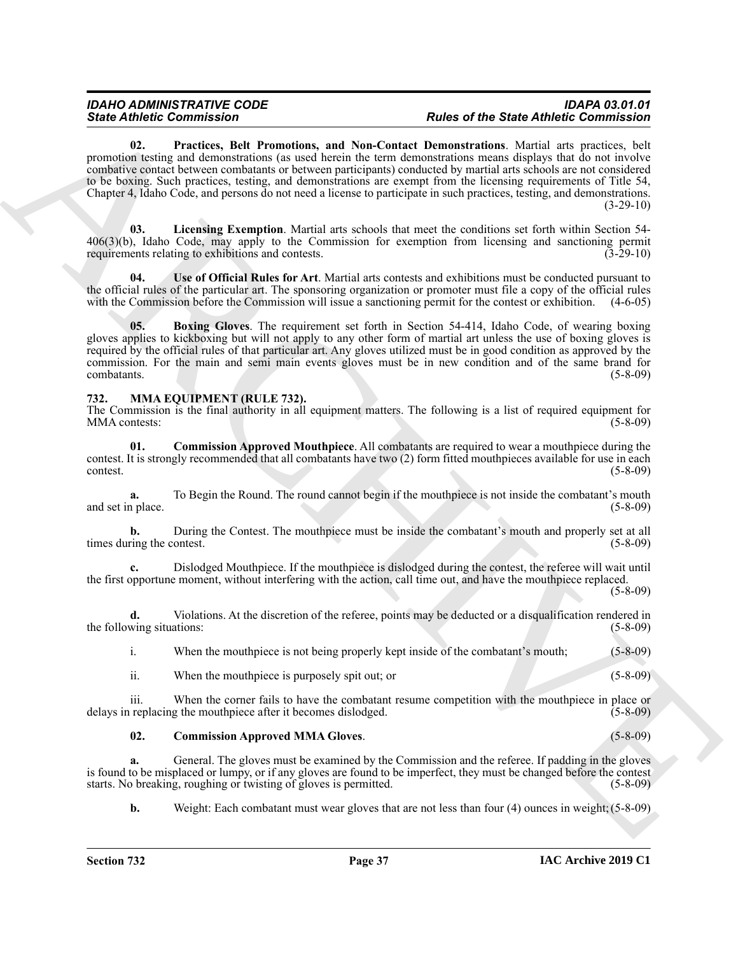Since Zuident Gomministern - The requirement of the state of the Since Energy and Since Commission and New York Commission and New York Commission and New York Commission and New York Commission and New York Commission an **02. Practices, Belt Promotions, and Non-Contact Demonstrations**. Martial arts practices, belt promotion testing and demonstrations (as used herein the term demonstrations means displays that do not involve combative contact between combatants or between participants) conducted by martial arts schools are not considered to be boxing. Such practices, testing, and demonstrations are exempt from the licensing requirements of Title 54, Chapter 4, Idaho Code, and persons do not need a license to participate in such practices, testing, and demonstrations.  $(3-29-10)$ 

<span id="page-36-3"></span><span id="page-36-2"></span>**03. Licensing Exemption**. Martial arts schools that meet the conditions set forth within Section 54- 406(3)(b), Idaho Code, may apply to the Commission for exemption from licensing and sanctioning permit requirements relating to exhibitions and contests. (3-29-10)

<span id="page-36-4"></span>**04. Use of Official Rules for Art**. Martial arts contests and exhibitions must be conducted pursuant to the official rules of the particular art. The sponsoring organization or promoter must file a copy of the official rules with the Commission before the Commission will issue a sanctioning permit for the contest or exhibition. (4-6-05)

<span id="page-36-1"></span>**05. Boxing Gloves**. The requirement set forth in Section 54-414, Idaho Code, of wearing boxing gloves applies to kickboxing but will not apply to any other form of martial art unless the use of boxing gloves is required by the official rules of that particular art. Any gloves utilized must be in good condition as approved by the commission. For the main and semi main events gloves must be in new condition and of the same brand for combatants. (5-8-09)

#### <span id="page-36-5"></span><span id="page-36-0"></span>**732. MMA EQUIPMENT (RULE 732).**

The Commission is the final authority in all equipment matters. The following is a list of required equipment for MMA contests: (5-8-09)

<span id="page-36-7"></span>**01. Commission Approved Mouthpiece**. All combatants are required to wear a mouthpiece during the contest. It is strongly recommended that all combatants have two (2) form fitted mouthpieces available for use in each contest. (5-8-09)

**a.** To Begin the Round. The round cannot begin if the mouthpiece is not inside the combatant's mouth place. (5-8-09) and set in place.

**b.** During the Contest. The mouthpiece must be inside the combatant's mouth and properly set at all times during the contest. (5-8-09)

**c.** Dislodged Mouthpiece. If the mouthpiece is dislodged during the contest, the referee will wait until the first opportune moment, without interfering with the action, call time out, and have the mouthpiece replaced.

(5-8-09)

**d.** Violations. At the discretion of the referee, points may be deducted or a disqualification rendered in the following situations: (5-8-09) (5-8-09)

i. When the mouthpiece is not being properly kept inside of the combatant's mouth; (5-8-09)

<span id="page-36-6"></span>ii. When the mouthpiece is purposely spit out; or (5-8-09)

iii. When the corner fails to have the combatant resume competition with the mouthpiece in place or delays in replacing the mouthpiece after it becomes dislodged. (5-8-09)

**02. Commission Approved MMA Gloves**. (5-8-09)

**a.** General. The gloves must be examined by the Commission and the referee. If padding in the gloves is found to be misplaced or lumpy, or if any gloves are found to be imperfect, they must be changed before the contest starts. No breaking, roughing or twisting of gloves is permitted. (5-8-09)

**b.** Weight: Each combatant must wear gloves that are not less than four (4) ounces in weight; (5-8-09)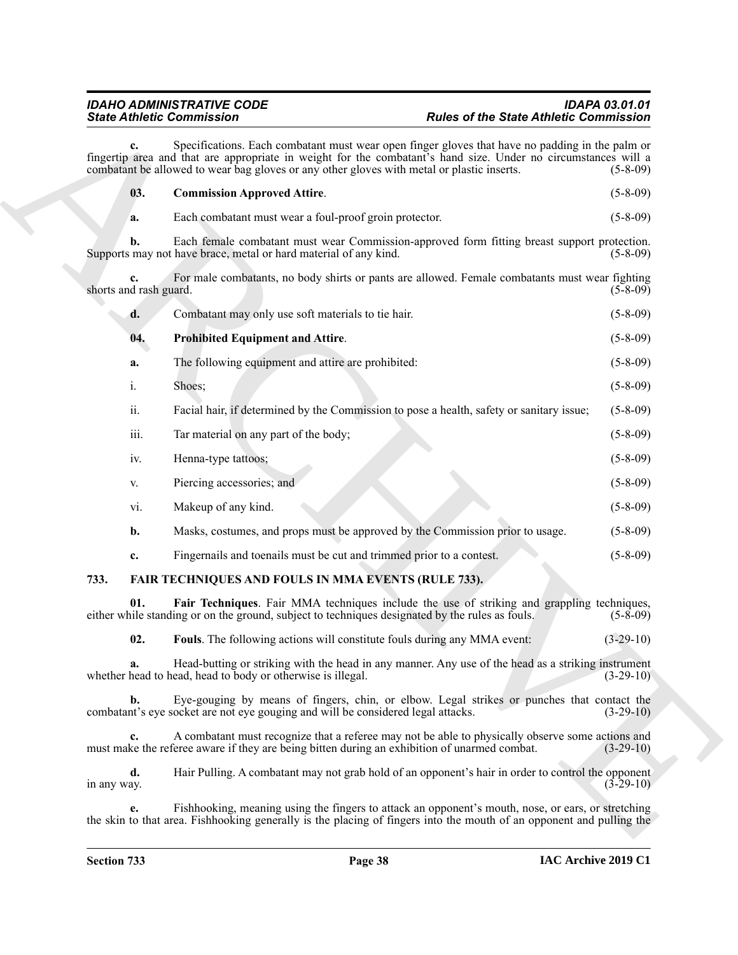<span id="page-37-4"></span>

|                              | <b>State Athletic Commission</b>                                                                                                                                                                                                                                                                                | <b>Rules of the State Athletic Commission</b>                                                                        |
|------------------------------|-----------------------------------------------------------------------------------------------------------------------------------------------------------------------------------------------------------------------------------------------------------------------------------------------------------------|----------------------------------------------------------------------------------------------------------------------|
| c.                           | Specifications. Each combatant must wear open finger gloves that have no padding in the palm or<br>fingertip area and that are appropriate in weight for the combatant's hand size. Under no circumstances will a<br>combatant be allowed to wear bag gloves or any other gloves with metal or plastic inserts. | $(5-8-09)$                                                                                                           |
| 03.                          | <b>Commission Approved Attire.</b>                                                                                                                                                                                                                                                                              | $(5-8-09)$                                                                                                           |
| a.                           | Each combatant must wear a foul-proof groin protector.                                                                                                                                                                                                                                                          | $(5-8-09)$                                                                                                           |
| b.                           | Each female combatant must wear Commission-approved form fitting breast support protection.<br>Supports may not have brace, metal or hard material of any kind.                                                                                                                                                 | $(5-8-09)$                                                                                                           |
| c.<br>shorts and rash guard. | For male combatants, no body shirts or pants are allowed. Female combatants must wear fighting                                                                                                                                                                                                                  | $(5-8-09)$                                                                                                           |
| d.                           | Combatant may only use soft materials to tie hair.                                                                                                                                                                                                                                                              | $(5-8-09)$                                                                                                           |
| 04.                          | <b>Prohibited Equipment and Attire.</b>                                                                                                                                                                                                                                                                         | $(5-8-09)$                                                                                                           |
| a.                           | The following equipment and attire are prohibited:                                                                                                                                                                                                                                                              | $(5-8-09)$                                                                                                           |
| i.                           | Shoes;                                                                                                                                                                                                                                                                                                          | $(5-8-09)$                                                                                                           |
| ii.                          | Facial hair, if determined by the Commission to pose a health, safety or sanitary issue;                                                                                                                                                                                                                        | $(5-8-09)$                                                                                                           |
| iii.                         | Tar material on any part of the body;                                                                                                                                                                                                                                                                           | $(5-8-09)$                                                                                                           |
| iv.                          | Henna-type tattoos;                                                                                                                                                                                                                                                                                             | $(5-8-09)$                                                                                                           |
| V.                           | Piercing accessories; and                                                                                                                                                                                                                                                                                       | $(5-8-09)$                                                                                                           |
| vi.                          | Makeup of any kind.                                                                                                                                                                                                                                                                                             | $(5-8-09)$                                                                                                           |
| b.                           | Masks, costumes, and props must be approved by the Commission prior to usage.                                                                                                                                                                                                                                   | $(5-8-09)$                                                                                                           |
| c.                           | Fingernails and toenails must be cut and trimmed prior to a contest.                                                                                                                                                                                                                                            | $(5-8-09)$                                                                                                           |
| 733.                         | FAIR TECHNIQUES AND FOULS IN MMA EVENTS (RULE 733).                                                                                                                                                                                                                                                             |                                                                                                                      |
| 01.                          | Fair Techniques. Fair MMA techniques include the use of striking and grappling techniques,<br>either while standing or on the ground, subject to techniques designated by the rules as fouls.                                                                                                                   | $(5-8-09)$                                                                                                           |
| 02.                          | Fouls. The following actions will constitute fouls during any MMA event:                                                                                                                                                                                                                                        | $(3-29-10)$                                                                                                          |
| a.                           | Head-butting or striking with the head in any manner. Any use of the head as a striking instrument<br>whether head to head, head to body or otherwise is illegal.                                                                                                                                               | $(3-29-10)$                                                                                                          |
| $\mathbf{b}$ .               | Eye-gouging by means of fingers, chin, or elbow. Legal strikes or punches that contact the<br>combatant's eye socket are not eye gouging and will be considered legal attacks.                                                                                                                                  | $(3-29-10)$                                                                                                          |
| c.                           | A combatant must recognize that a referee may not be able to physically observe some actions and<br>must make the referee aware if they are being bitten during an exhibition of unarmed combat.                                                                                                                | $(3-29-10)$                                                                                                          |
| d.<br>in any way.            | Hair Pulling. A combatant may not grab hold of an opponent's hair in order to control the opponent                                                                                                                                                                                                              | $(3-29-10)$                                                                                                          |
| e.                           | Fishhooking, meaning using the fingers to attack an opponent's mouth, nose, or ears, or stretching                                                                                                                                                                                                              | the skin to that area. Fishhooking generally is the placing of fingers into the mouth of an opponent and pulling the |

### <span id="page-37-5"></span><span id="page-37-3"></span><span id="page-37-2"></span><span id="page-37-1"></span><span id="page-37-0"></span>**733. FAIR TECHNIQUES AND FOULS IN MMA EVENTS (RULE 733).**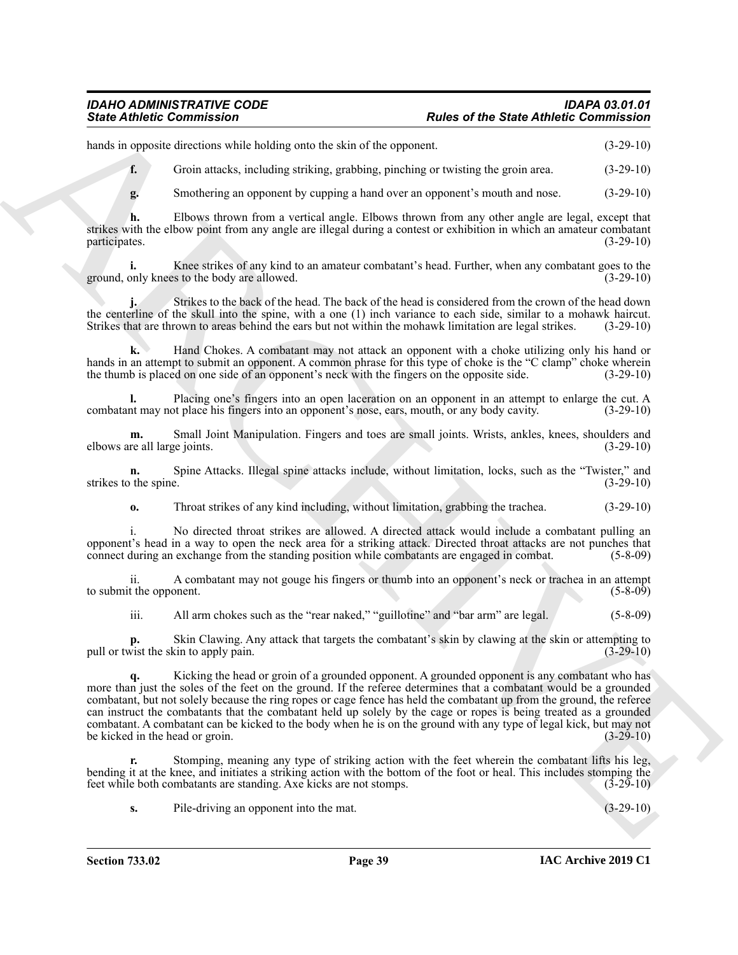#### *IDAHO ADMINISTRATIVE CODE IDAPA 03.01.01 State Athletic Commission Rules of the State Athletic Commission*

hands in opposite directions while holding onto the skin of the opponent. (3-29-10)

**f.** Groin attacks, including striking, grabbing, pinching or twisting the groin area. (3-29-10)

**g.** Smothering an opponent by cupping a hand over an opponent's mouth and nose. (3-29-10)

**h.** Elbows thrown from a vertical angle. Elbows thrown from any other angle are legal, except that strikes with the elbow point from any angle are illegal during a contest or exhibition in which an amateur combatant participates. (3-29-10)

**i.** Knee strikes of any kind to an amateur combatant's head. Further, when any combatant goes to the ground, only knees to the body are allowed. (3-29-10)

**j.** Strikes to the back of the head. The back of the head is considered from the crown of the head down the centerline of the skull into the spine, with a one (1) inch variance to each side, similar to a mohawk haircut. Strikes that are thrown to areas behind the ears but not within the mohawk limitation are legal strikes. (3-29-10)

**k.** Hand Chokes. A combatant may not attack an opponent with a choke utilizing only his hand or hands in an attempt to submit an opponent. A common phrase for this type of choke is the "C clamp" choke wherein the thumb is placed on one side of an opponent's neck with the fingers on the opposite side. (3-29-10)

**l.** Placing one's fingers into an open laceration on an opponent in an attempt to enlarge the cut. A nt may not place his fingers into an opponent's nose, ears, mouth, or any body cavity.  $(3-29-10)$ combatant may not place his fingers into an opponent's nose, ears, mouth, or any body cavity.

**m.** Small Joint Manipulation. Fingers and toes are small joints. Wrists, ankles, knees, shoulders and re all large joints. (3-29-10) elbows are all large joints.

**n.** Spine Attacks. Illegal spine attacks include, without limitation, locks, such as the "Twister," and the spine.  $(3-29-10)$ strikes to the spine.

**o.** Throat strikes of any kind including, without limitation, grabbing the trachea.  $(3-29-10)$ 

i. No directed throat strikes are allowed. A directed attack would include a combatant pulling an opponent's head in a way to open the neck area for a striking attack. Directed throat attacks are not punches that connect during an exchange from the standing position while combatants are engaged in combat. (5-8-09)

ii. A combatant may not gouge his fingers or thumb into an opponent's neck or trachea in an attempt to submit the opponent. (5-8-09)

iii. All arm chokes such as the "rear naked," "guillotine" and "bar arm" are legal. (5-8-09)

**p.** Skin Clawing. Any attack that targets the combatant's skin by clawing at the skin or attempting to pull or twist the skin to apply pain. (3-29-10)

Since Antionic Commutation<br>
Since Anti-Resolution and the same of the State Anti-Resolution (1978)<br>
And the proposition of the same of the same of the same of the same of the State Commutation<br>
4. Since the constraints ar Kicking the head or groin of a grounded opponent. A grounded opponent is any combatant who has more than just the soles of the feet on the ground. If the referee determines that a combatant would be a grounded combatant, but not solely because the ring ropes or cage fence has held the combatant up from the ground, the referee can instruct the combatants that the combatant held up solely by the cage or ropes is being treated as a grounded combatant. A combatant can be kicked to the body when he is on the ground with any type of legal kick, but may not be kicked in the head or groin.

**r.** Stomping, meaning any type of striking action with the feet wherein the combatant lifts his leg, bending it at the knee, and initiates a striking action with the bottom of the foot or heal. This includes stomping the feet while both combatants are standing. Axe kicks are not stomps. (3-29-10)

**s.** Pile-driving an opponent into the mat.  $(3-29-10)$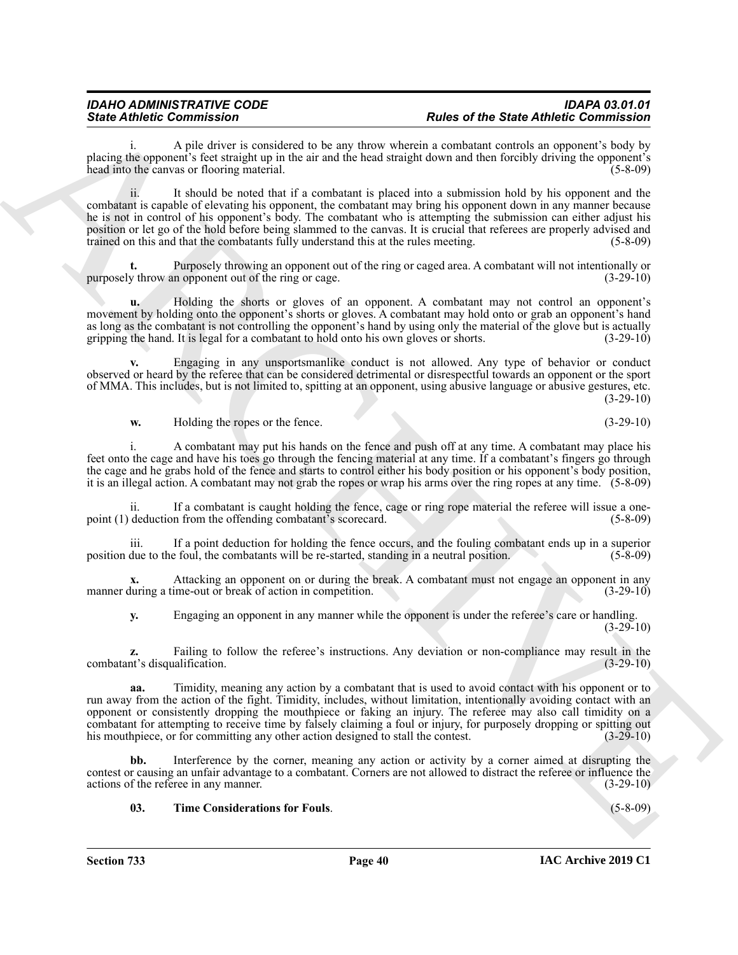A pile driver is considered to be any throw wherein a combatant controls an opponent's body by placing the opponent's feet straight up in the air and the head straight down and then forcibly driving the opponent's head into the canvas or flooring material. (5-8-09)

Since Admission Constraints of the main state of the Since Admission Constraints of the Constraints of the Constraints of the Constraints of the Constraints of the Constraints of the Constraints of the Constraints of the ii. It should be noted that if a combatant is placed into a submission hold by his opponent and the combatant is capable of elevating his opponent, the combatant may bring his opponent down in any manner because he is not in control of his opponent's body. The combatant who is attempting the submission can either adjust his position or let go of the hold before being slammed to the canvas. It is crucial that referees are properly advised and trained on this and that the combatants fully understand this at the rules meeting. (5-8-09)

**t.** Purposely throwing an opponent out of the ring or caged area. A combatant will not intentionally or purposely throw an opponent out of the ring or cage.  $(3-29-10)$ 

**u.** Holding the shorts or gloves of an opponent. A combatant may not control an opponent's movement by holding onto the opponent's shorts or gloves. A combatant may hold onto or grab an opponent's hand as long as the combatant is not controlling the opponent's hand by using only the material of the glove but is actually gripping the hand. It is legal for a combatant to hold onto his own gloves or shorts. (3-29-10) gripping the hand. It is legal for a combatant to hold onto his own gloves or shorts.

**v.** Engaging in any unsportsmanlike conduct is not allowed. Any type of behavior or conduct observed or heard by the referee that can be considered detrimental or disrespectful towards an opponent or the sport of MMA. This includes, but is not limited to, spitting at an opponent, using abusive language or abusive gestures, etc. (3-29-10)

**w.** Holding the ropes or the fence. (3-29-10)

i. A combatant may put his hands on the fence and push off at any time. A combatant may place his feet onto the cage and have his toes go through the fencing material at any time. If a combatant's fingers go through the cage and he grabs hold of the fence and starts to control either his body position or his opponent's body position, it is an illegal action. A combatant may not grab the ropes or wrap his arms over the ring ropes at any time. (5-8-09)

ii. If a combatant is caught holding the fence, cage or ring rope material the referee will issue a onepoint (1) deduction from the offending combatant's scorecard. (5-8-09)

iii. If a point deduction for holding the fence occurs, and the fouling combatant ends up in a superior due to the foul, the combatants will be re-started, standing in a neutral position. (5-8-09) position due to the foul, the combatants will be re-started, standing in a neutral position.

**x.** Attacking an opponent on or during the break. A combatant must not engage an opponent in any manner during a time-out or break of action in competition. (3-29-10)

**y.** Engaging an opponent in any manner while the opponent is under the referee's care or handling.  $(3-29-10)$ 

**z.** Failing to follow the referee's instructions. Any deviation or non-compliance may result in the nt's disqualification. (3-29-10) combatant's disqualification.

**aa.** Timidity, meaning any action by a combatant that is used to avoid contact with his opponent or to run away from the action of the fight. Timidity, includes, without limitation, intentionally avoiding contact with an opponent or consistently dropping the mouthpiece or faking an injury. The referee may also call timidity on a combatant for attempting to receive time by falsely claiming a foul or injury, for purposely dropping or spitting out his mouthpiece, or for committing any other action designed to stall the contest. (3-29-10) his mouthpiece, or for committing any other action designed to stall the contest.

Interference by the corner, meaning any action or activity by a corner aimed at disrupting the contest or causing an unfair advantage to a combatant. Corners are not allowed to distract the referee or influence the actions of the referee in any manner. (3-29-10)

#### <span id="page-39-0"></span>**03. Time Considerations for Fouls**. (5-8-09)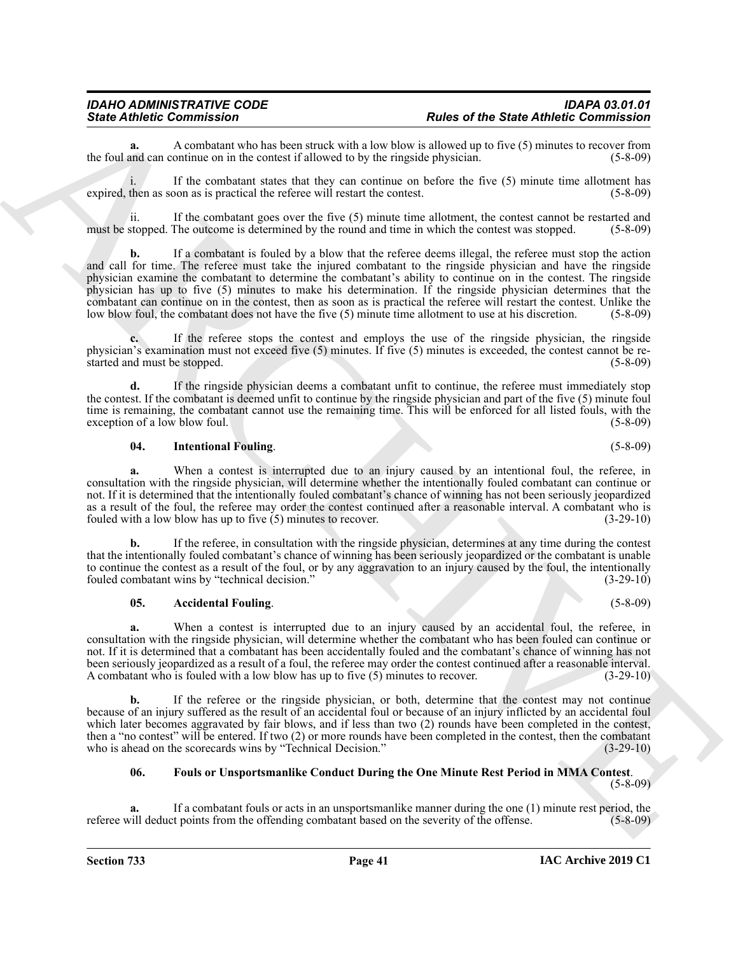**a.** A combatant who has been struck with a low blow is allowed up to five (5) minutes to recover from and can continue on in the contest if allowed to by the ringside physician. (5-8-09) the foul and can continue on in the contest if allowed to by the ringside physician.

i. If the combatant states that they can continue on before the five (5) minute time allotment has expired, then as soon as is practical the referee will restart the contest. (5-8-09)

ii. If the combatant goes over the five (5) minute time allotment, the contest cannot be restarted and must be stopped. The outcome is determined by the round and time in which the contest was stopped. (5-8-09)

Sinte Admission Commission Control and the photon of the first of the first of the first of the sinte of the sinte of the sinte of the sinte of the sinte of the sinte of the sinte of the sinte of the sinte of the sinte of **b.** If a combatant is fouled by a blow that the referee deems illegal, the referee must stop the action and call for time. The referee must take the injured combatant to the ringside physician and have the ringside physician examine the combatant to determine the combatant's ability to continue on in the contest. The ringside physician has up to five (5) minutes to make his determination. If the ringside physician determines that the combatant can continue on in the contest, then as soon as is practical the referee will restart the contest. Unlike the low blow foul, the combatant does not have the five (5) minute time allotment to use at his discretion. (5-8-09)

**c.** If the referee stops the contest and employs the use of the ringside physician, the ringside physician's examination must not exceed five (5) minutes. If five (5) minutes is exceeded, the contest cannot be restarted and must be stopped. (5-8-09)

**d.** If the ringside physician deems a combatant unfit to continue, the referee must immediately stop the contest. If the combatant is deemed unfit to continue by the ringside physician and part of the five (5) minute foul time is remaining, the combatant cannot use the remaining time. This will be enforced for all listed fouls, with the exception of a low blow foul. (5-8-09) (5-8-09)

#### <span id="page-40-2"></span>**04. Intentional Fouling**. (5-8-09)

**a.** When a contest is interrupted due to an injury caused by an intentional foul, the referee, in consultation with the ringside physician, will determine whether the intentionally fouled combatant can continue or not. If it is determined that the intentionally fouled combatant's chance of winning has not been seriously jeopardized as a result of the foul, the referee may order the contest continued after a reasonable interval. A combatant who is fouled with a low blow has up to five (5) minutes to recover. (3-29-10)

**b.** If the referee, in consultation with the ringside physician, determines at any time during the contest that the intentionally fouled combatant's chance of winning has been seriously jeopardized or the combatant is unable to continue the contest as a result of the foul, or by any aggravation to an injury caused by the foul, the intentionally fouled combatant wins by "technical decision." (3-29-10)

#### <span id="page-40-0"></span>**05.** Accidental Fouling. (5-8-09)

**a.** When a contest is interrupted due to an injury caused by an accidental foul, the referee, in consultation with the ringside physician, will determine whether the combatant who has been fouled can continue or not. If it is determined that a combatant has been accidentally fouled and the combatant's chance of winning has not been seriously jeopardized as a result of a foul, the referee may order the contest continued after a reasonable interval. A combatant who is fouled with a low blow has up to five (5) minutes to recover. (3-29-10)

**b.** If the referee or the ringside physician, or both, determine that the contest may not continue because of an injury suffered as the result of an accidental foul or because of an injury inflicted by an accidental foul which later becomes aggravated by fair blows, and if less than two (2) rounds have been completed in the contest, then a "no contest" will be entered. If two (2) or more rounds have been completed in the contest, then the combatant who is ahead on the scorecards wins by "Technical Decision." (3-29-10) who is ahead on the scorecards wins by "Technical Decision."

#### <span id="page-40-1"></span>**06. Fouls or Unsportsmanlike Conduct During the One Minute Rest Period in MMA Contest**.

(5-8-09)

**a.** If a combatant fouls or acts in an unsportsmanlike manner during the one (1) minute rest period, the referee will deduct points from the offending combatant based on the severity of the offense. (5-8-09)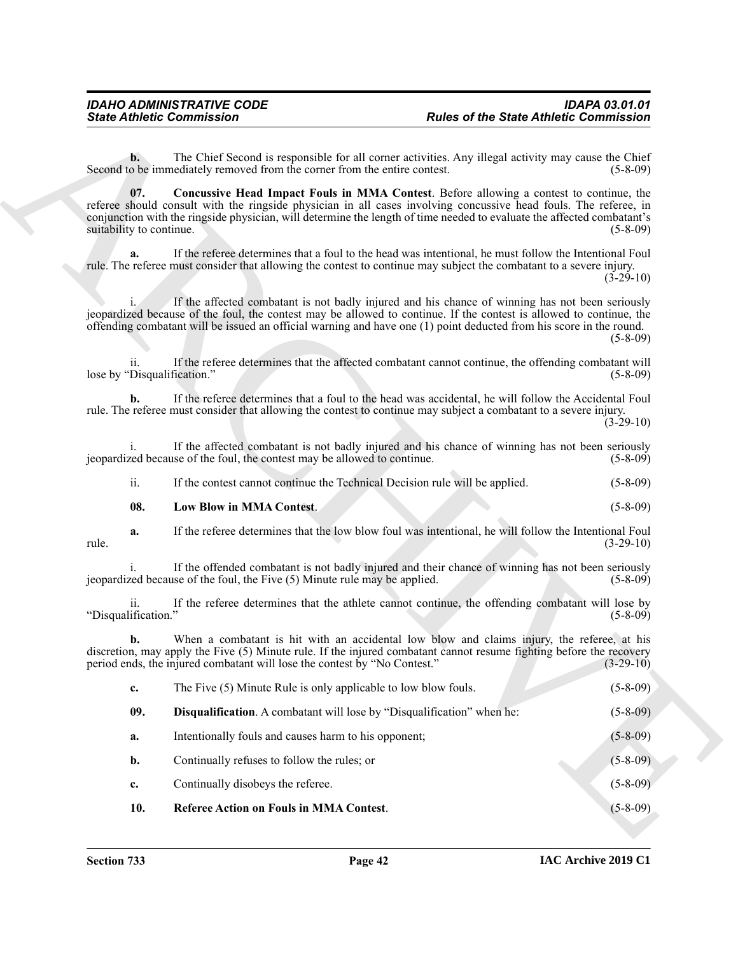<span id="page-41-3"></span><span id="page-41-2"></span><span id="page-41-1"></span><span id="page-41-0"></span>

|                                    | <b>State Athletic Commission</b>                                            | <b>Rules of the State Athletic Commission</b>                                                                                                                                                                                                                                                                                                 |                |
|------------------------------------|-----------------------------------------------------------------------------|-----------------------------------------------------------------------------------------------------------------------------------------------------------------------------------------------------------------------------------------------------------------------------------------------------------------------------------------------|----------------|
| $\mathbf{b}$ .                     | Second to be immediately removed from the corner from the entire contest.   | The Chief Second is responsible for all corner activities. Any illegal activity may cause the Chief                                                                                                                                                                                                                                           | $(5-8-09)$     |
| 07.<br>suitability to continue.    |                                                                             | Concussive Head Impact Fouls in MMA Contest. Before allowing a contest to continue, the<br>referee should consult with the ringside physician in all cases involving concussive head fouls. The referee, in<br>conjunction with the ringside physician, will determine the length of time needed to evaluate the affected combatant's         | $(5-8-09)$     |
| a.                                 |                                                                             | If the referee determines that a foul to the head was intentional, he must follow the Intentional Foul<br>rule. The referee must consider that allowing the contest to continue may subject the combatant to a severe injury.                                                                                                                 | $(3-29-10)$    |
|                                    |                                                                             | If the affected combatant is not badly injured and his chance of winning has not been seriously<br>jeopardized because of the foul, the contest may be allowed to continue. If the contest is allowed to continue, the<br>offending combatant will be issued an official warning and have one (1) point deducted from his score in the round. | $(5-8-09)$     |
| 11.<br>lose by "Disqualification." |                                                                             | If the referee determines that the affected combatant cannot continue, the offending combatant will                                                                                                                                                                                                                                           | $(5-8-09)$     |
| b.                                 |                                                                             | If the referee determines that a foul to the head was accidental, he will follow the Accidental Foul<br>rule. The referee must consider that allowing the contest to continue may subject a combatant to a severe injury.                                                                                                                     | $(3-29-10)$    |
| 1.                                 | jeopardized because of the foul, the contest may be allowed to continue.    | If the affected combatant is not badly injured and his chance of winning has not been seriously                                                                                                                                                                                                                                               | $(5-8-09)$     |
| ii.                                | If the contest cannot continue the Technical Decision rule will be applied. |                                                                                                                                                                                                                                                                                                                                               | $(5-8-09)$     |
| 08.                                | Low Blow in MMA Contest.                                                    |                                                                                                                                                                                                                                                                                                                                               | $(5-8-09)$     |
| a.<br>rule.                        |                                                                             | If the referee determines that the low blow foul was intentional, he will follow the Intentional Foul                                                                                                                                                                                                                                         | $(3-29-10)$    |
|                                    | jeopardized because of the foul, the Five (5) Minute rule may be applied.   | If the offended combatant is not badly injured and their chance of winning has not been seriously                                                                                                                                                                                                                                             | $(5-8-09)$     |
| 11.<br>"Disqualification."         |                                                                             | If the referee determines that the athlete cannot continue, the offending combatant will lose by                                                                                                                                                                                                                                              | $(5-8-09)$     |
| b.                                 | period ends, the injured combatant will lose the contest by "No Contest."   | When a combatant is hit with an accidental low blow and claims injury, the referee, at his<br>discretion, may apply the Five (5) Minute rule. If the injured combatant cannot resume fighting before the recovery                                                                                                                             | $(3-29-10)$    |
| c.                                 | The Five (5) Minute Rule is only applicable to low blow fouls.              |                                                                                                                                                                                                                                                                                                                                               | $(5 - 8 - 09)$ |
| 09.                                | Disqualification. A combatant will lose by "Disqualification" when he:      |                                                                                                                                                                                                                                                                                                                                               | $(5 - 8 - 09)$ |
| a.                                 | Intentionally fouls and causes harm to his opponent;                        |                                                                                                                                                                                                                                                                                                                                               | $(5 - 8 - 09)$ |
| b.                                 | Continually refuses to follow the rules; or                                 |                                                                                                                                                                                                                                                                                                                                               | $(5 - 8 - 09)$ |
| c.                                 | Continually disobeys the referee.                                           |                                                                                                                                                                                                                                                                                                                                               | $(5 - 8 - 09)$ |
| 10.                                | <b>Referee Action on Fouls in MMA Contest.</b>                              |                                                                                                                                                                                                                                                                                                                                               | $(5 - 8 - 09)$ |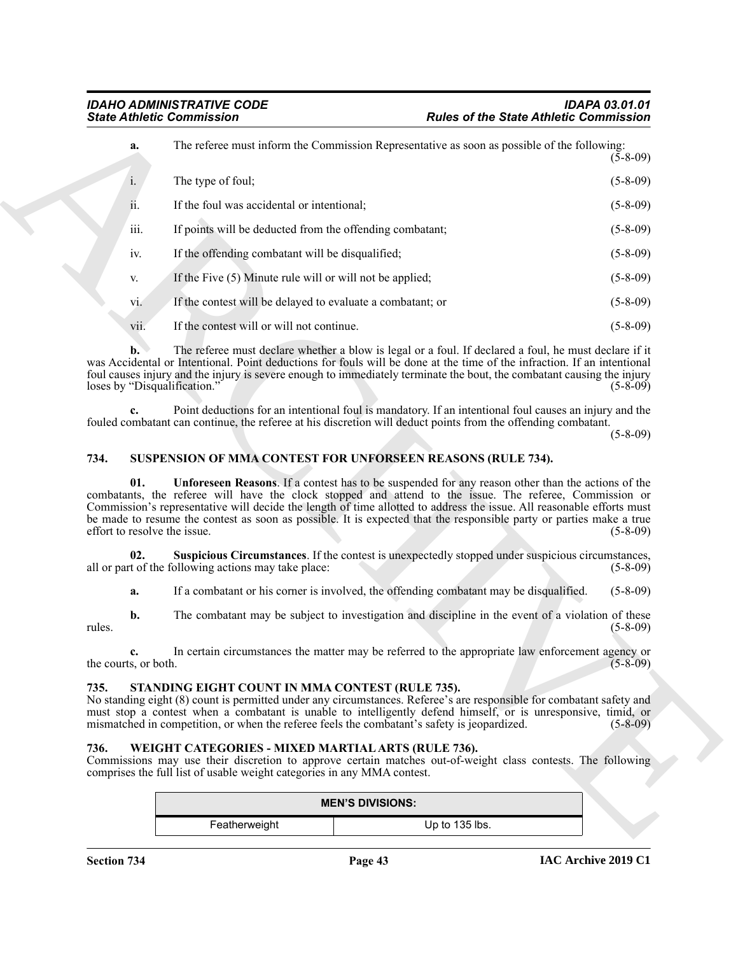|                                     | <b>State Athletic Commission</b>                                                                                              | <b>Rules of the State Athletic Commission</b>                                                                                                                                                                                                                                                                                                                                                                                                                       |                |
|-------------------------------------|-------------------------------------------------------------------------------------------------------------------------------|---------------------------------------------------------------------------------------------------------------------------------------------------------------------------------------------------------------------------------------------------------------------------------------------------------------------------------------------------------------------------------------------------------------------------------------------------------------------|----------------|
| a.                                  |                                                                                                                               | The referee must inform the Commission Representative as soon as possible of the following:                                                                                                                                                                                                                                                                                                                                                                         | $(5-8-09)$     |
| i.                                  | The type of foul;                                                                                                             |                                                                                                                                                                                                                                                                                                                                                                                                                                                                     | $(5-8-09)$     |
| ii.                                 | If the foul was accidental or intentional;                                                                                    |                                                                                                                                                                                                                                                                                                                                                                                                                                                                     | $(5-8-09)$     |
| iii.                                | If points will be deducted from the offending combatant;                                                                      |                                                                                                                                                                                                                                                                                                                                                                                                                                                                     | $(5-8-09)$     |
| iv.                                 | If the offending combatant will be disqualified;                                                                              |                                                                                                                                                                                                                                                                                                                                                                                                                                                                     | $(5-8-09)$     |
| V.                                  | If the Five (5) Minute rule will or will not be applied;                                                                      |                                                                                                                                                                                                                                                                                                                                                                                                                                                                     | $(5-8-09)$     |
| vi.                                 | If the contest will be delayed to evaluate a combatant; or                                                                    |                                                                                                                                                                                                                                                                                                                                                                                                                                                                     | $(5-8-09)$     |
| vii.                                | If the contest will or will not continue.                                                                                     |                                                                                                                                                                                                                                                                                                                                                                                                                                                                     | $(5-8-09)$     |
| b.<br>loses by "Disqualification."  |                                                                                                                               | The referee must declare whether a blow is legal or a foul. If declared a foul, he must declare if it<br>was Accidental or Intentional. Point deductions for fouls will be done at the time of the infraction. If an intentional<br>foul causes injury and the injury is severe enough to immediately terminate the bout, the combatant causing the injury                                                                                                          | $(5-8-09)$     |
|                                     |                                                                                                                               | Point deductions for an intentional foul is mandatory. If an intentional foul causes an injury and the<br>fouled combatant can continue, the referee at his discretion will deduct points from the offending combatant.                                                                                                                                                                                                                                             | $(5-8-09)$     |
| 734.                                |                                                                                                                               | SUSPENSION OF MMA CONTEST FOR UNFORSEEN REASONS (RULE 734).                                                                                                                                                                                                                                                                                                                                                                                                         |                |
| 01.<br>effort to resolve the issue. |                                                                                                                               | <b>Unforeseen Reasons.</b> If a contest has to be suspended for any reason other than the actions of the<br>combatants, the referee will have the clock stopped and attend to the issue. The referee, Commission or<br>Commission's representative will decide the length of time allotted to address the issue. All reasonable efforts must<br>be made to resume the contest as soon as possible. It is expected that the responsible party or parties make a true | $(5-8-09)$     |
| 02.                                 | all or part of the following actions may take place:                                                                          | Suspicious Circumstances. If the contest is unexpectedly stopped under suspicious circumstances,                                                                                                                                                                                                                                                                                                                                                                    | $(5-8-09)$     |
| a.                                  |                                                                                                                               | If a combatant or his corner is involved, the offending combatant may be disqualified.                                                                                                                                                                                                                                                                                                                                                                              | $(5-8-09)$     |
| $\mathbf{b}$ .<br>rules.            |                                                                                                                               | The combatant may be subject to investigation and discipline in the event of a violation of these                                                                                                                                                                                                                                                                                                                                                                   | $(5 - 8 - 09)$ |
| the courts, or both.                |                                                                                                                               | In certain circumstances the matter may be referred to the appropriate law enforcement agency or                                                                                                                                                                                                                                                                                                                                                                    | $(5 - 8 - 09)$ |
| 735.                                | STANDING EIGHT COUNT IN MMA CONTEST (RULE 735).                                                                               | No standing eight (8) count is permitted under any circumstances. Referee's are responsible for combatant safety and<br>must stop a contest when a combatant is unable to intelligently defend himself, or is unresponsive, timid, or<br>mismatched in competition, or when the referee feels the combatant's safety is jeopardized.                                                                                                                                | $(5 - 8 - 09)$ |
| 736.                                | WEIGHT CATEGORIES - MIXED MARTIAL ARTS (RULE 736).<br>comprises the full list of usable weight categories in any MMA contest. | Commissions may use their discretion to approve certain matches out-of-weight class contests. The following                                                                                                                                                                                                                                                                                                                                                         |                |
|                                     |                                                                                                                               | <b>MEN'S DIVISIONS:</b>                                                                                                                                                                                                                                                                                                                                                                                                                                             |                |
|                                     | Featherweight                                                                                                                 | Up to 135 lbs.                                                                                                                                                                                                                                                                                                                                                                                                                                                      |                |

#### <span id="page-42-5"></span><span id="page-42-4"></span><span id="page-42-0"></span>**734. SUSPENSION OF MMA CONTEST FOR UNFORSEEN REASONS (RULE 734).**

#### <span id="page-42-3"></span><span id="page-42-1"></span>**735. STANDING EIGHT COUNT IN MMA CONTEST (RULE 735).**

#### <span id="page-42-6"></span><span id="page-42-2"></span>**736. WEIGHT CATEGORIES - MIXED MARTIAL ARTS (RULE 736).**

| <b>MEN'S DIVISIONS:</b> |                |  |  |
|-------------------------|----------------|--|--|
| Featherweight           | Up to 135 lbs. |  |  |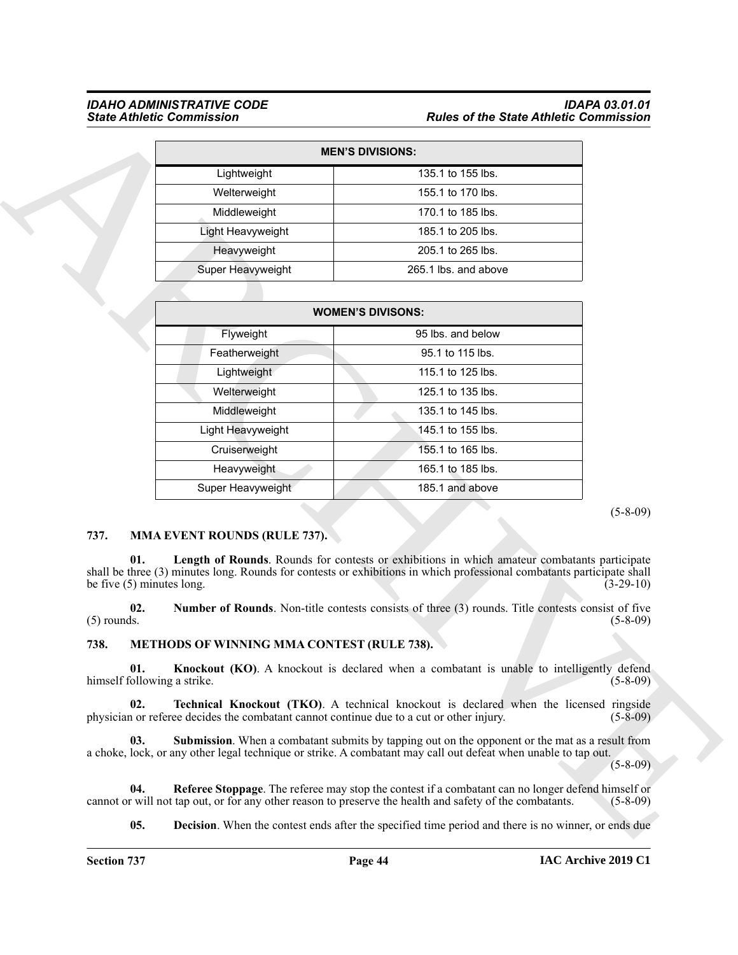#### *IDAHO ADMINISTRATIVE CODE IDAPA 03.01.01 State Athletic Commission Rules of the State Athletic Commission*

| <b>MEN'S DIVISIONS:</b> |                      |  |  |  |
|-------------------------|----------------------|--|--|--|
| Lightweight             | 135.1 to 155 lbs.    |  |  |  |
| Welterweight            | 155.1 to 170 lbs.    |  |  |  |
| Middleweight            | 170.1 to 185 lbs.    |  |  |  |
| Light Heavyweight       | 185.1 to 205 lbs.    |  |  |  |
| Heavyweight             | 205.1 to 265 lbs.    |  |  |  |
| Super Heavyweight       | 265.1 lbs. and above |  |  |  |

|                                            |                                                                                          | <b>MEN'S DIVISIONS:</b>                                                                                                                                                                                                   |             |
|--------------------------------------------|------------------------------------------------------------------------------------------|---------------------------------------------------------------------------------------------------------------------------------------------------------------------------------------------------------------------------|-------------|
|                                            | Lightweight                                                                              | 135.1 to 155 lbs.                                                                                                                                                                                                         |             |
|                                            | Welterweight                                                                             | 155.1 to 170 lbs.                                                                                                                                                                                                         |             |
|                                            | Middleweight                                                                             | 170.1 to 185 lbs.                                                                                                                                                                                                         |             |
|                                            | Light Heavyweight                                                                        | 185.1 to 205 lbs.                                                                                                                                                                                                         |             |
|                                            | Heavyweight                                                                              | 205.1 to 265 lbs.                                                                                                                                                                                                         |             |
|                                            | Super Heavyweight                                                                        | 265.1 lbs. and above                                                                                                                                                                                                      |             |
|                                            |                                                                                          |                                                                                                                                                                                                                           |             |
|                                            |                                                                                          | <b>WOMEN'S DIVISONS:</b>                                                                                                                                                                                                  |             |
|                                            | Flyweight                                                                                | 95 lbs. and below                                                                                                                                                                                                         |             |
|                                            | Featherweight                                                                            | 95.1 to 115 lbs.                                                                                                                                                                                                          |             |
|                                            | Lightweight                                                                              | 115.1 to 125 lbs.                                                                                                                                                                                                         |             |
|                                            | Welterweight                                                                             | 125.1 to 135 lbs.                                                                                                                                                                                                         |             |
|                                            | Middleweight                                                                             | 135.1 to 145 lbs.                                                                                                                                                                                                         |             |
|                                            | Light Heavyweight                                                                        | 145.1 to 155 lbs.                                                                                                                                                                                                         |             |
|                                            | Cruiserweight                                                                            | 155.1 to 165 lbs.                                                                                                                                                                                                         |             |
|                                            | Heavyweight                                                                              | 165.1 to 185 lbs.                                                                                                                                                                                                         |             |
|                                            | Super Heavyweight                                                                        | 185.1 and above                                                                                                                                                                                                           |             |
|                                            |                                                                                          |                                                                                                                                                                                                                           |             |
| 737.<br>01.<br>be five $(5)$ minutes long. | <b>MMA EVENT ROUNDS (RULE 737).</b>                                                      | Length of Rounds. Rounds for contests or exhibitions in which amateur combatants participate<br>shall be three (3) minutes long. Rounds for contests or exhibitions in which professional combatants participate shall    | $(3-29-10)$ |
| 02.<br>$(5)$ rounds.                       |                                                                                          | Number of Rounds. Non-title contests consists of three (3) rounds. Title contests consist of five                                                                                                                         | $(5-8-09)$  |
| 738.                                       | <b>METHODS OF WINNING MMA CONTEST (RULE 738).</b>                                        |                                                                                                                                                                                                                           |             |
| 01.<br>himself following a strike.         |                                                                                          | <b>Knockout (KO).</b> A knockout is declared when a combatant is unable to intelligently defend                                                                                                                           | $(5-8-09)$  |
| 02.                                        | physician or referee decides the combatant cannot continue due to a cut or other injury. | <b>Technical Knockout (TKO).</b> A technical knockout is declared when the licensed ringside                                                                                                                              | $(5-8-09)$  |
| 03.                                        |                                                                                          | <b>Submission</b> . When a combatant submits by tapping out on the opponent or the mat as a result from<br>a choke, lock, or any other legal technique or strike. A combatant may call out defeat when unable to tap out. | $(5-8-09)$  |
| 04.                                        |                                                                                          | Referee Stoppage. The referee may stop the contest if a combatant can no longer defend himself or<br>cannot or will not tap out, or for any other reason to preserve the health and safety of the combatants.             | $(5-8-09)$  |

#### <span id="page-43-7"></span><span id="page-43-0"></span>**737. MMA EVENT ROUNDS (RULE 737).**

#### <span id="page-43-8"></span><span id="page-43-6"></span><span id="page-43-5"></span><span id="page-43-4"></span><span id="page-43-3"></span><span id="page-43-2"></span><span id="page-43-1"></span>**738. METHODS OF WINNING MMA CONTEST (RULE 738).**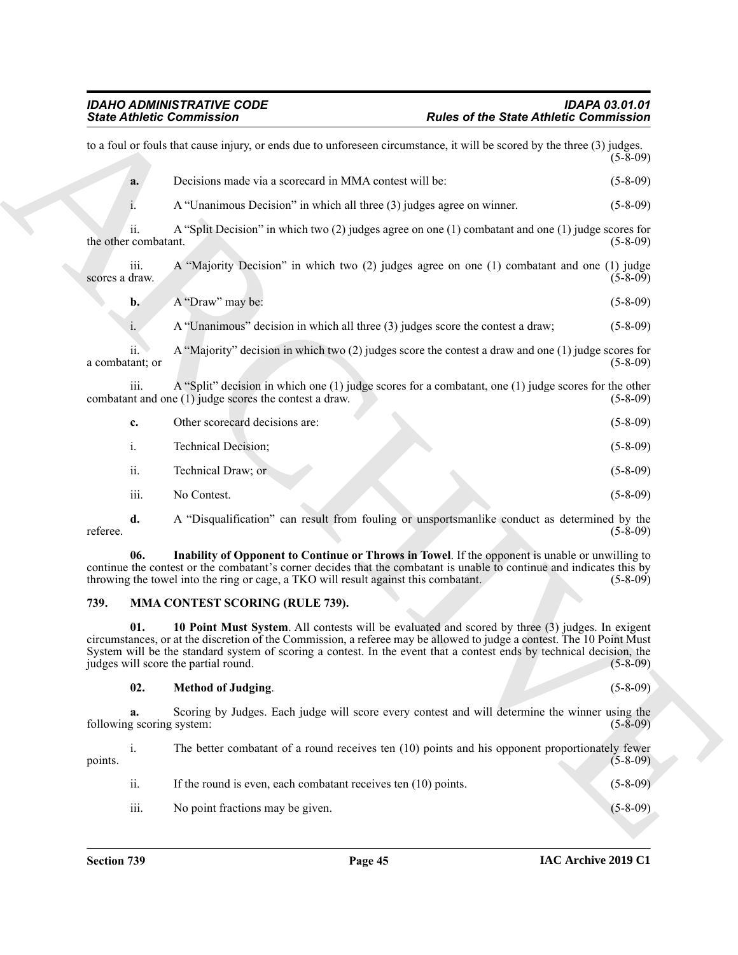| <b>State Athletic Commission</b> |                                                                                                                                                                                                                                                                                                                                                                                          | <b>Rules of the State Athletic Commission</b> |
|----------------------------------|------------------------------------------------------------------------------------------------------------------------------------------------------------------------------------------------------------------------------------------------------------------------------------------------------------------------------------------------------------------------------------------|-----------------------------------------------|
|                                  | to a foul or fouls that cause injury, or ends due to unforeseen circumstance, it will be scored by the three (3) judges.                                                                                                                                                                                                                                                                 | $(5-8-09)$                                    |
| a.                               | Decisions made via a scorecard in MMA contest will be:                                                                                                                                                                                                                                                                                                                                   | $(5 - 8 - 09)$                                |
|                                  | A "Unanimous Decision" in which all three (3) judges agree on winner.                                                                                                                                                                                                                                                                                                                    | $(5-8-09)$                                    |
| 11.<br>the other combatant.      | A "Split Decision" in which two $(2)$ judges agree on one $(1)$ combatant and one $(1)$ judge scores for                                                                                                                                                                                                                                                                                 | $(5-8-09)$                                    |
| iii.<br>scores a draw.           | A "Majority Decision" in which two (2) judges agree on one (1) combatant and one (1) judge                                                                                                                                                                                                                                                                                               | $(5-8-09)$                                    |
| $\mathbf{b}$ .                   | A "Draw" may be:                                                                                                                                                                                                                                                                                                                                                                         | $(5-8-09)$                                    |
| i.                               | A "Unanimous" decision in which all three (3) judges score the contest a draw;                                                                                                                                                                                                                                                                                                           | $(5-8-09)$                                    |
| ii.<br>a combatant; or           | A "Majority" decision in which two $(2)$ judges score the contest a draw and one $(1)$ judge scores for                                                                                                                                                                                                                                                                                  | $(5-8-09)$                                    |
| 111.                             | A "Split" decision in which one (1) judge scores for a combatant, one (1) judge scores for the other<br>combatant and one $(1)$ judge scores the contest a draw.                                                                                                                                                                                                                         | $(5-8-09)$                                    |
| c.                               | Other scorecard decisions are:                                                                                                                                                                                                                                                                                                                                                           | $(5-8-09)$                                    |
| i.                               | Technical Decision;                                                                                                                                                                                                                                                                                                                                                                      | $(5-8-09)$                                    |
| ii.                              | Technical Draw; or                                                                                                                                                                                                                                                                                                                                                                       | $(5-8-09)$                                    |
| iii.                             | No Contest.                                                                                                                                                                                                                                                                                                                                                                              | $(5-8-09)$                                    |
| d.<br>referee.                   | A "Disqualification" can result from fouling or unsportsmanlike conduct as determined by the                                                                                                                                                                                                                                                                                             | $(5-8-09)$                                    |
| 06.                              | Inability of Opponent to Continue or Throws in Towel. If the opponent is unable or unwilling to<br>continue the contest or the combatant's corner decides that the combatant is unable to continue and indicates this by<br>throwing the towel into the ring or cage, a TKO will result against this combatant.                                                                          | $(5-8-09)$                                    |
| 739.                             | <b>MMA CONTEST SCORING (RULE 739).</b>                                                                                                                                                                                                                                                                                                                                                   |                                               |
| 01.                              | 10 Point Must System. All contests will be evaluated and scored by three (3) judges. In exigent<br>circumstances, or at the discretion of the Commission, a referee may be allowed to judge a contest. The 10 Point Must<br>System will be the standard system of scoring a contest. In the event that a contest ends by technical decision, the<br>judges will score the partial round. | $(5-8-09)$                                    |
| 02.                              | <b>Method of Judging.</b>                                                                                                                                                                                                                                                                                                                                                                | $(5 - 8 - 09)$                                |
| a.<br>following scoring system:  | Scoring by Judges. Each judge will score every contest and will determine the winner using the                                                                                                                                                                                                                                                                                           | $(5-8-09)$                                    |
| i.<br>points.                    | The better combatant of a round receives ten (10) points and his opponent proportionately fewer                                                                                                                                                                                                                                                                                          | $(5-8-09)$                                    |
| ii.                              | If the round is even, each combatant receives ten $(10)$ points.                                                                                                                                                                                                                                                                                                                         | $(5-8-09)$                                    |
|                                  |                                                                                                                                                                                                                                                                                                                                                                                          |                                               |

#### <span id="page-44-1"></span><span id="page-44-0"></span>**739. MMA CONTEST SCORING (RULE 739).**

#### <span id="page-44-3"></span><span id="page-44-2"></span>**02. Method of Judging**. (5-8-09)

| points. | 1.   | The better combatant of a round receives ten (10) points and his opponent proportionately fewer | $(5 - 8 - 09)$ |
|---------|------|-------------------------------------------------------------------------------------------------|----------------|
|         | ii.  | If the round is even, each combatant receives ten $(10)$ points.                                | $(5-8-09)$     |
|         | iii. | No point fractions may be given.                                                                | $(5-8-09)$     |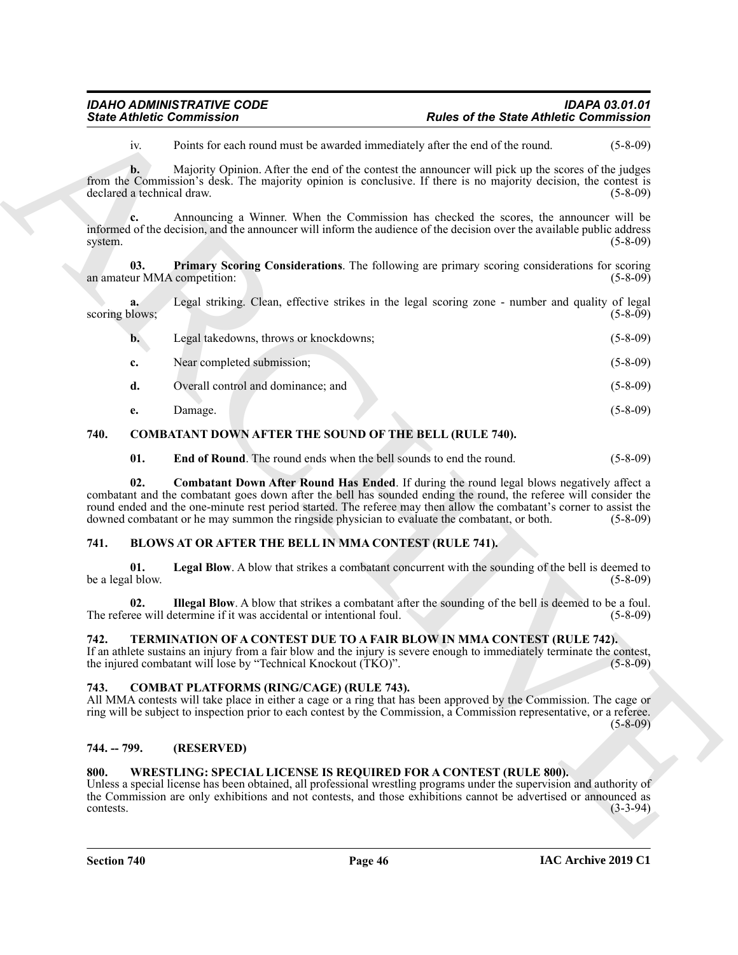|                                    | <b>State Athletic Commission</b>                                                             | <b>Rules of the State Athletic Commission</b>                                                                                                                                                                                                                                                                                               |                |
|------------------------------------|----------------------------------------------------------------------------------------------|---------------------------------------------------------------------------------------------------------------------------------------------------------------------------------------------------------------------------------------------------------------------------------------------------------------------------------------------|----------------|
| iv.                                |                                                                                              | Points for each round must be awarded immediately after the end of the round.                                                                                                                                                                                                                                                               | $(5 - 8 - 09)$ |
| b.<br>declared a technical draw.   |                                                                                              | Majority Opinion. After the end of the contest the announcer will pick up the scores of the judges<br>from the Commission's desk. The majority opinion is conclusive. If there is no majority decision, the contest is                                                                                                                      | $(5-8-09)$     |
| c.<br>system.                      |                                                                                              | Announcing a Winner. When the Commission has checked the scores, the announcer will be<br>informed of the decision, and the announcer will inform the audience of the decision over the available public address                                                                                                                            | $(5-8-09)$     |
| 03.<br>an amateur MMA competition: |                                                                                              | Primary Scoring Considerations. The following are primary scoring considerations for scoring                                                                                                                                                                                                                                                | $(5-8-09)$     |
| a.<br>scoring blows;               |                                                                                              | Legal striking. Clean, effective strikes in the legal scoring zone - number and quality of legal                                                                                                                                                                                                                                            | $(5-8-09)$     |
| $\mathbf{b}$ .                     | Legal takedowns, throws or knockdowns;                                                       |                                                                                                                                                                                                                                                                                                                                             | $(5-8-09)$     |
| c.                                 | Near completed submission;                                                                   |                                                                                                                                                                                                                                                                                                                                             | $(5-8-09)$     |
| d.                                 | Overall control and dominance; and                                                           |                                                                                                                                                                                                                                                                                                                                             | $(5-8-09)$     |
| e.                                 | Damage.                                                                                      |                                                                                                                                                                                                                                                                                                                                             | $(5-8-09)$     |
| 740.                               | <b>COMBATANT DOWN AFTER THE SOUND OF THE BELL (RULE 740).</b>                                |                                                                                                                                                                                                                                                                                                                                             |                |
| 01.                                | <b>End of Round.</b> The round ends when the bell sounds to end the round.                   |                                                                                                                                                                                                                                                                                                                                             | $(5-8-09)$     |
| 02.                                | downed combatant or he may summon the ringside physician to evaluate the combatant, or both. | <b>Combatant Down After Round Has Ended.</b> If during the round legal blows negatively affect a<br>combatant and the combatant goes down after the bell has sounded ending the round, the referee will consider the<br>round ended and the one-minute rest period started. The referee may then allow the combatant's corner to assist the | $(5 - 8 - 09)$ |
| 741.                               | <b>BLOWS AT OR AFTER THE BELL IN MMA CONTEST (RULE 741).</b>                                 |                                                                                                                                                                                                                                                                                                                                             |                |
| 01.<br>be a legal blow.            |                                                                                              | Legal Blow. A blow that strikes a combatant concurrent with the sounding of the bell is deemed to                                                                                                                                                                                                                                           | $(5-8-09)$     |
| 02.                                | The referee will determine if it was accidental or intentional foul.                         | Illegal Blow. A blow that strikes a combatant after the sounding of the bell is deemed to be a foul.                                                                                                                                                                                                                                        | $(5-8-09)$     |
| 742.                               | the injured combatant will lose by "Technical Knockout (TKO)".                               | TERMINATION OF A CONTEST DUE TO A FAIR BLOW IN MMA CONTEST (RULE 742).<br>If an athlete sustains an injury from a fair blow and the injury is severe enough to immediately terminate the contest,                                                                                                                                           | $(5-8-09)$     |
| 743.                               | <b>COMBAT PLATFORMS (RING/CAGE) (RULE 743).</b>                                              | All MMA contests will take place in either a cage or a ring that has been approved by the Commission. The cage or<br>ring will be subject to inspection prior to each contest by the Commission, a Commission representative, or a referee.                                                                                                 | $(5-8-09)$     |
| 744. -- 799.                       | (RESERVED)                                                                                   |                                                                                                                                                                                                                                                                                                                                             |                |
| 800.                               |                                                                                              | <b>WRESTLING: SPECIAL LICENSE IS REQUIRED FOR A CONTEST (RULE 800).</b><br>Unless a special license has been obtained, all professional wrestling programs under the supervision and authority of<br>the Commission are only exhibitions and not contests, and those exhibitions cannot be advertised or announced as                       | $(3-3-94)$     |

#### <span id="page-45-13"></span><span id="page-45-12"></span><span id="page-45-11"></span><span id="page-45-10"></span><span id="page-45-0"></span>**740. COMBATANT DOWN AFTER THE SOUND OF THE BELL (RULE 740).**

#### <span id="page-45-8"></span><span id="page-45-6"></span><span id="page-45-1"></span>**741. BLOWS AT OR AFTER THE BELL IN MMA CONTEST (RULE 741).**

#### <span id="page-45-14"></span><span id="page-45-7"></span><span id="page-45-2"></span>**742. TERMINATION OF A CONTEST DUE TO A FAIR BLOW IN MMA CONTEST (RULE 742).**

#### <span id="page-45-9"></span><span id="page-45-3"></span>**743. COMBAT PLATFORMS (RING/CAGE) (RULE 743).**

#### <span id="page-45-4"></span>**744. -- 799. (RESERVED)**

#### <span id="page-45-15"></span><span id="page-45-5"></span>**800. WRESTLING: SPECIAL LICENSE IS REQUIRED FOR A CONTEST (RULE 800).**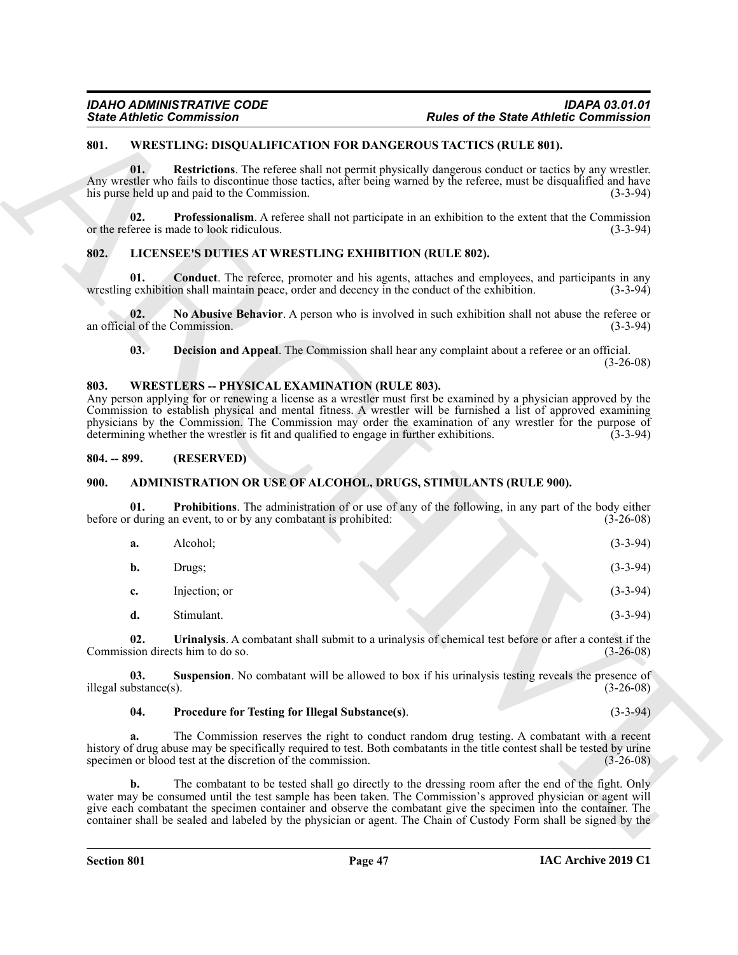#### <span id="page-46-15"></span><span id="page-46-0"></span>**801. WRESTLING: DISQUALIFICATION FOR DANGEROUS TACTICS (RULE 801).**

#### <span id="page-46-14"></span><span id="page-46-12"></span><span id="page-46-10"></span><span id="page-46-1"></span>**802. LICENSEE'S DUTIES AT WRESTLING EXHIBITION (RULE 802).**

#### <span id="page-46-13"></span><span id="page-46-11"></span><span id="page-46-2"></span>**803. WRESTLERS -- PHYSICAL EXAMINATION (RULE 803).**

#### <span id="page-46-3"></span>**804. -- 899. (RESERVED)**

#### <span id="page-46-7"></span><span id="page-46-5"></span><span id="page-46-4"></span>**900. ADMINISTRATION OR USE OF ALCOHOL, DRUGS, STIMULANTS (RULE 900).**

|                              | <b>State Athletic Commission</b>                                                                                                                                                                                                                                                                                                                                                                                                                                                                    |                                                                                                            | <b>Rules of the State Athletic Commission</b> |
|------------------------------|-----------------------------------------------------------------------------------------------------------------------------------------------------------------------------------------------------------------------------------------------------------------------------------------------------------------------------------------------------------------------------------------------------------------------------------------------------------------------------------------------------|------------------------------------------------------------------------------------------------------------|-----------------------------------------------|
| 801.                         | <b>WRESTLING: DISQUALIFICATION FOR DANGEROUS TACTICS (RULE 801).</b>                                                                                                                                                                                                                                                                                                                                                                                                                                |                                                                                                            |                                               |
| 01.                          | Any wrestler who fails to discontinue those tactics, after being warned by the referee, must be disqualified and have<br>his purse held up and paid to the Commission.                                                                                                                                                                                                                                                                                                                              | Restrictions. The referee shall not permit physically dangerous conduct or tactics by any wrestler.        | $(3-3-94)$                                    |
| 02.                          | or the referee is made to look ridiculous.                                                                                                                                                                                                                                                                                                                                                                                                                                                          | <b>Professionalism.</b> A referee shall not participate in an exhibition to the extent that the Commission | $(3-3-94)$                                    |
| 802.                         | LICENSEE'S DUTIES AT WRESTLING EXHIBITION (RULE 802).                                                                                                                                                                                                                                                                                                                                                                                                                                               |                                                                                                            |                                               |
| 01.                          | wrestling exhibition shall maintain peace, order and decency in the conduct of the exhibition.                                                                                                                                                                                                                                                                                                                                                                                                      | <b>Conduct</b> . The referee, promoter and his agents, attaches and employees, and participants in any     | $(3-3-94)$                                    |
| 02.                          | an official of the Commission.                                                                                                                                                                                                                                                                                                                                                                                                                                                                      | No Abusive Behavior. A person who is involved in such exhibition shall not abuse the referee or            | $(3-3-94)$                                    |
| 03.                          |                                                                                                                                                                                                                                                                                                                                                                                                                                                                                                     | Decision and Appeal. The Commission shall hear any complaint about a referee or an official.               | $(3-26-08)$                                   |
| 803.                         | <b>WRESTLERS -- PHYSICAL EXAMINATION (RULE 803).</b><br>Any person applying for or renewing a license as a wrestler must first be examined by a physician approved by the<br>Commission to establish physical and mental fitness. A wrestler will be furnished a list of approved examining<br>physicians by the Commission. The Commission may order the examination of any wrestler for the purpose of<br>determining whether the wrestler is fit and qualified to engage in further exhibitions. |                                                                                                            | $(3-3-94)$                                    |
| $804. - 899.$                | (RESERVED)                                                                                                                                                                                                                                                                                                                                                                                                                                                                                          |                                                                                                            |                                               |
| <b>900.</b>                  | <b>ADMINISTRATION OR USE OF ALCOHOL, DRUGS, STIMULANTS (RULE 900).</b>                                                                                                                                                                                                                                                                                                                                                                                                                              |                                                                                                            |                                               |
| 01.                          | before or during an event, to or by any combatant is prohibited:                                                                                                                                                                                                                                                                                                                                                                                                                                    | Prohibitions. The administration of or use of any of the following, in any part of the body either         | $(3-26-08)$                                   |
| a.                           | Alcohol;                                                                                                                                                                                                                                                                                                                                                                                                                                                                                            |                                                                                                            | $(3-3-94)$                                    |
| b.                           | Drugs;                                                                                                                                                                                                                                                                                                                                                                                                                                                                                              |                                                                                                            | $(3-3-94)$                                    |
| c.                           | Injection; or                                                                                                                                                                                                                                                                                                                                                                                                                                                                                       |                                                                                                            | $(3-3-94)$                                    |
| d.                           | Stimulant.                                                                                                                                                                                                                                                                                                                                                                                                                                                                                          |                                                                                                            | $(3-3-94)$                                    |
| 02.                          | Commission directs him to do so.                                                                                                                                                                                                                                                                                                                                                                                                                                                                    | Urinalysis. A combatant shall submit to a urinalysis of chemical test before or after a contest if the     | $(3-26-08)$                                   |
| 03.<br>illegal substance(s). |                                                                                                                                                                                                                                                                                                                                                                                                                                                                                                     | <b>Suspension</b> . No combatant will be allowed to box if his urinalysis testing reveals the presence of  | $(3-26-08)$                                   |
| 04.                          | Procedure for Testing for Illegal Substance(s).                                                                                                                                                                                                                                                                                                                                                                                                                                                     |                                                                                                            | $(3-3-94)$                                    |
| a.                           | history of drug abuse may be specifically required to test. Both combatants in the title contest shall be tested by urine<br>specimen or blood test at the discretion of the commission.                                                                                                                                                                                                                                                                                                            | The Commission reserves the right to conduct random drug testing. A combatant with a recent                | $(3-26-08)$                                   |
|                              |                                                                                                                                                                                                                                                                                                                                                                                                                                                                                                     |                                                                                                            |                                               |

#### <span id="page-46-9"></span><span id="page-46-8"></span><span id="page-46-6"></span>**04. Procedure for Testing for Illegal Substance(s)**. (3-3-94)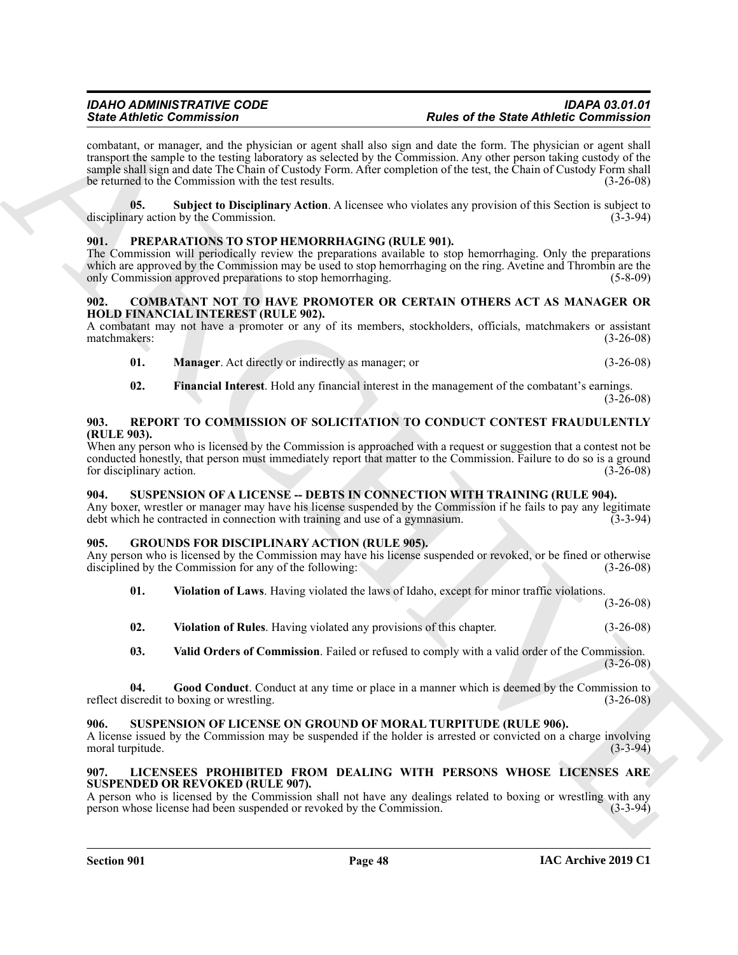Since differentiation<br>
Since different interaction and start and start and the start of the Since differentiation and start and the start and the start of the start and start and start and start and start and start and st combatant, or manager, and the physician or agent shall also sign and date the form. The physician or agent shall transport the sample to the testing laboratory as selected by the Commission. Any other person taking custody of the sample shall sign and date The Chain of Custody Form. After completion of the test, the Chain of Custody Form shall be returned to the Commission with the test results. (3-26-08)

<span id="page-47-7"></span>**05. Subject to Disciplinary Action**. A licensee who violates any provision of this Section is subject to disciplinary action by the Commission.

#### <span id="page-47-16"></span><span id="page-47-0"></span>**901. PREPARATIONS TO STOP HEMORRHAGING (RULE 901).**

The Commission will periodically review the preparations available to stop hemorrhaging. Only the preparations which are approved by the Commission may be used to stop hemorrhaging on the ring. Avetine and Thrombin are the only Commission approved preparations to stop hemorrhaging. (5-8-09)

#### <span id="page-47-8"></span><span id="page-47-1"></span>**902. COMBATANT NOT TO HAVE PROMOTER OR CERTAIN OTHERS ACT AS MANAGER OR HOLD FINANCIAL INTEREST (RULE 902).**

A combatant may not have a promoter or any of its members, stockholders, officials, matchmakers or assistant matchmakers: (3-26-08) matchmakers:

- <span id="page-47-10"></span>**01. Manager**. Act directly or indirectly as manager; or (3-26-08)
- <span id="page-47-17"></span><span id="page-47-9"></span>**02. Financial Interest**. Hold any financial interest in the management of the combatant's earnings.  $(3 - 26 - 08)$

#### <span id="page-47-2"></span>**903. REPORT TO COMMISSION OF SOLICITATION TO CONDUCT CONTEST FRAUDULENTLY (RULE 903).**

When any person who is licensed by the Commission is approached with a request or suggestion that a contest not be conducted honestly, that person must immediately report that matter to the Commission. Failure to do so is a ground for disciplinary action. (3-26-08) for disciplinary action.

#### <span id="page-47-18"></span><span id="page-47-3"></span>**904. SUSPENSION OF A LICENSE -- DEBTS IN CONNECTION WITH TRAINING (RULE 904).**

Any boxer, wrestler or manager may have his license suspended by the Commission if he fails to pay any legitimate debt which he contracted in connection with training and use of a gymnasium. (3-3-94)

#### <span id="page-47-4"></span>**905. GROUNDS FOR DISCIPLINARY ACTION (RULE 905).**

Any person who is licensed by the Commission may have his license suspended or revoked, or be fined or otherwise disciplined by the Commission for any of the following: (3-26-08)

<span id="page-47-13"></span>**01. Violation of Laws**. Having violated the laws of Idaho, except for minor traffic violations.

(3-26-08)

<span id="page-47-14"></span>**02. Violation of Rules**. Having violated any provisions of this chapter. (3-26-08)

<span id="page-47-12"></span><span id="page-47-11"></span>**03. Valid Orders of Commission**. Failed or refused to comply with a valid order of the Commission.  $(3-26-08)$ 

**04. Good Conduct**. Conduct at any time or place in a manner which is deemed by the Commission to reflect discredit to boxing or wrestling. (3-26-08)

#### <span id="page-47-19"></span><span id="page-47-5"></span>**906. SUSPENSION OF LICENSE ON GROUND OF MORAL TURPITUDE (RULE 906).**

A license issued by the Commission may be suspended if the holder is arrested or convicted on a charge involving moral turpitude. (3-3-94)

#### <span id="page-47-15"></span><span id="page-47-6"></span>**907. LICENSEES PROHIBITED FROM DEALING WITH PERSONS WHOSE LICENSES ARE SUSPENDED OR REVOKED (RULE 907).**

A person who is licensed by the Commission shall not have any dealings related to boxing or wrestling with any person whose license had been suspended or revoked by the Commission. (3-3-94) person whose license had been suspended or revoked by the Commission.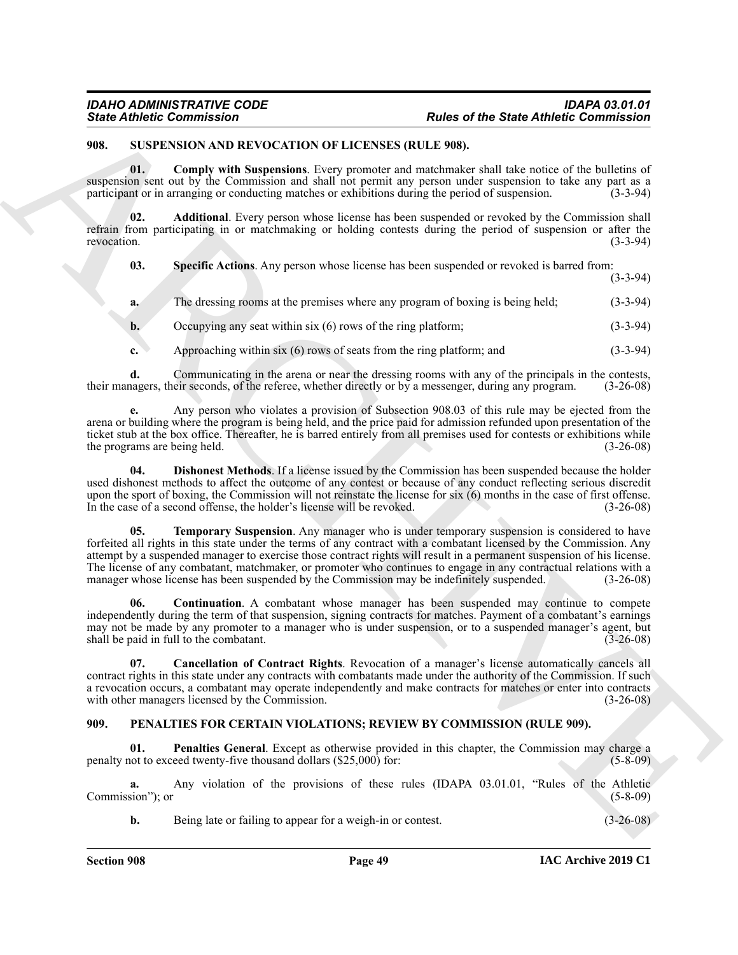#### <span id="page-48-8"></span><span id="page-48-5"></span><span id="page-48-3"></span><span id="page-48-0"></span>**908. SUSPENSION AND REVOCATION OF LICENSES (RULE 908).**

| <b>State Athletic Commission</b> |                                                                        | <b>Rules of the State Athletic Commission</b>                                                                                                                                                                                                                                                                                                                                                                                                                                                                                                                       |             |
|----------------------------------|------------------------------------------------------------------------|---------------------------------------------------------------------------------------------------------------------------------------------------------------------------------------------------------------------------------------------------------------------------------------------------------------------------------------------------------------------------------------------------------------------------------------------------------------------------------------------------------------------------------------------------------------------|-------------|
| 908.                             | SUSPENSION AND REVOCATION OF LICENSES (RULE 908).                      |                                                                                                                                                                                                                                                                                                                                                                                                                                                                                                                                                                     |             |
| 01.                              |                                                                        | Comply with Suspensions. Every promoter and matchmaker shall take notice of the bulletins of<br>suspension sent out by the Commission and shall not permit any person under suspension to take any part as a<br>participant or in arranging or conducting matches or exhibitions during the period of suspension.                                                                                                                                                                                                                                                   | $(3-3-94)$  |
| 02.<br>revocation.               |                                                                        | Additional. Every person whose license has been suspended or revoked by the Commission shall<br>refrain from participating in or matchmaking or holding contests during the period of suspension or after the                                                                                                                                                                                                                                                                                                                                                       | $(3-3-94)$  |
| 03.                              |                                                                        | Specific Actions. Any person whose license has been suspended or revoked is barred from:                                                                                                                                                                                                                                                                                                                                                                                                                                                                            | $(3-3-94)$  |
| a.                               |                                                                        | The dressing rooms at the premises where any program of boxing is being held;                                                                                                                                                                                                                                                                                                                                                                                                                                                                                       | $(3-3-94)$  |
| b.                               | Occupying any seat within $six(6)$ rows of the ring platform;          |                                                                                                                                                                                                                                                                                                                                                                                                                                                                                                                                                                     | $(3-3-94)$  |
| c.                               | Approaching within $six(6)$ rows of seats from the ring platform; and  |                                                                                                                                                                                                                                                                                                                                                                                                                                                                                                                                                                     | $(3-3-94)$  |
| d.                               |                                                                        | Communicating in the arena or near the dressing rooms with any of the principals in the contests,<br>their managers, their seconds, of the referee, whether directly or by a messenger, during any program.                                                                                                                                                                                                                                                                                                                                                         | $(3-26-08)$ |
|                                  | the programs are being held.                                           | Any person who violates a provision of Subsection 908.03 of this rule may be ejected from the<br>arena or building where the program is being held, and the price paid for admission refunded upon presentation of the<br>ticket stub at the box office. Thereafter, he is barred entirely from all premises used for contests or exhibitions while                                                                                                                                                                                                                 | $(3-26-08)$ |
| 04.                              | In the case of a second offense, the holder's license will be revoked. | <b>Dishonest Methods.</b> If a license issued by the Commission has been suspended because the holder<br>used dishonest methods to affect the outcome of any contest or because of any conduct reflecting serious discredit<br>upon the sport of boxing, the Commission will not reinstate the license for six (6) months in the case of first offense.                                                                                                                                                                                                             | $(3-26-08)$ |
| 05.                              |                                                                        | <b>Temporary Suspension.</b> Any manager who is under temporary suspension is considered to have<br>forfeited all rights in this state under the terms of any contract with a combatant licensed by the Commission. Any<br>attempt by a suspended manager to exercise those contract rights will result in a permanent suspension of his license.<br>The license of any combatant, matchmaker, or promoter who continues to engage in any contractual relations with a<br>manager whose license has been suspended by the Commission may be indefinitely suspended. | $(3-26-08)$ |
| 06.                              | shall be paid in full to the combatant.                                | <b>Continuation.</b> A combatant whose manager has been suspended may continue to compete<br>independently during the term of that suspension, signing contracts for matches. Payment of a combatant's earnings<br>may not be made by any promoter to a manager who is under suspension, or to a suspended manager's agent, but                                                                                                                                                                                                                                     | $(3-26-08)$ |
| 07.                              | with other managers licensed by the Commission.                        | Cancellation of Contract Rights. Revocation of a manager's license automatically cancels all<br>contract rights in this state under any contracts with combatants made under the authority of the Commission. If such<br>a revocation occurs, a combatant may operate independently and make contracts for matches or enter into contracts                                                                                                                                                                                                                          | $(3-26-08)$ |
| 909.                             |                                                                        | PENALTIES FOR CERTAIN VIOLATIONS; REVIEW BY COMMISSION (RULE 909).                                                                                                                                                                                                                                                                                                                                                                                                                                                                                                  |             |
| 01.                              | penalty not to exceed twenty-five thousand dollars (\$25,000) for:     | <b>Penalties General.</b> Except as otherwise provided in this chapter, the Commission may charge a                                                                                                                                                                                                                                                                                                                                                                                                                                                                 | $(5-8-09)$  |
| a.<br>Commission"); or           |                                                                        | Any violation of the provisions of these rules (IDAPA 03.01.01, "Rules of the Athletic                                                                                                                                                                                                                                                                                                                                                                                                                                                                              | $(5-8-09)$  |
|                                  | Being late or failing to appear for a weigh-in or contest.             |                                                                                                                                                                                                                                                                                                                                                                                                                                                                                                                                                                     | $(3-26-08)$ |

#### <span id="page-48-9"></span><span id="page-48-7"></span><span id="page-48-6"></span><span id="page-48-4"></span><span id="page-48-2"></span><span id="page-48-1"></span>**909. PENALTIES FOR CERTAIN VIOLATIONS; REVIEW BY COMMISSION (RULE 909).**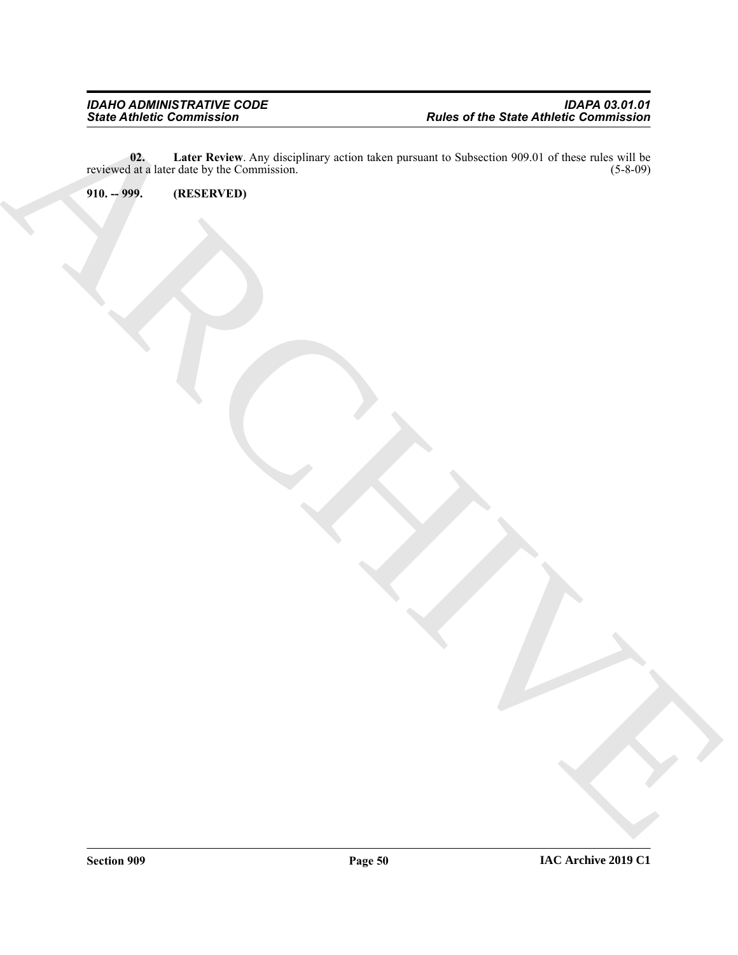ARCHIVE **02.** Later Review. Any disciplinary action taken pursuant to Subsection 909.01 of these rules will be l at a later date by the Commission. (5-8-09) reviewed at a later date by the Commission.

<span id="page-49-1"></span><span id="page-49-0"></span>**910. -- 999. (RESERVED)**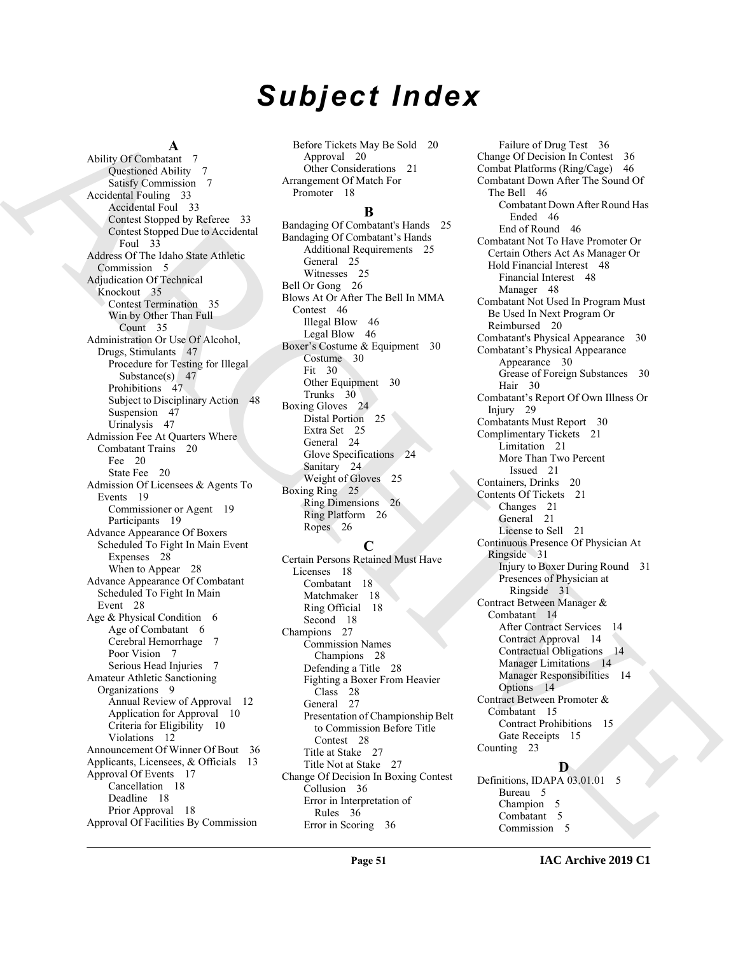# *Subject Index*

#### **A**

And  $\mu$  (and  $\mu$ ) and  $\mu$ ) and  $\mu$ ) and  $\mu$ ) and  $\mu$ ) and  $\mu$  (and  $\mu$ ) and  $\mu$ ) and  $\mu$ ) and  $\mu$ ) and  $\mu$ ) and  $\mu$ ) and  $\mu$ ) and  $\mu$ ) and  $\mu$ ) and  $\mu$ ) and  $\mu$ ) and  $\mu$ ) and  $\mu$ ) and  $\mu$ ) and  $\mu$ ) a Ability Of Combatant 7 Questioned Ability 7 Satisfy Commission 7 Accidental Fouling 33 Accidental Foul 33 Contest Stopped by Referee 33 Contest Stopped Due to Accidental Foul 33 Address Of The Idaho State Athletic Commission 5 Adjudication Of Technical Knockout 35 Contest Termination 35 Win by Other Than Full Count 35 Administration Or Use Of Alcohol, Drugs, Stimulants 47 Procedure for Testing for Illegal Substance(s) 47 Prohibitions 47 Subject to Disciplinary Action 48 Suspension 47 Urinalysis 47 Admission Fee At Quarters Where Combatant Trains 20 Fee 20 State Fee 20 Admission Of Licensees & Agents To Events 19 Commissioner or Agent 19 Participants 19 Advance Appearance Of Boxers Scheduled To Fight In Main Event Expenses 28 When to Appear 28 Advance Appearance Of Combatant Scheduled To Fight In Main Event 28 Age & Physical Condition 6 Age of Combatant 6 Cerebral Hemorrhage 7 Poor Vision 7 Serious Head Injuries 7 Amateur Athletic Sanctioning Organizations 9 Annual Review of Approval 12 Application for Approval 10 Criteria for Eligibility 10 Violations 12 Announcement Of Winner Of Bout 36 Applicants, Licensees, & Officials 13 Approval Of Events 17 Cancellation 18 Deadline 18 Prior Approval 18 Approval Of Facilities By Commission

Before Tickets May Be Sold 20 Approval 20 Other Considerations 21 Arrangement Of Match For Promoter 18

#### **B**

Bandaging Of Combatant's Hands 25 Bandaging Of Combatant's Hands Additional Requirements 25 General 25 Witnesses 25 Bell Or Gong 26 Blows At Or After The Bell In MMA Contest 46 Illegal Blow 46 Legal Blow 46 Boxer's Costume & Equipment 30 Costume 30 Fit 30 Other Equipment 30 Trunks 30 Boxing Gloves 24 Distal Portion 25 Extra Set 25 General 24 Glove Specifications 24 Sanitary 24 Weight of Gloves 25 Boxing Ring 25 Ring Dimensions 26 Ring Platform 26 Ropes 26

#### **C**

Certain Persons Retained Must Have Licenses 18 Combatant 18 Matchmaker 18 Ring Official 18 Second 18 Champions 27 Commission Names Champions 28 Defending a Title 28 Fighting a Boxer From Heavier Class 28 General 27 Presentation of Championship Belt to Commission Before Title Contest 28 Title at Stake 27 Title Not at Stake 27 Change Of Decision In Boxing Contest Collusion 36 Error in Interpretation of Rules 36 Error in Scoring 36

Failure of Drug Test 36 Change Of Decision In Contest 36 Combat Platforms (Ring/Cage) 46 Combatant Down After The Sound Of The Bell 46 Combatant Down After Round Has Ended 46 End of Round 46 Combatant Not To Have Promoter Or Certain Others Act As Manager Or Hold Financial Interest 48 Financial Interest 48 Manager 48 Combatant Not Used In Program Must Be Used In Next Program Or Reimbursed 20 Combatant's Physical Appearance 30 Combatant's Physical Appearance Appearance 30 Grease of Foreign Substances 30 Hair 30 Combatant's Report Of Own Illness Or Injury 29 Combatants Must Report 30 Complimentary Tickets 21 Limitation 21 More Than Two Percent Issued 21 Containers, Drinks 20 Contents Of Tickets 21 Changes 21 General 21 License to Sell 21 Continuous Presence Of Physician At Ringside 31 Injury to Boxer During Round 31 Presences of Physician at Ringside 31 Contract Between Manager & Combatant 14 After Contract Services 14 Contract Approval 14 Contractual Obligations 14 Manager Limitations 14 Manager Responsibilities 14 Options 14 Contract Between Promoter & Combatant 15 Contract Prohibitions 15 Gate Receipts 15 Counting 23 **D**

Definitions, IDAPA 03.01.01 5 Bureau 5 Champion 5 Combatant 5 Commission 5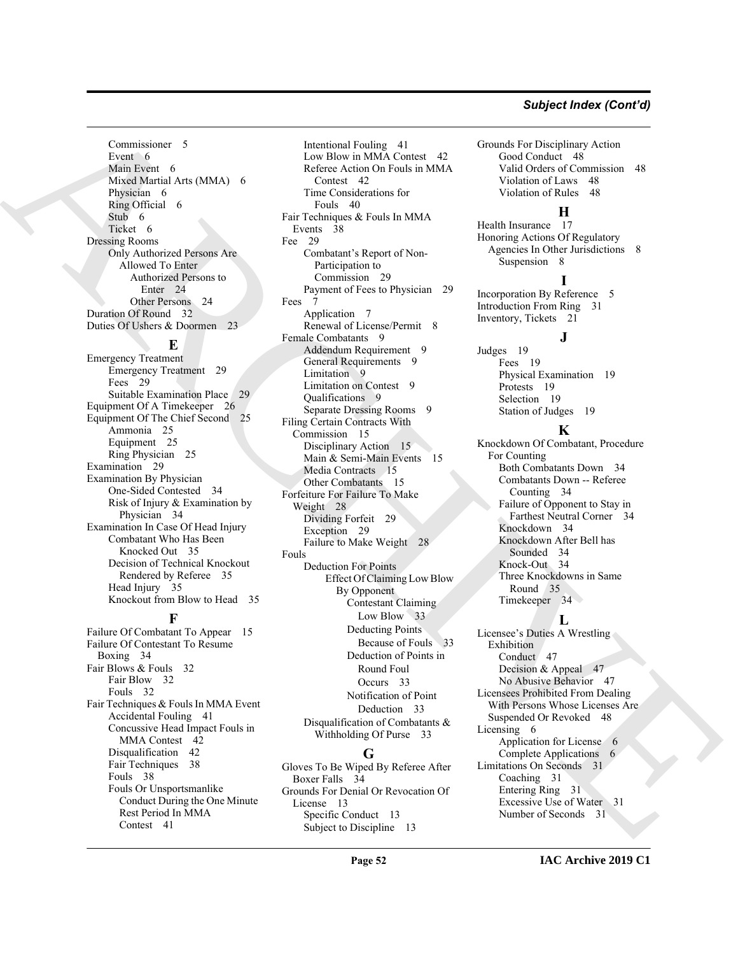#### *Subject Index (Cont'd)*

Commissioner 5 Event 6 Main Event 6 Mixed Martial Arts (MMA) 6 Physician 6 Ring Official 6 Stub 6 Ticket 6 Dressing Rooms Only Authorized Persons Are Allowed To Enter Authorized Persons to Enter 24 Other Persons 24 Duration Of Round 32 Duties Of Ushers & Doormen 23

#### **E**

Emergency Treatment Emergency Treatment 29 Fees 29 Suitable Examination Place Equipment Of A Timekeeper 26 Equipment Of The Chief Second 25 Ammonia 25 Equipment 25 Ring Physician 25 Examination 29 Examination By Physician One-Sided Contested 34 Risk of Injury & Examination by Physician 34 Examination In Case Of Head Injury Combatant Who Has Been Knocked Out 35 Decision of Technical Knockout Rendered by Referee 35 Head Injury 35 Knockout from Blow to Head 35

### **F**

Failure Of Combatant To Appear 15 Failure Of Contestant To Resume Boxing 34 Fair Blows & Fouls 32 Fair Blow 32 Fouls 32 Fair Techniques & Fouls In MMA Event Accidental Fouling 41 Concussive Head Impact Fouls in MMA Contest 42 Disqualification 42 Fair Techniques 38 Fouls 38 Fouls Or Unsportsmanlike Conduct During the One Minute Rest Period In MMA Contest 41

[AR](#page-23-7)[CH](#page-14-9)[I](#page-33-12)[VE](#page-47-15) Intentional Fouling 41 Low Blow in MMA Contest 42 Referee Action On Fouls in MMA Contest 42 Time Considerations for Fouls 40 Fair Techniques & Fouls In MMA Events 38 Fee 29 Combatant's Report of Non-Participation to Commission 29 Payment of Fees to Physician 29 Fees 7 Application 7 Renewal of License/Permit 8 Female Combatants 9 Addendum Requirement 9 General Requirements 9 Limitation 9 Limitation on Contest 9 Qualifications 9 Separate Dressing Rooms 9 Filing Certain Contracts With Commission 15 Disciplinary Action 15 Main & Semi-Main Events 15 Media Contracts 15 Other Combatants 15 Forfeiture For Failure To Make Weight 28 Dividing Forfeit 29 Exception 29 Failure to Make Weight 28 Fouls Deduction For Points Effect Of Claiming Low Blow By Opponent Contestant Claiming Low Blow 33 Deducting Points Because of Fouls 33 Deduction of Points in Round Foul Occurs 33 Notification of Point Deduction 33 Disqualification of Combatants & Withholding Of Purse 33

#### **G**

Gloves To Be Wiped By Referee After Boxer Falls 34 Grounds For Denial Or Revocation Of License 13 Specific Conduct 13 Subject to Discipline 13

Grounds For Disciplinary Action Good Conduct 48 Valid Orders of Commission 48 Violation of Laws 48 Violation of Rules 48

#### **H**

Health Insurance 17 Honoring Actions Of Regulatory Agencies In Other Jurisdictions 8 Suspension 8

#### **I**

**J**

Incorporation By Reference 5 Introduction From Ring 31 Inventory, Tickets 21

Judges 19 Fees 19 Physical Examination 19 Protests 19 Selection 19 Station of Judges 19

#### **K**

Knockdown Of Combatant, Procedure For Counting Both Combatants Down 34 Combatants Down -- Referee Counting 34 Failure of Opponent to Stay in Farthest Neutral Corner 34 Knockdown 34 Knockdown After Bell has Sounded 34 Knock-Out 34 Three Knockdowns in Same Round 35 Timekeeper 34

#### **L**

Licensee's Duties A Wrestling Exhibition Conduct 47 Decision & Appeal 47 No Abusive Behavior 47 Licensees Prohibited From Dealing With Persons Whose Licenses Are Suspended Or Revoked 48 Licensing 6 Application for License 6 Complete Applications 6 Limitations On Seconds 31 Coaching 31 Entering Ring 31 Excessive Use of Water 31 Number of Seconds 31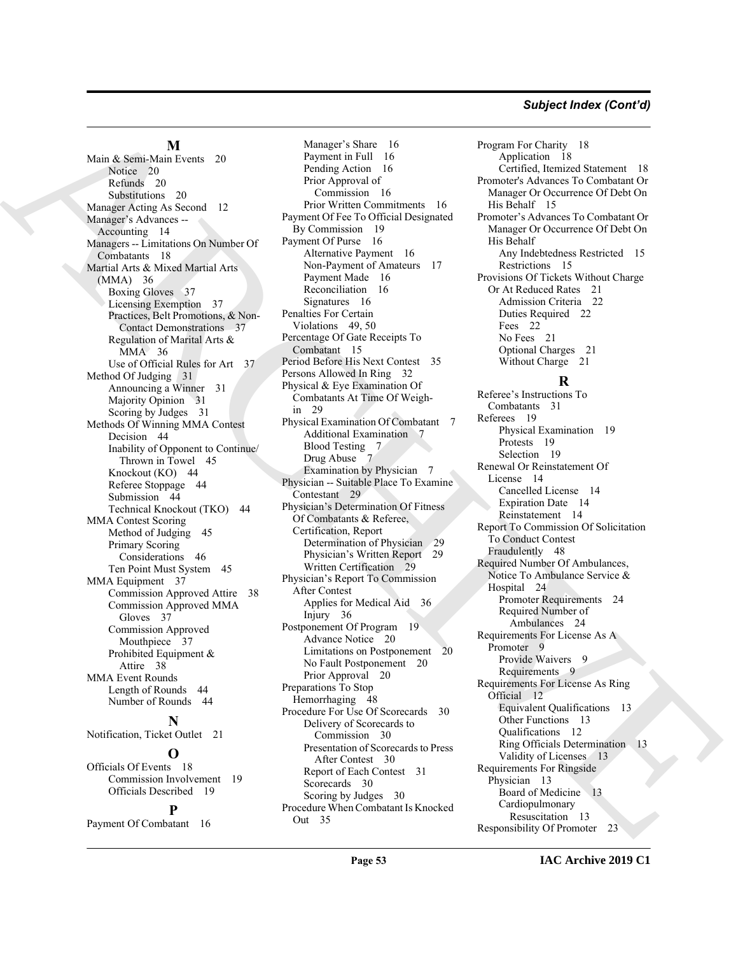#### *Subject Index (Cont'd)*

#### **M**

Main & Semi-Main Events 20 Notice 20 Refunds 20 Substitutions 20 Manager Acting As Second 12 Manager's Advances -- Accounting 14 Managers -- Limitations On Number Of Combatants 18 Martial Arts & Mixed Martial Arts (MMA) 36 Boxing Gloves 37 Licensing Exemption 37 Practices, Belt Promotions, & Non-Contact Demonstrations 37 Regulation of Marital Arts & MMA 36 Use of Official Rules for Art 37 Method Of Judging 31 Announcing a Winner 31 Majority Opinion 31 Scoring by Judges 31 Methods Of Winning MMA Contest Decision 44 Inability of Opponent to Continue/ Thrown in Towel 45 Knockout (KO) 44 Referee Stoppage 44 Submission 44 Technical Knockout (TKO) 44 MMA Contest Scoring Method of Judging 45 Primary Scoring Considerations 46 Ten Point Must System 45 MMA Equipment 37 Commission Approved Attire 38 Commission Approved MMA Gloves 37 Commission Approved Mouthpiece 37 Prohibited Equipment & Attire 38 MMA Event Rounds Length of Rounds 44 Number of Rounds 44 **N** Notification, Ticket Outlet 21 **O** Officials Of Events 18 Commission Involvement 19

## Officials Described 19

**P** Payment Of Combatant 16

Main [A](#page-13-12)lgons (Main and the spin of the spin of the spin of the spin of the spin of the spin of the spin of the spin of the spin of the spin of the spin of the spin of the spin of the spin of the spin of the spin of the spi Manager's Share 16 Payment in Full 16 Pending Action 16 Prior Approval of Commission 16 Prior Written Commitments 16 Payment Of Fee To Official Designated By Commission 19 Payment Of Purse 16 Alternative Payment 16 Non-Payment of Amateurs 17 Payment Made 16 Reconciliation 16 Signatures 16 Penalties For Certain Violations 49, 50 Percentage Of Gate Receipts To Combatant 15 Period Before His Next Contest 35 Persons Allowed In Ring 32 Physical & Eye Examination Of Combatants At Time Of Weighin 29 Physical Examination Of Combatant 7 Additional Examination 7 Blood Testing 7 Drug Abuse 7 Examination by Physician 7 Physician -- Suitable Place To Examine Contestant 29 Physician's Determination Of Fitness Of Combatants & Referee, Certification, Report Determination of Physician 29 Physician's Written Report 29 Written Certification 29 Physician's Report To Commission After Contest Applies for Medical Aid 36 Injury 36 Postponement Of Program 19 Advance Notice 20 Limitations on Postponement 20 No Fault Postponement 20 Prior Approval 20 Preparations To Stop Hemorrhaging 48 Procedure For Use Of Scorecards 30 Delivery of Scorecards to Commission 30 Presentation of Scorecards to Press After Contest 30 Report of Each Contest 31 Scorecards 30 Scoring by Judges 30 Procedure When Combatant Is Knocked Out 35

Program For Charity 18 Application 18 Certified, Itemized Statement 18 Promoter's Advances To Combatant Or Manager Or Occurrence Of Debt On His Behalf 15 Promoter's Advances To Combatant Or Manager Or Occurrence Of Debt On His Behalf Any Indebtedness Restricted 15 Restrictions 15 Provisions Of Tickets Without Charge Or At Reduced Rates 21 Admission Criteria 22 Duties Required 22 Fees 22 No Fees 21 Optional Charges 21 Without Charge 21

### **R**

Referee's Instructions To Combatants 31 Referees 19 Physical Examination 19 Protests 19 Selection 19 Renewal Or Reinstatement Of License 14 Cancelled License 14 Expiration Date 14 Reinstatement 14 Report To Commission Of Solicitation To Conduct Contest Fraudulently 48 Required Number Of Ambulances, Notice To Ambulance Service & Hospital 24 Promoter Requirements 24 Required Number of Ambulances 24 Requirements For License As A Promoter 9 Provide Waivers 9 Requirements 9 Requirements For License As Ring Official 12 Equivalent Qualifications 13 Other Functions 13 Qualifications 12 Ring Officials Determination 13 Validity of Licenses 13 Requirements For Ringside Physician 13 Board of Medicine 13 Cardiopulmonary Resuscitation 13 Responsibility Of Promoter 23